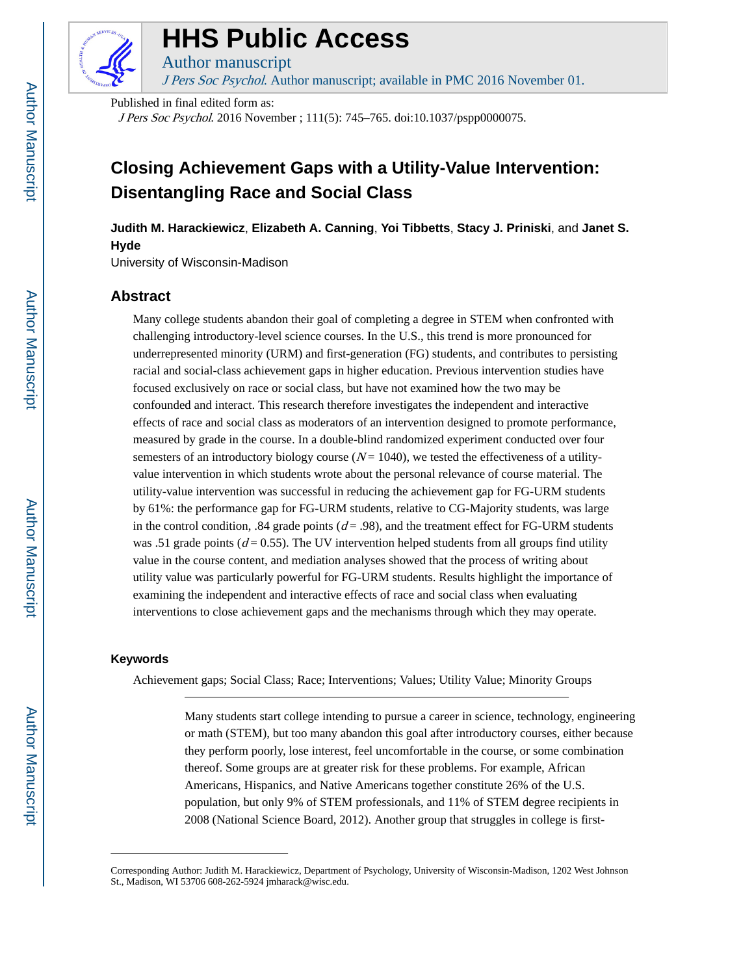

### **HHS Public Access**

J Pers Soc Psychol. Author manuscript; available in PMC 2016 November 01.

Published in final edited form as:

Author manuscript

J Pers Soc Psychol. 2016 November ; 111(5): 745–765. doi:10.1037/pspp0000075.

### **Closing Achievement Gaps with a Utility-Value Intervention: Disentangling Race and Social Class**

**Judith M. Harackiewicz**, **Elizabeth A. Canning**, **Yoi Tibbetts**, **Stacy J. Priniski**, and **Janet S. Hyde**

University of Wisconsin-Madison

#### **Abstract**

Many college students abandon their goal of completing a degree in STEM when confronted with challenging introductory-level science courses. In the U.S., this trend is more pronounced for underrepresented minority (URM) and first-generation (FG) students, and contributes to persisting racial and social-class achievement gaps in higher education. Previous intervention studies have focused exclusively on race or social class, but have not examined how the two may be confounded and interact. This research therefore investigates the independent and interactive effects of race and social class as moderators of an intervention designed to promote performance, measured by grade in the course. In a double-blind randomized experiment conducted over four semesters of an introductory biology course  $(N = 1040)$ , we tested the effectiveness of a utilityvalue intervention in which students wrote about the personal relevance of course material. The utility-value intervention was successful in reducing the achievement gap for FG-URM students by 61%: the performance gap for FG-URM students, relative to CG-Majority students, was large in the control condition, .84 grade points ( $d = .98$ ), and the treatment effect for FG-URM students was .51 grade points ( $d = 0.55$ ). The UV intervention helped students from all groups find utility value in the course content, and mediation analyses showed that the process of writing about utility value was particularly powerful for FG-URM students. Results highlight the importance of examining the independent and interactive effects of race and social class when evaluating interventions to close achievement gaps and the mechanisms through which they may operate.

#### **Keywords**

Achievement gaps; Social Class; Race; Interventions; Values; Utility Value; Minority Groups

Many students start college intending to pursue a career in science, technology, engineering or math (STEM), but too many abandon this goal after introductory courses, either because they perform poorly, lose interest, feel uncomfortable in the course, or some combination thereof. Some groups are at greater risk for these problems. For example, African Americans, Hispanics, and Native Americans together constitute 26% of the U.S. population, but only 9% of STEM professionals, and 11% of STEM degree recipients in 2008 (National Science Board, 2012). Another group that struggles in college is first-

Corresponding Author: Judith M. Harackiewicz, Department of Psychology, University of Wisconsin-Madison, 1202 West Johnson St., Madison, WI 53706 608-262-5924 jmharack@wisc.edu.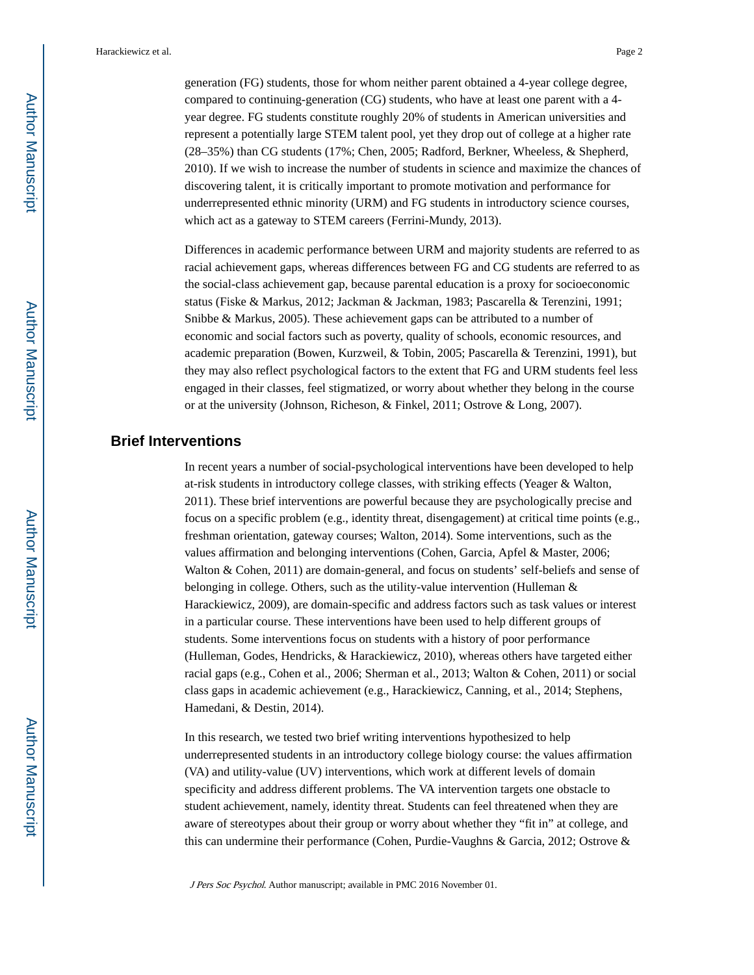generation (FG) students, those for whom neither parent obtained a 4-year college degree, compared to continuing-generation (CG) students, who have at least one parent with a 4 year degree. FG students constitute roughly 20% of students in American universities and represent a potentially large STEM talent pool, yet they drop out of college at a higher rate (28–35%) than CG students (17%; Chen, 2005; Radford, Berkner, Wheeless, & Shepherd, 2010). If we wish to increase the number of students in science and maximize the chances of discovering talent, it is critically important to promote motivation and performance for underrepresented ethnic minority (URM) and FG students in introductory science courses, which act as a gateway to STEM careers (Ferrini-Mundy, 2013).

Differences in academic performance between URM and majority students are referred to as racial achievement gaps, whereas differences between FG and CG students are referred to as the social-class achievement gap, because parental education is a proxy for socioeconomic status (Fiske & Markus, 2012; Jackman & Jackman, 1983; Pascarella & Terenzini, 1991; Snibbe & Markus, 2005). These achievement gaps can be attributed to a number of economic and social factors such as poverty, quality of schools, economic resources, and academic preparation (Bowen, Kurzweil, & Tobin, 2005; Pascarella & Terenzini, 1991), but they may also reflect psychological factors to the extent that FG and URM students feel less engaged in their classes, feel stigmatized, or worry about whether they belong in the course or at the university (Johnson, Richeson, & Finkel, 2011; Ostrove & Long, 2007).

#### **Brief Interventions**

In recent years a number of social-psychological interventions have been developed to help at-risk students in introductory college classes, with striking effects (Yeager & Walton, 2011). These brief interventions are powerful because they are psychologically precise and focus on a specific problem (e.g., identity threat, disengagement) at critical time points (e.g., freshman orientation, gateway courses; Walton, 2014). Some interventions, such as the values affirmation and belonging interventions (Cohen, Garcia, Apfel & Master, 2006; Walton & Cohen, 2011) are domain-general, and focus on students' self-beliefs and sense of belonging in college. Others, such as the utility-value intervention (Hulleman & Harackiewicz, 2009), are domain-specific and address factors such as task values or interest in a particular course. These interventions have been used to help different groups of students. Some interventions focus on students with a history of poor performance (Hulleman, Godes, Hendricks, & Harackiewicz, 2010), whereas others have targeted either racial gaps (e.g., Cohen et al., 2006; Sherman et al., 2013; Walton & Cohen, 2011) or social class gaps in academic achievement (e.g., Harackiewicz, Canning, et al., 2014; Stephens, Hamedani, & Destin, 2014).

In this research, we tested two brief writing interventions hypothesized to help underrepresented students in an introductory college biology course: the values affirmation (VA) and utility-value (UV) interventions, which work at different levels of domain specificity and address different problems. The VA intervention targets one obstacle to student achievement, namely, identity threat. Students can feel threatened when they are aware of stereotypes about their group or worry about whether they "fit in" at college, and this can undermine their performance (Cohen, Purdie-Vaughns & Garcia, 2012; Ostrove &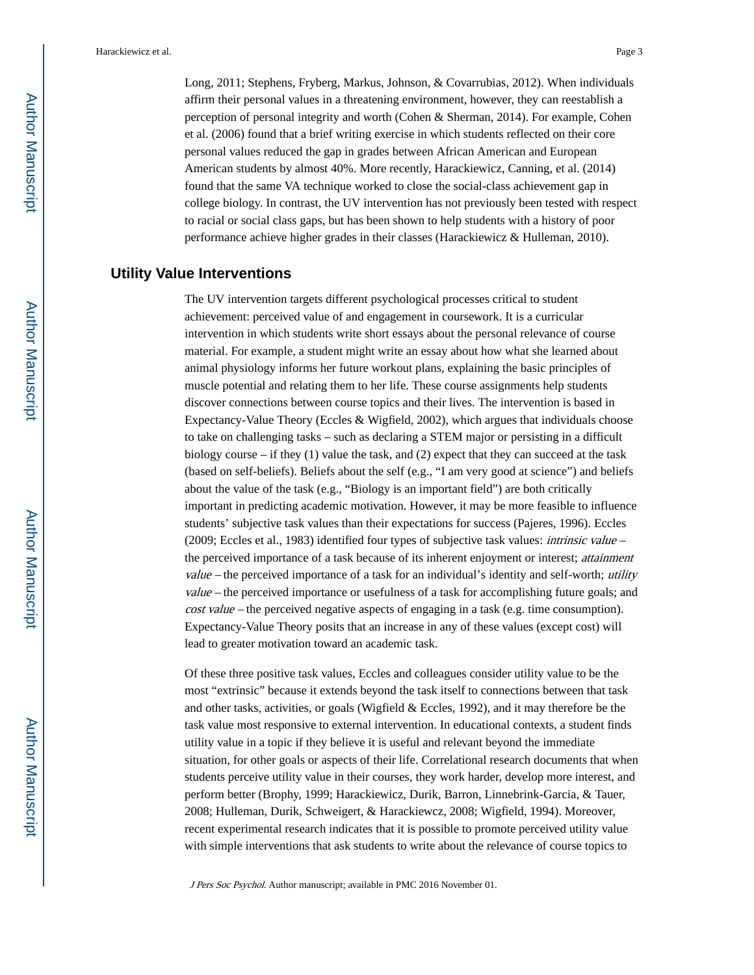Long, 2011; Stephens, Fryberg, Markus, Johnson, & Covarrubias, 2012). When individuals affirm their personal values in a threatening environment, however, they can reestablish a perception of personal integrity and worth (Cohen & Sherman, 2014). For example, Cohen et al. (2006) found that a brief writing exercise in which students reflected on their core personal values reduced the gap in grades between African American and European American students by almost 40%. More recently, Harackiewicz, Canning, et al. (2014) found that the same VA technique worked to close the social-class achievement gap in college biology. In contrast, the UV intervention has not previously been tested with respect to racial or social class gaps, but has been shown to help students with a history of poor performance achieve higher grades in their classes (Harackiewicz & Hulleman, 2010).

#### **Utility Value Interventions**

The UV intervention targets different psychological processes critical to student achievement: perceived value of and engagement in coursework. It is a curricular intervention in which students write short essays about the personal relevance of course material. For example, a student might write an essay about how what she learned about animal physiology informs her future workout plans, explaining the basic principles of muscle potential and relating them to her life. These course assignments help students discover connections between course topics and their lives. The intervention is based in Expectancy-Value Theory (Eccles & Wigfield, 2002), which argues that individuals choose to take on challenging tasks – such as declaring a STEM major or persisting in a difficult biology course – if they (1) value the task, and (2) expect that they can succeed at the task (based on self-beliefs). Beliefs about the self (e.g., "I am very good at science") and beliefs about the value of the task (e.g., "Biology is an important field") are both critically important in predicting academic motivation. However, it may be more feasible to influence students' subjective task values than their expectations for success (Pajeres, 1996). Eccles (2009; Eccles et al., 1983) identified four types of subjective task values: intrinsic value – the perceived importance of a task because of its inherent enjoyment or interest; attainment value – the perceived importance of a task for an individual's identity and self-worth; utility value – the perceived importance or usefulness of a task for accomplishing future goals; and cost value – the perceived negative aspects of engaging in a task (e.g. time consumption). Expectancy-Value Theory posits that an increase in any of these values (except cost) will lead to greater motivation toward an academic task.

Of these three positive task values, Eccles and colleagues consider utility value to be the most "extrinsic" because it extends beyond the task itself to connections between that task and other tasks, activities, or goals (Wigfield & Eccles, 1992), and it may therefore be the task value most responsive to external intervention. In educational contexts, a student finds utility value in a topic if they believe it is useful and relevant beyond the immediate situation, for other goals or aspects of their life. Correlational research documents that when students perceive utility value in their courses, they work harder, develop more interest, and perform better (Brophy, 1999; Harackiewicz, Durik, Barron, Linnebrink-Garcia, & Tauer, 2008; Hulleman, Durik, Schweigert, & Harackiewcz, 2008; Wigfield, 1994). Moreover, recent experimental research indicates that it is possible to promote perceived utility value with simple interventions that ask students to write about the relevance of course topics to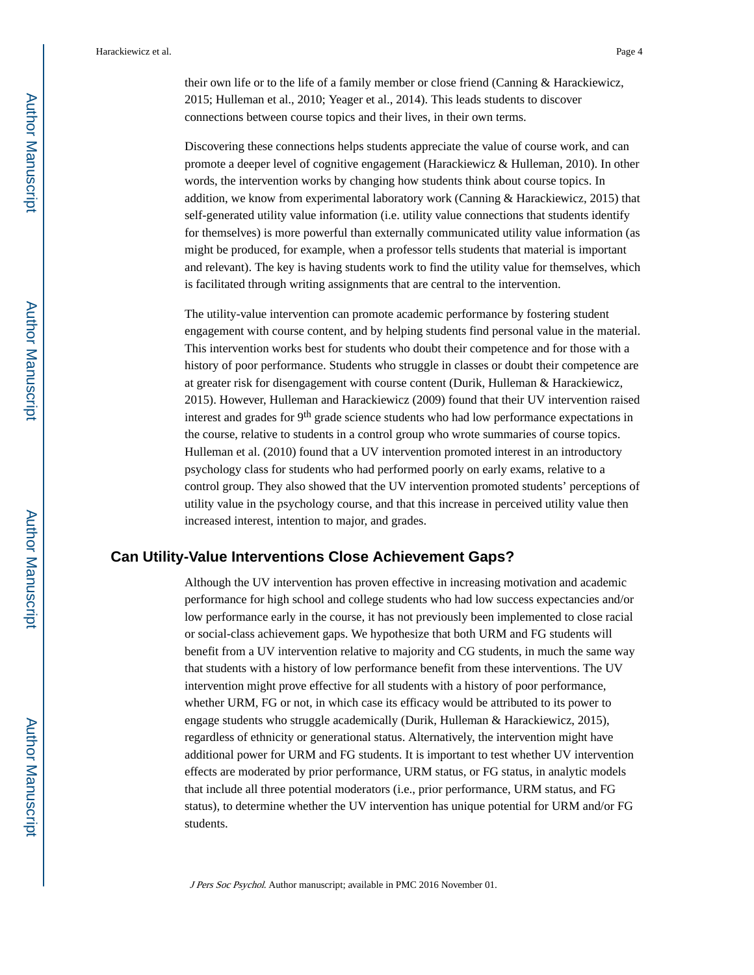their own life or to the life of a family member or close friend (Canning & Harackiewicz, 2015; Hulleman et al., 2010; Yeager et al., 2014). This leads students to discover connections between course topics and their lives, in their own terms.

Discovering these connections helps students appreciate the value of course work, and can promote a deeper level of cognitive engagement (Harackiewicz & Hulleman, 2010). In other words, the intervention works by changing how students think about course topics. In addition, we know from experimental laboratory work (Canning & Harackiewicz, 2015) that self-generated utility value information (i.e. utility value connections that students identify for themselves) is more powerful than externally communicated utility value information (as might be produced, for example, when a professor tells students that material is important and relevant). The key is having students work to find the utility value for themselves, which is facilitated through writing assignments that are central to the intervention.

The utility-value intervention can promote academic performance by fostering student engagement with course content, and by helping students find personal value in the material. This intervention works best for students who doubt their competence and for those with a history of poor performance. Students who struggle in classes or doubt their competence are at greater risk for disengagement with course content (Durik, Hulleman & Harackiewicz, 2015). However, Hulleman and Harackiewicz (2009) found that their UV intervention raised interest and grades for  $9<sup>th</sup>$  grade science students who had low performance expectations in the course, relative to students in a control group who wrote summaries of course topics. Hulleman et al. (2010) found that a UV intervention promoted interest in an introductory psychology class for students who had performed poorly on early exams, relative to a control group. They also showed that the UV intervention promoted students' perceptions of utility value in the psychology course, and that this increase in perceived utility value then increased interest, intention to major, and grades.

#### **Can Utility-Value Interventions Close Achievement Gaps?**

Although the UV intervention has proven effective in increasing motivation and academic performance for high school and college students who had low success expectancies and/or low performance early in the course, it has not previously been implemented to close racial or social-class achievement gaps. We hypothesize that both URM and FG students will benefit from a UV intervention relative to majority and CG students, in much the same way that students with a history of low performance benefit from these interventions. The UV intervention might prove effective for all students with a history of poor performance, whether URM, FG or not, in which case its efficacy would be attributed to its power to engage students who struggle academically (Durik, Hulleman & Harackiewicz, 2015), regardless of ethnicity or generational status. Alternatively, the intervention might have additional power for URM and FG students. It is important to test whether UV intervention effects are moderated by prior performance, URM status, or FG status, in analytic models that include all three potential moderators (i.e., prior performance, URM status, and FG status), to determine whether the UV intervention has unique potential for URM and/or FG students.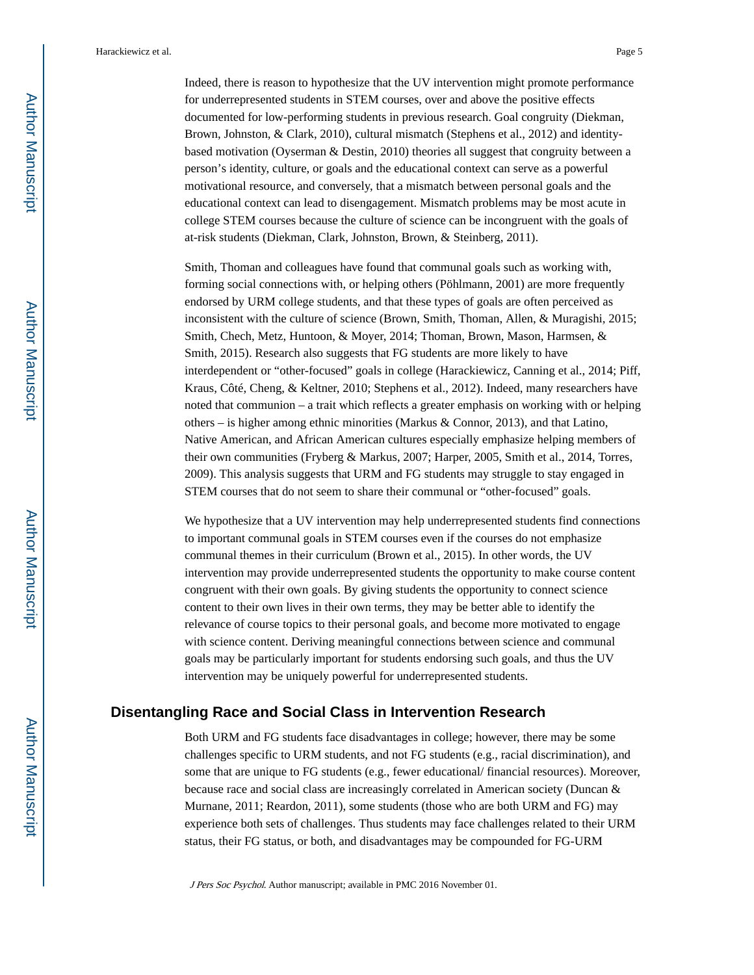Indeed, there is reason to hypothesize that the UV intervention might promote performance for underrepresented students in STEM courses, over and above the positive effects documented for low-performing students in previous research. Goal congruity (Diekman, Brown, Johnston, & Clark, 2010), cultural mismatch (Stephens et al., 2012) and identitybased motivation (Oyserman & Destin, 2010) theories all suggest that congruity between a person's identity, culture, or goals and the educational context can serve as a powerful motivational resource, and conversely, that a mismatch between personal goals and the educational context can lead to disengagement. Mismatch problems may be most acute in college STEM courses because the culture of science can be incongruent with the goals of at-risk students (Diekman, Clark, Johnston, Brown, & Steinberg, 2011).

Smith, Thoman and colleagues have found that communal goals such as working with, forming social connections with, or helping others (Pöhlmann, 2001) are more frequently endorsed by URM college students, and that these types of goals are often perceived as inconsistent with the culture of science (Brown, Smith, Thoman, Allen, & Muragishi, 2015; Smith, Chech, Metz, Huntoon, & Moyer, 2014; Thoman, Brown, Mason, Harmsen, & Smith, 2015). Research also suggests that FG students are more likely to have interdependent or "other-focused" goals in college (Harackiewicz, Canning et al., 2014; Piff, Kraus, Côté, Cheng, & Keltner, 2010; Stephens et al., 2012). Indeed, many researchers have noted that communion – a trait which reflects a greater emphasis on working with or helping others – is higher among ethnic minorities (Markus & Connor, 2013), and that Latino, Native American, and African American cultures especially emphasize helping members of their own communities (Fryberg & Markus, 2007; Harper, 2005, Smith et al., 2014, Torres, 2009). This analysis suggests that URM and FG students may struggle to stay engaged in STEM courses that do not seem to share their communal or "other-focused" goals.

We hypothesize that a UV intervention may help underrepresented students find connections to important communal goals in STEM courses even if the courses do not emphasize communal themes in their curriculum (Brown et al., 2015). In other words, the UV intervention may provide underrepresented students the opportunity to make course content congruent with their own goals. By giving students the opportunity to connect science content to their own lives in their own terms, they may be better able to identify the relevance of course topics to their personal goals, and become more motivated to engage with science content. Deriving meaningful connections between science and communal goals may be particularly important for students endorsing such goals, and thus the UV intervention may be uniquely powerful for underrepresented students.

#### **Disentangling Race and Social Class in Intervention Research**

Both URM and FG students face disadvantages in college; however, there may be some challenges specific to URM students, and not FG students (e.g., racial discrimination), and some that are unique to FG students (e.g., fewer educational/ financial resources). Moreover, because race and social class are increasingly correlated in American society (Duncan & Murnane, 2011; Reardon, 2011), some students (those who are both URM and FG) may experience both sets of challenges. Thus students may face challenges related to their URM status, their FG status, or both, and disadvantages may be compounded for FG-URM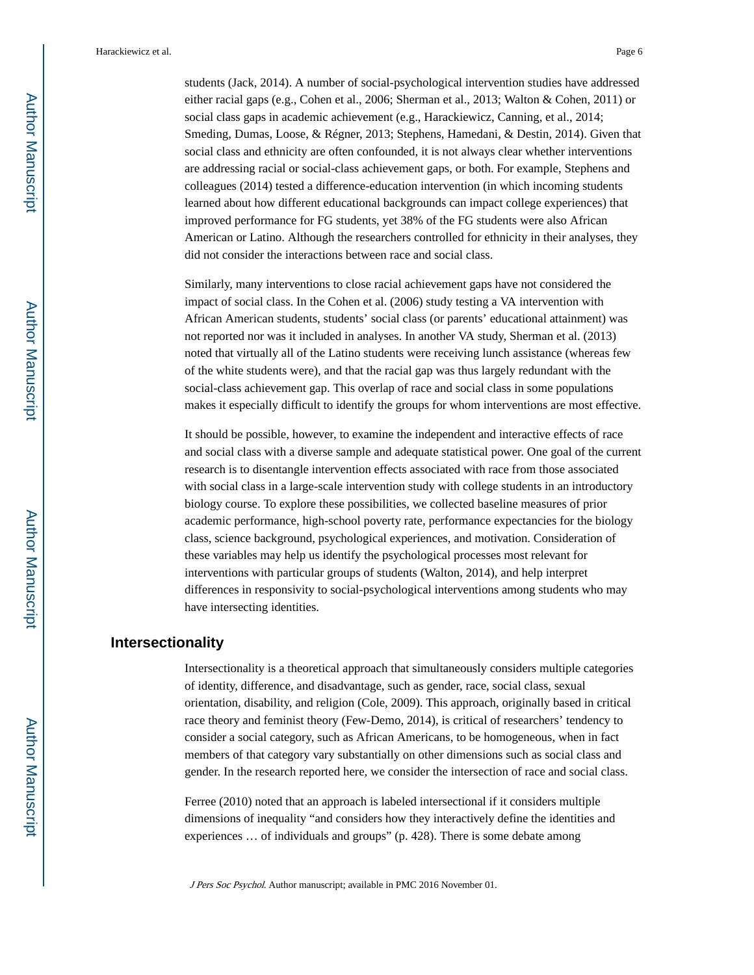students (Jack, 2014). A number of social-psychological intervention studies have addressed either racial gaps (e.g., Cohen et al., 2006; Sherman et al., 2013; Walton & Cohen, 2011) or social class gaps in academic achievement (e.g., Harackiewicz, Canning, et al., 2014; Smeding, Dumas, Loose, & Régner, 2013; Stephens, Hamedani, & Destin, 2014). Given that social class and ethnicity are often confounded, it is not always clear whether interventions are addressing racial or social-class achievement gaps, or both. For example, Stephens and colleagues (2014) tested a difference-education intervention (in which incoming students learned about how different educational backgrounds can impact college experiences) that improved performance for FG students, yet 38% of the FG students were also African American or Latino. Although the researchers controlled for ethnicity in their analyses, they did not consider the interactions between race and social class.

Similarly, many interventions to close racial achievement gaps have not considered the impact of social class. In the Cohen et al. (2006) study testing a VA intervention with African American students, students' social class (or parents' educational attainment) was not reported nor was it included in analyses. In another VA study, Sherman et al. (2013) noted that virtually all of the Latino students were receiving lunch assistance (whereas few of the white students were), and that the racial gap was thus largely redundant with the social-class achievement gap. This overlap of race and social class in some populations makes it especially difficult to identify the groups for whom interventions are most effective.

It should be possible, however, to examine the independent and interactive effects of race and social class with a diverse sample and adequate statistical power. One goal of the current research is to disentangle intervention effects associated with race from those associated with social class in a large-scale intervention study with college students in an introductory biology course. To explore these possibilities, we collected baseline measures of prior academic performance, high-school poverty rate, performance expectancies for the biology class, science background, psychological experiences, and motivation. Consideration of these variables may help us identify the psychological processes most relevant for interventions with particular groups of students (Walton, 2014), and help interpret differences in responsivity to social-psychological interventions among students who may have intersecting identities.

#### **Intersectionality**

Intersectionality is a theoretical approach that simultaneously considers multiple categories of identity, difference, and disadvantage, such as gender, race, social class, sexual orientation, disability, and religion (Cole, 2009). This approach, originally based in critical race theory and feminist theory (Few-Demo, 2014), is critical of researchers' tendency to consider a social category, such as African Americans, to be homogeneous, when in fact members of that category vary substantially on other dimensions such as social class and gender. In the research reported here, we consider the intersection of race and social class.

Ferree (2010) noted that an approach is labeled intersectional if it considers multiple dimensions of inequality "and considers how they interactively define the identities and experiences … of individuals and groups" (p. 428). There is some debate among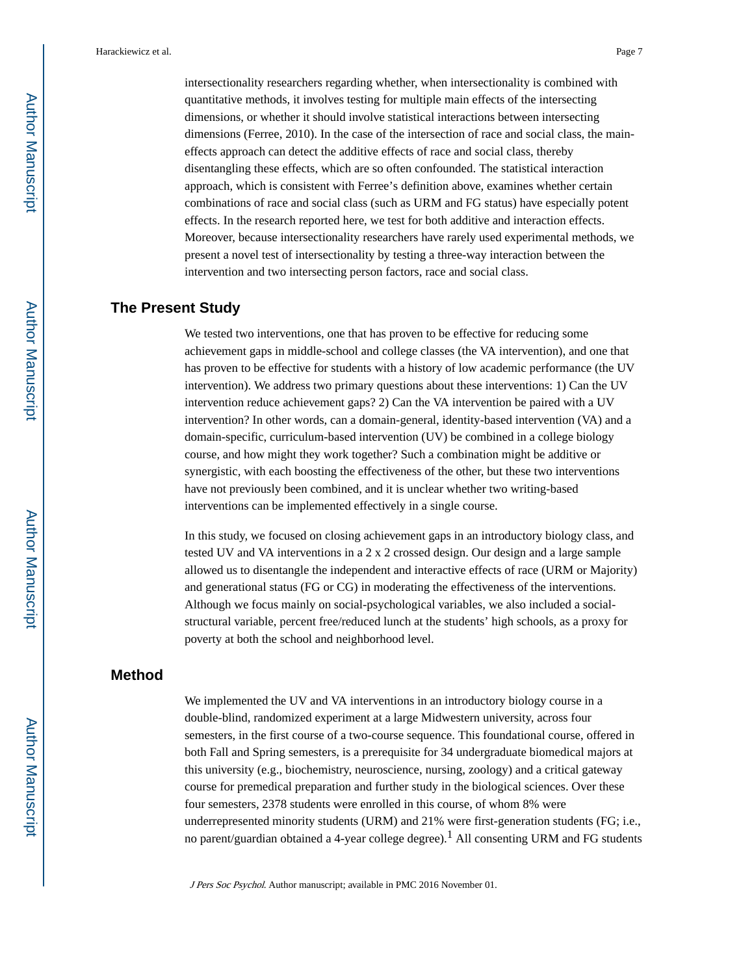intersectionality researchers regarding whether, when intersectionality is combined with quantitative methods, it involves testing for multiple main effects of the intersecting dimensions, or whether it should involve statistical interactions between intersecting dimensions (Ferree, 2010). In the case of the intersection of race and social class, the maineffects approach can detect the additive effects of race and social class, thereby disentangling these effects, which are so often confounded. The statistical interaction approach, which is consistent with Ferree's definition above, examines whether certain combinations of race and social class (such as URM and FG status) have especially potent effects. In the research reported here, we test for both additive and interaction effects. Moreover, because intersectionality researchers have rarely used experimental methods, we present a novel test of intersectionality by testing a three-way interaction between the

#### **The Present Study**

We tested two interventions, one that has proven to be effective for reducing some achievement gaps in middle-school and college classes (the VA intervention), and one that has proven to be effective for students with a history of low academic performance (the UV intervention). We address two primary questions about these interventions: 1) Can the UV intervention reduce achievement gaps? 2) Can the VA intervention be paired with a UV intervention? In other words, can a domain-general, identity-based intervention (VA) and a domain-specific, curriculum-based intervention (UV) be combined in a college biology course, and how might they work together? Such a combination might be additive or synergistic, with each boosting the effectiveness of the other, but these two interventions have not previously been combined, and it is unclear whether two writing-based interventions can be implemented effectively in a single course.

intervention and two intersecting person factors, race and social class.

In this study, we focused on closing achievement gaps in an introductory biology class, and tested UV and VA interventions in a 2 x 2 crossed design. Our design and a large sample allowed us to disentangle the independent and interactive effects of race (URM or Majority) and generational status (FG or CG) in moderating the effectiveness of the interventions. Although we focus mainly on social-psychological variables, we also included a socialstructural variable, percent free/reduced lunch at the students' high schools, as a proxy for poverty at both the school and neighborhood level.

#### **Method**

We implemented the UV and VA interventions in an introductory biology course in a double-blind, randomized experiment at a large Midwestern university, across four semesters, in the first course of a two-course sequence. This foundational course, offered in both Fall and Spring semesters, is a prerequisite for 34 undergraduate biomedical majors at this university (e.g., biochemistry, neuroscience, nursing, zoology) and a critical gateway course for premedical preparation and further study in the biological sciences. Over these four semesters, 2378 students were enrolled in this course, of whom 8% were underrepresented minority students (URM) and 21% were first-generation students (FG; i.e., no parent/guardian obtained a 4-year college degree).1 All consenting URM and FG students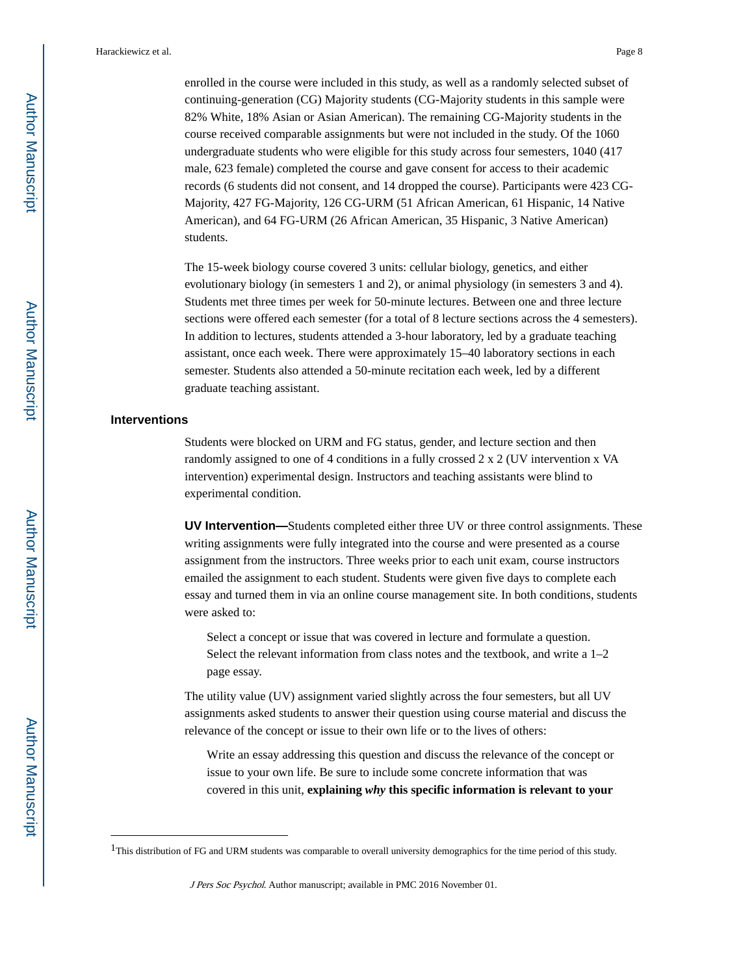enrolled in the course were included in this study, as well as a randomly selected subset of continuing-generation (CG) Majority students (CG-Majority students in this sample were 82% White, 18% Asian or Asian American). The remaining CG-Majority students in the course received comparable assignments but were not included in the study. Of the 1060 undergraduate students who were eligible for this study across four semesters, 1040 (417 male, 623 female) completed the course and gave consent for access to their academic records (6 students did not consent, and 14 dropped the course). Participants were 423 CG-Majority, 427 FG-Majority, 126 CG-URM (51 African American, 61 Hispanic, 14 Native American), and 64 FG-URM (26 African American, 35 Hispanic, 3 Native American) students.

The 15-week biology course covered 3 units: cellular biology, genetics, and either evolutionary biology (in semesters 1 and 2), or animal physiology (in semesters 3 and 4). Students met three times per week for 50-minute lectures. Between one and three lecture sections were offered each semester (for a total of 8 lecture sections across the 4 semesters). In addition to lectures, students attended a 3-hour laboratory, led by a graduate teaching assistant, once each week. There were approximately 15–40 laboratory sections in each semester. Students also attended a 50-minute recitation each week, led by a different graduate teaching assistant.

#### **Interventions**

Students were blocked on URM and FG status, gender, and lecture section and then randomly assigned to one of 4 conditions in a fully crossed 2 x 2 (UV intervention x VA intervention) experimental design. Instructors and teaching assistants were blind to experimental condition.

**UV Intervention—**Students completed either three UV or three control assignments. These writing assignments were fully integrated into the course and were presented as a course assignment from the instructors. Three weeks prior to each unit exam, course instructors emailed the assignment to each student. Students were given five days to complete each essay and turned them in via an online course management site. In both conditions, students were asked to:

Select a concept or issue that was covered in lecture and formulate a question. Select the relevant information from class notes and the textbook, and write a 1–2 page essay.

The utility value (UV) assignment varied slightly across the four semesters, but all UV assignments asked students to answer their question using course material and discuss the relevance of the concept or issue to their own life or to the lives of others:

Write an essay addressing this question and discuss the relevance of the concept or issue to your own life. Be sure to include some concrete information that was covered in this unit, **explaining** *why* **this specific information is relevant to your** 

 $1$ This distribution of FG and URM students was comparable to overall university demographics for the time period of this study.

J Pers Soc Psychol. Author manuscript; available in PMC 2016 November 01.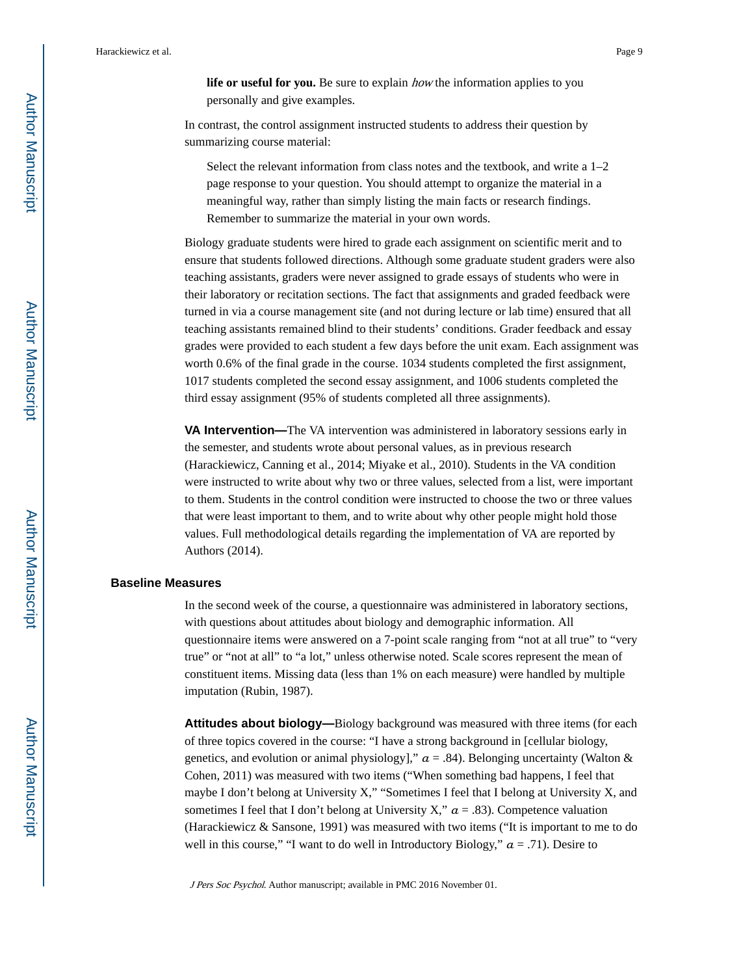**life or useful for you.** Be sure to explain *how* the information applies to you personally and give examples.

In contrast, the control assignment instructed students to address their question by summarizing course material:

Select the relevant information from class notes and the textbook, and write a  $1-2$ page response to your question. You should attempt to organize the material in a meaningful way, rather than simply listing the main facts or research findings. Remember to summarize the material in your own words.

Biology graduate students were hired to grade each assignment on scientific merit and to ensure that students followed directions. Although some graduate student graders were also teaching assistants, graders were never assigned to grade essays of students who were in their laboratory or recitation sections. The fact that assignments and graded feedback were turned in via a course management site (and not during lecture or lab time) ensured that all teaching assistants remained blind to their students' conditions. Grader feedback and essay grades were provided to each student a few days before the unit exam. Each assignment was worth 0.6% of the final grade in the course. 1034 students completed the first assignment, 1017 students completed the second essay assignment, and 1006 students completed the third essay assignment (95% of students completed all three assignments).

**VA Intervention—**The VA intervention was administered in laboratory sessions early in the semester, and students wrote about personal values, as in previous research (Harackiewicz, Canning et al., 2014; Miyake et al., 2010). Students in the VA condition were instructed to write about why two or three values, selected from a list, were important to them. Students in the control condition were instructed to choose the two or three values that were least important to them, and to write about why other people might hold those values. Full methodological details regarding the implementation of VA are reported by Authors (2014).

#### **Baseline Measures**

In the second week of the course, a questionnaire was administered in laboratory sections, with questions about attitudes about biology and demographic information. All questionnaire items were answered on a 7-point scale ranging from "not at all true" to "very true" or "not at all" to "a lot," unless otherwise noted. Scale scores represent the mean of constituent items. Missing data (less than 1% on each measure) were handled by multiple imputation (Rubin, 1987).

**Attitudes about biology—**Biology background was measured with three items (for each of three topics covered in the course: "I have a strong background in [cellular biology, genetics, and evolution or animal physiology],"  $a = .84$ ). Belonging uncertainty (Walton & Cohen, 2011) was measured with two items ("When something bad happens, I feel that maybe I don't belong at University X," "Sometimes I feel that I belong at University X, and sometimes I feel that I don't belong at University X,"  $a = .83$ ). Competence valuation (Harackiewicz & Sansone, 1991) was measured with two items ("It is important to me to do well in this course," "I want to do well in Introductory Biology,"  $a = .71$ ). Desire to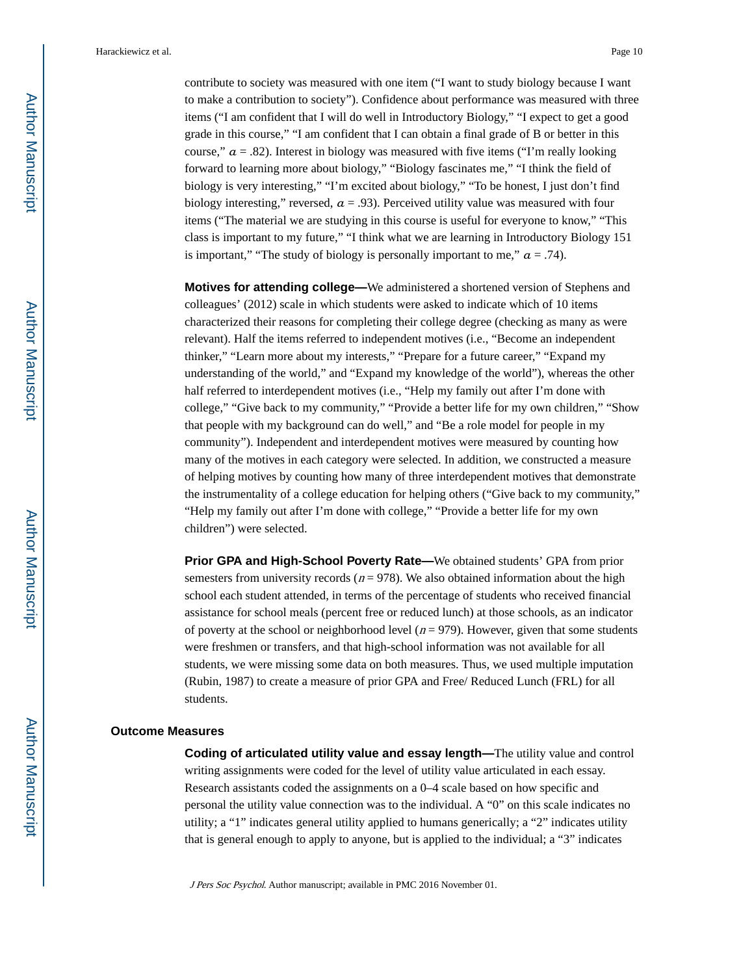contribute to society was measured with one item ("I want to study biology because I want to make a contribution to society"). Confidence about performance was measured with three items ("I am confident that I will do well in Introductory Biology," "I expect to get a good grade in this course," "I am confident that I can obtain a final grade of B or better in this course,"  $a = .82$ ). Interest in biology was measured with five items ("I'm really looking forward to learning more about biology," "Biology fascinates me," "I think the field of biology is very interesting," "I'm excited about biology," "To be honest, I just don't find biology interesting," reversed,  $a = .93$ ). Perceived utility value was measured with four items ("The material we are studying in this course is useful for everyone to know," "This class is important to my future," "I think what we are learning in Introductory Biology 151 is important," "The study of biology is personally important to me,"  $a = .74$ ).

**Motives for attending college—**We administered a shortened version of Stephens and colleagues' (2012) scale in which students were asked to indicate which of 10 items characterized their reasons for completing their college degree (checking as many as were relevant). Half the items referred to independent motives (i.e., "Become an independent thinker," "Learn more about my interests," "Prepare for a future career," "Expand my understanding of the world," and "Expand my knowledge of the world"), whereas the other half referred to interdependent motives (i.e., "Help my family out after I'm done with college," "Give back to my community," "Provide a better life for my own children," "Show that people with my background can do well," and "Be a role model for people in my community"). Independent and interdependent motives were measured by counting how many of the motives in each category were selected. In addition, we constructed a measure of helping motives by counting how many of three interdependent motives that demonstrate the instrumentality of a college education for helping others ("Give back to my community," "Help my family out after I'm done with college," "Provide a better life for my own children") were selected.

**Prior GPA and High-School Poverty Rate—**We obtained students' GPA from prior semesters from university records ( $n = 978$ ). We also obtained information about the high school each student attended, in terms of the percentage of students who received financial assistance for school meals (percent free or reduced lunch) at those schools, as an indicator of poverty at the school or neighborhood level ( $n = 979$ ). However, given that some students were freshmen or transfers, and that high-school information was not available for all students, we were missing some data on both measures. Thus, we used multiple imputation (Rubin, 1987) to create a measure of prior GPA and Free/ Reduced Lunch (FRL) for all students.

#### **Outcome Measures**

**Coding of articulated utility value and essay length—**The utility value and control writing assignments were coded for the level of utility value articulated in each essay. Research assistants coded the assignments on a 0–4 scale based on how specific and personal the utility value connection was to the individual. A "0" on this scale indicates no utility; a "1" indicates general utility applied to humans generically; a "2" indicates utility that is general enough to apply to anyone, but is applied to the individual; a "3" indicates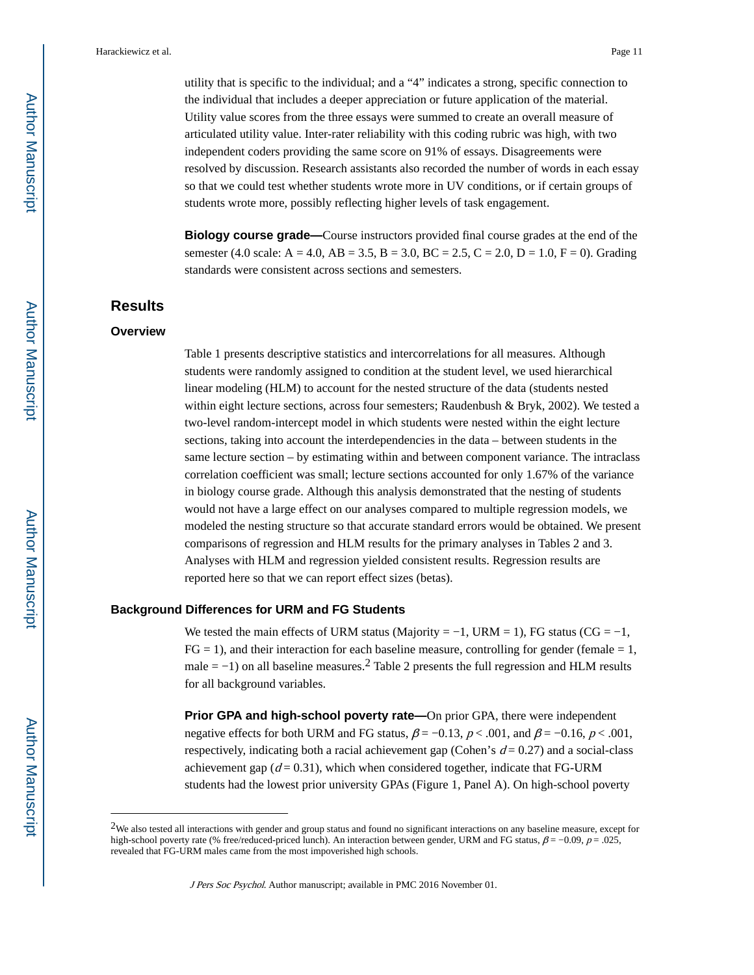utility that is specific to the individual; and a "4" indicates a strong, specific connection to the individual that includes a deeper appreciation or future application of the material. Utility value scores from the three essays were summed to create an overall measure of articulated utility value. Inter-rater reliability with this coding rubric was high, with two independent coders providing the same score on 91% of essays. Disagreements were resolved by discussion. Research assistants also recorded the number of words in each essay so that we could test whether students wrote more in UV conditions, or if certain groups of students wrote more, possibly reflecting higher levels of task engagement.

**Biology course grade—**Course instructors provided final course grades at the end of the semester (4.0 scale: A = 4.0, AB = 3.5, B = 3.0, BC = 2.5, C = 2.0, D = 1.0, F = 0). Grading standards were consistent across sections and semesters.

#### **Results**

#### **Overview**

Table 1 presents descriptive statistics and intercorrelations for all measures. Although students were randomly assigned to condition at the student level, we used hierarchical linear modeling (HLM) to account for the nested structure of the data (students nested within eight lecture sections, across four semesters; Raudenbush & Bryk, 2002). We tested a two-level random-intercept model in which students were nested within the eight lecture sections, taking into account the interdependencies in the data – between students in the same lecture section – by estimating within and between component variance. The intraclass correlation coefficient was small; lecture sections accounted for only 1.67% of the variance in biology course grade. Although this analysis demonstrated that the nesting of students would not have a large effect on our analyses compared to multiple regression models, we modeled the nesting structure so that accurate standard errors would be obtained. We present comparisons of regression and HLM results for the primary analyses in Tables 2 and 3. Analyses with HLM and regression yielded consistent results. Regression results are reported here so that we can report effect sizes (betas).

#### **Background Differences for URM and FG Students**

We tested the main effects of URM status (Majority =  $-1$ , URM = 1), FG status (CG =  $-1$ ,  $FG = 1$ ), and their interaction for each baseline measure, controlling for gender (female  $= 1$ , male  $= -1$ ) on all baseline measures.<sup>2</sup> Table 2 presents the full regression and HLM results for all background variables.

**Prior GPA and high-school poverty rate—On prior GPA, there were independent** negative effects for both URM and FG status,  $\beta = -0.13$ ,  $p < .001$ , and  $\beta = -0.16$ ,  $p < .001$ , respectively, indicating both a racial achievement gap (Cohen's  $d = 0.27$ ) and a social-class achievement gap  $(d = 0.31)$ , which when considered together, indicate that FG-URM students had the lowest prior university GPAs (Figure 1, Panel A). On high-school poverty

<sup>2</sup>We also tested all interactions with gender and group status and found no significant interactions on any baseline measure, except for high-school poverty rate (% free/reduced-priced lunch). An interaction between gender, URM and FG status,  $\beta = -0.09$ ,  $p = .025$ , revealed that FG-URM males came from the most impoverished high schools.

J Pers Soc Psychol. Author manuscript; available in PMC 2016 November 01.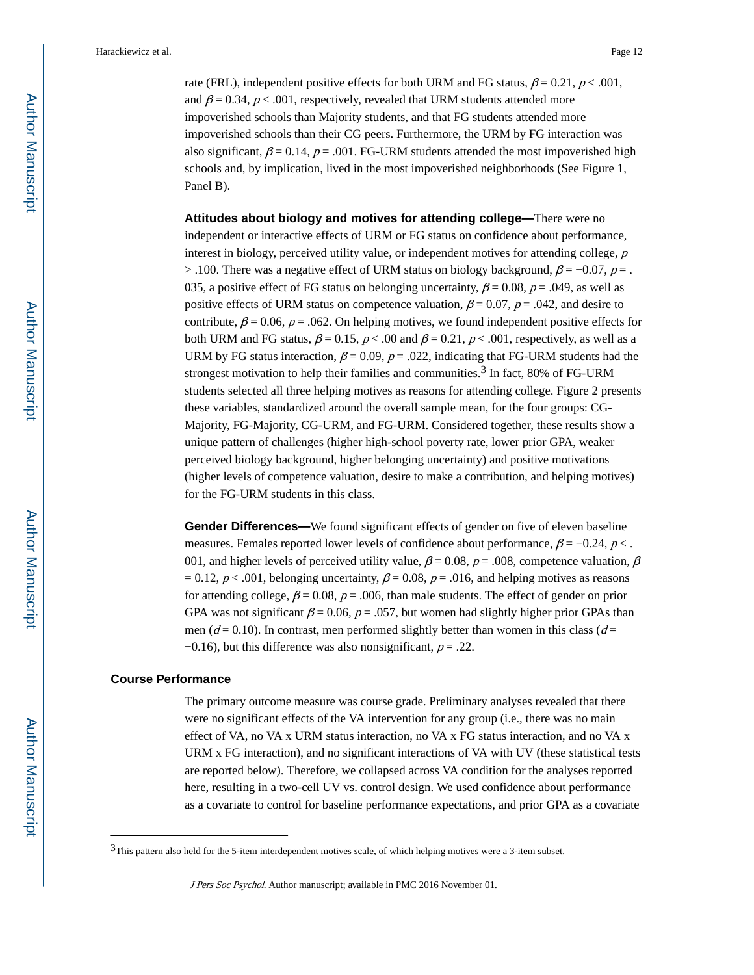rate (FRL), independent positive effects for both URM and FG status,  $\beta = 0.21$ ,  $p < .001$ , and  $\beta$  = 0.34, p < .001, respectively, revealed that URM students attended more impoverished schools than Majority students, and that FG students attended more impoverished schools than their CG peers. Furthermore, the URM by FG interaction was also significant,  $\beta = 0.14$ ,  $p = .001$ . FG-URM students attended the most impoverished high schools and, by implication, lived in the most impoverished neighborhoods (See Figure 1, Panel B).

**Attitudes about biology and motives for attending college—**There were no independent or interactive effects of URM or FG status on confidence about performance, interest in biology, perceived utility value, or independent motives for attending college,  $p$ > .100. There was a negative effect of URM status on biology background,  $\beta$  = -0.07, p = . 035, a positive effect of FG status on belonging uncertainty,  $\beta = 0.08$ ,  $p = .049$ , as well as positive effects of URM status on competence valuation,  $\beta = 0.07$ ,  $p = .042$ , and desire to contribute,  $\beta$  = 0.06, p = 0.062. On helping motives, we found independent positive effects for both URM and FG status,  $\beta = 0.15$ ,  $p < .00$  and  $\beta = 0.21$ ,  $p < .001$ , respectively, as well as a URM by FG status interaction,  $\beta = 0.09$ ,  $p = .022$ , indicating that FG-URM students had the strongest motivation to help their families and communities.<sup>3</sup> In fact, 80% of FG-URM students selected all three helping motives as reasons for attending college. Figure 2 presents these variables, standardized around the overall sample mean, for the four groups: CG-Majority, FG-Majority, CG-URM, and FG-URM. Considered together, these results show a unique pattern of challenges (higher high-school poverty rate, lower prior GPA, weaker perceived biology background, higher belonging uncertainty) and positive motivations (higher levels of competence valuation, desire to make a contribution, and helping motives) for the FG-URM students in this class.

**Gender Differences—**We found significant effects of gender on five of eleven baseline measures. Females reported lower levels of confidence about performance,  $\beta = -0.24$ ,  $p <$ . 001, and higher levels of perceived utility value,  $\beta = 0.08$ ,  $p = .008$ , competence valuation,  $\beta$  $= 0.12$ ,  $p < .001$ , belonging uncertainty,  $\beta = 0.08$ ,  $p = .016$ , and helping motives as reasons for attending college,  $\beta = 0.08$ ,  $p = .006$ , than male students. The effect of gender on prior GPA was not significant  $\beta$  = 0.06,  $p$  = .057, but women had slightly higher prior GPAs than men ( $d = 0.10$ ). In contrast, men performed slightly better than women in this class ( $d =$  $-0.16$ ), but this difference was also nonsignificant,  $p = .22$ .

#### **Course Performance**

The primary outcome measure was course grade. Preliminary analyses revealed that there were no significant effects of the VA intervention for any group (i.e., there was no main effect of VA, no VA x URM status interaction, no VA x FG status interaction, and no VA x URM x FG interaction), and no significant interactions of VA with UV (these statistical tests are reported below). Therefore, we collapsed across VA condition for the analyses reported here, resulting in a two-cell UV vs. control design. We used confidence about performance as a covariate to control for baseline performance expectations, and prior GPA as a covariate

 $3$ This pattern also held for the 5-item interdependent motives scale, of which helping motives were a 3-item subset.

J Pers Soc Psychol. Author manuscript; available in PMC 2016 November 01.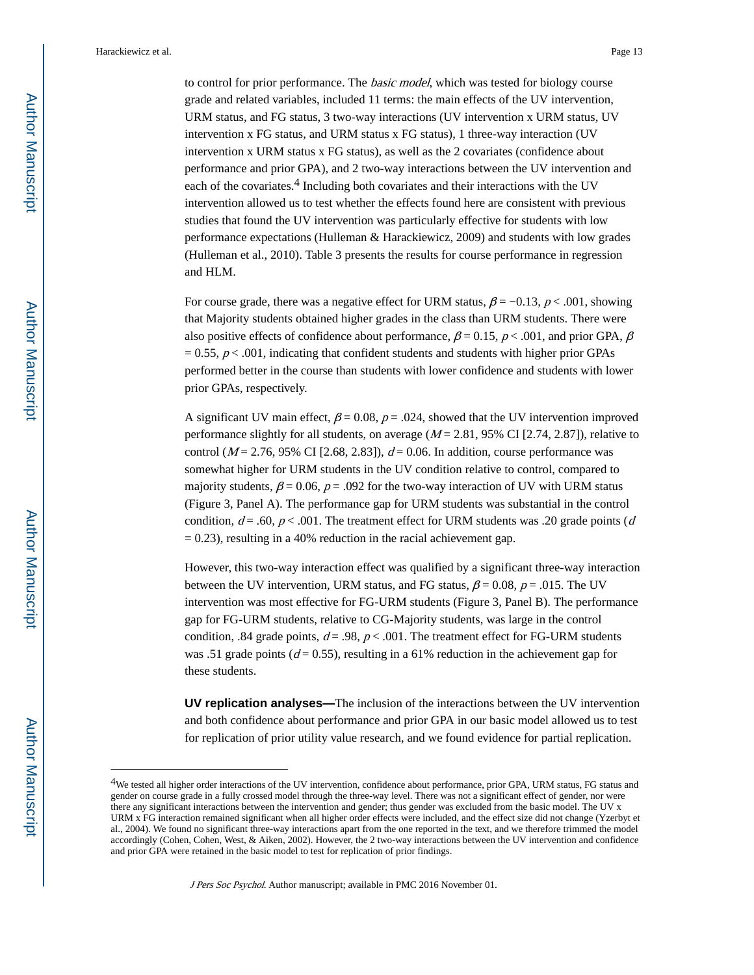to control for prior performance. The basic model, which was tested for biology course grade and related variables, included 11 terms: the main effects of the UV intervention, URM status, and FG status, 3 two-way interactions (UV intervention x URM status, UV intervention x FG status, and URM status x FG status), 1 three-way interaction (UV intervention x URM status x FG status), as well as the 2 covariates (confidence about performance and prior GPA), and 2 two-way interactions between the UV intervention and each of the covariates.<sup>4</sup> Including both covariates and their interactions with the UV intervention allowed us to test whether the effects found here are consistent with previous studies that found the UV intervention was particularly effective for students with low performance expectations (Hulleman & Harackiewicz, 2009) and students with low grades (Hulleman et al., 2010). Table 3 presents the results for course performance in regression and HLM.

For course grade, there was a negative effect for URM status,  $\beta = -0.13$ ,  $p < .001$ , showing that Majority students obtained higher grades in the class than URM students. There were also positive effects of confidence about performance,  $\beta = 0.15$ ,  $p < .001$ , and prior GPA,  $\beta$  $= 0.55$ ,  $p < .001$ , indicating that confident students and students with higher prior GPAs performed better in the course than students with lower confidence and students with lower prior GPAs, respectively.

A significant UV main effect,  $\beta = 0.08$ ,  $p = .024$ , showed that the UV intervention improved performance slightly for all students, on average  $(M = 2.81, 95\% \text{ CI} [2.74, 2.87])$ , relative to control ( $M = 2.76$ , 95% CI [2.68, 2.83]),  $d = 0.06$ . In addition, course performance was somewhat higher for URM students in the UV condition relative to control, compared to majority students,  $\beta$  = 0.06,  $p$  = .092 for the two-way interaction of UV with URM status (Figure 3, Panel A). The performance gap for URM students was substantial in the control condition,  $d = .60$ ,  $p < .001$ . The treatment effect for URM students was .20 grade points (d)  $= 0.23$ ), resulting in a 40% reduction in the racial achievement gap.

However, this two-way interaction effect was qualified by a significant three-way interaction between the UV intervention, URM status, and FG status,  $\beta = 0.08$ ,  $p = .015$ . The UV intervention was most effective for FG-URM students (Figure 3, Panel B). The performance gap for FG-URM students, relative to CG-Majority students, was large in the control condition, .84 grade points,  $d = .98$ ,  $p < .001$ . The treatment effect for FG-URM students was .51 grade points ( $d = 0.55$ ), resulting in a 61% reduction in the achievement gap for these students.

**UV replication analyses—**The inclusion of the interactions between the UV intervention and both confidence about performance and prior GPA in our basic model allowed us to test for replication of prior utility value research, and we found evidence for partial replication.

<sup>4</sup>We tested all higher order interactions of the UV intervention, confidence about performance, prior GPA, URM status, FG status and gender on course grade in a fully crossed model through the three-way level. There was not a significant effect of gender, nor were there any significant interactions between the intervention and gender; thus gender was excluded from the basic model. The UV x URM x FG interaction remained significant when all higher order effects were included, and the effect size did not change (Yzerbyt et al., 2004). We found no significant three-way interactions apart from the one reported in the text, and we therefore trimmed the model accordingly (Cohen, Cohen, West, & Aiken, 2002). However, the 2 two-way interactions between the UV intervention and confidence and prior GPA were retained in the basic model to test for replication of prior findings.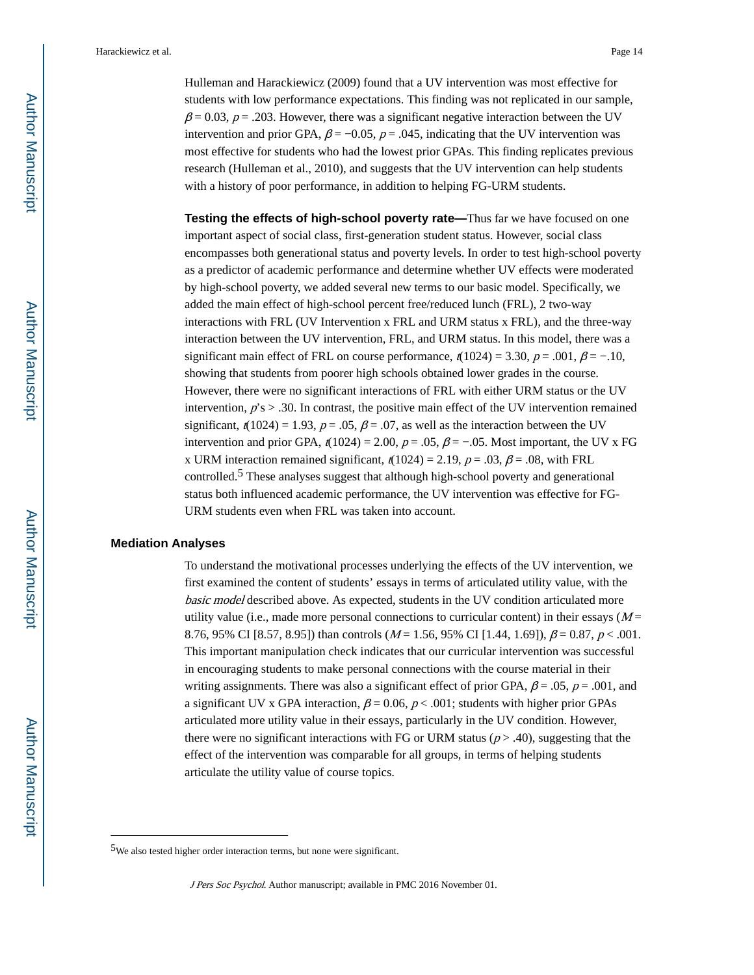Hulleman and Harackiewicz (2009) found that a UV intervention was most effective for students with low performance expectations. This finding was not replicated in our sample,  $\beta$  = 0.03, p = .203. However, there was a significant negative interaction between the UV intervention and prior GPA,  $\beta$  = -0.05, p = .045, indicating that the UV intervention was most effective for students who had the lowest prior GPAs. This finding replicates previous research (Hulleman et al., 2010), and suggests that the UV intervention can help students with a history of poor performance, in addition to helping FG-URM students.

**Testing the effects of high-school poverty rate—Thus far we have focused on one** important aspect of social class, first-generation student status. However, social class encompasses both generational status and poverty levels. In order to test high-school poverty as a predictor of academic performance and determine whether UV effects were moderated by high-school poverty, we added several new terms to our basic model. Specifically, we added the main effect of high-school percent free/reduced lunch (FRL), 2 two-way interactions with FRL (UV Intervention x FRL and URM status x FRL), and the three-way interaction between the UV intervention, FRL, and URM status. In this model, there was a significant main effect of FRL on course performance,  $t(1024) = 3.30$ ,  $p = .001$ ,  $\beta = -.10$ , showing that students from poorer high schools obtained lower grades in the course. However, there were no significant interactions of FRL with either URM status or the UV intervention,  $p's > .30$ . In contrast, the positive main effect of the UV intervention remained significant,  $t(1024) = 1.93$ ,  $p = .05$ ,  $\beta = .07$ , as well as the interaction between the UV intervention and prior GPA,  $t(1024) = 2.00$ ,  $p = .05$ ,  $\beta = -.05$ . Most important, the UV x FG x URM interaction remained significant,  $t(1024) = 2.19$ ,  $p = .03$ ,  $\beta = .08$ , with FRL controlled.5 These analyses suggest that although high-school poverty and generational status both influenced academic performance, the UV intervention was effective for FG-URM students even when FRL was taken into account.

#### **Mediation Analyses**

To understand the motivational processes underlying the effects of the UV intervention, we first examined the content of students' essays in terms of articulated utility value, with the basic model described above. As expected, students in the UV condition articulated more utility value (i.e., made more personal connections to curricular content) in their essays  $(M =$ 8.76, 95% CI [8.57, 8.95]) than controls  $(M = 1.56, 95\%$  CI [1.44, 1.69]),  $\beta = 0.87, p < .001$ . This important manipulation check indicates that our curricular intervention was successful in encouraging students to make personal connections with the course material in their writing assignments. There was also a significant effect of prior GPA,  $\beta$  = .05,  $\rho$  = .001, and a significant UV x GPA interaction,  $\beta = 0.06$ ,  $p < .001$ ; students with higher prior GPAs articulated more utility value in their essays, particularly in the UV condition. However, there were no significant interactions with FG or URM status ( $p$  > .40), suggesting that the effect of the intervention was comparable for all groups, in terms of helping students articulate the utility value of course topics.

<sup>5</sup>We also tested higher order interaction terms, but none were significant.

J Pers Soc Psychol. Author manuscript; available in PMC 2016 November 01.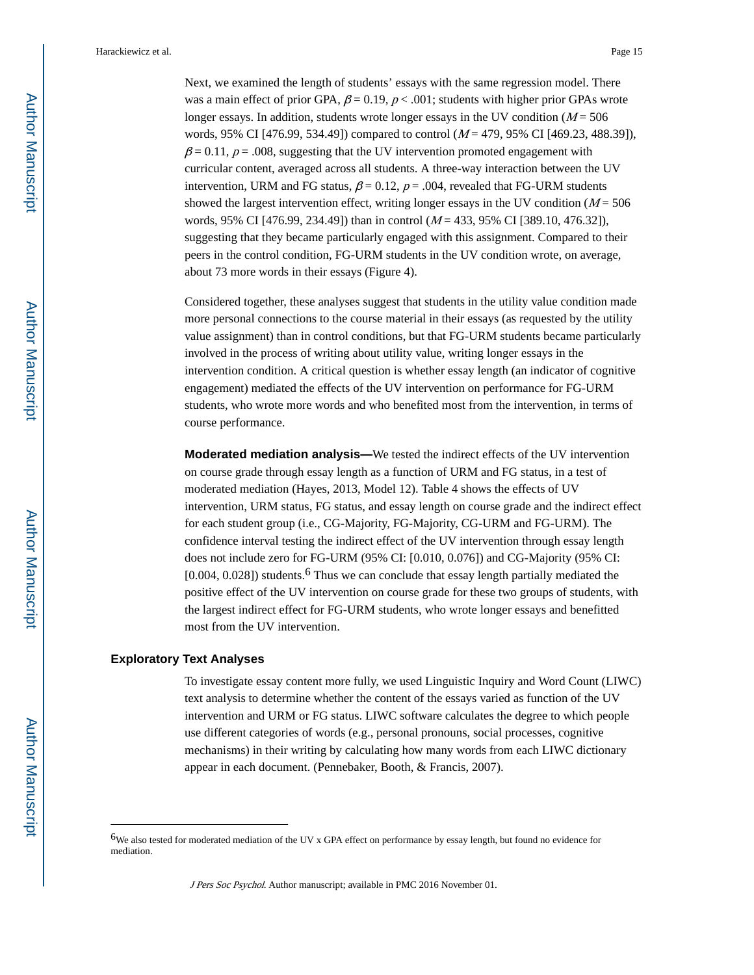Next, we examined the length of students' essays with the same regression model. There was a main effect of prior GPA,  $\beta = 0.19$ ,  $p < .001$ ; students with higher prior GPAs wrote longer essays. In addition, students wrote longer essays in the UV condition  $(M = 506$ words, 95% CI [476.99, 534.49]) compared to control ( $M = 479$ , 95% CI [469.23, 488.39]),  $\beta$  = 0.11, p = .008, suggesting that the UV intervention promoted engagement with curricular content, averaged across all students. A three-way interaction between the UV intervention, URM and FG status,  $\beta = 0.12$ ,  $p = .004$ , revealed that FG-URM students showed the largest intervention effect, writing longer essays in the UV condition ( $M = 506$ ) words, 95% CI [476.99, 234.49]) than in control  $(M = 433, 95\%$  CI [389.10, 476.32]), suggesting that they became particularly engaged with this assignment. Compared to their peers in the control condition, FG-URM students in the UV condition wrote, on average, about 73 more words in their essays (Figure 4).

Considered together, these analyses suggest that students in the utility value condition made more personal connections to the course material in their essays (as requested by the utility value assignment) than in control conditions, but that FG-URM students became particularly involved in the process of writing about utility value, writing longer essays in the intervention condition. A critical question is whether essay length (an indicator of cognitive engagement) mediated the effects of the UV intervention on performance for FG-URM students, who wrote more words and who benefited most from the intervention, in terms of course performance.

**Moderated mediation analysis—**We tested the indirect effects of the UV intervention on course grade through essay length as a function of URM and FG status, in a test of moderated mediation (Hayes, 2013, Model 12). Table 4 shows the effects of UV intervention, URM status, FG status, and essay length on course grade and the indirect effect for each student group (i.e., CG-Majority, FG-Majority, CG-URM and FG-URM). The confidence interval testing the indirect effect of the UV intervention through essay length does not include zero for FG-URM (95% CI: [0.010, 0.076]) and CG-Majority (95% CI:  $[0.004, 0.028]$ ) students.<sup>6</sup> Thus we can conclude that essay length partially mediated the positive effect of the UV intervention on course grade for these two groups of students, with the largest indirect effect for FG-URM students, who wrote longer essays and benefitted most from the UV intervention.

#### **Exploratory Text Analyses**

To investigate essay content more fully, we used Linguistic Inquiry and Word Count (LIWC) text analysis to determine whether the content of the essays varied as function of the UV intervention and URM or FG status. LIWC software calculates the degree to which people use different categories of words (e.g., personal pronouns, social processes, cognitive mechanisms) in their writing by calculating how many words from each LIWC dictionary appear in each document. (Pennebaker, Booth, & Francis, 2007).

<sup>6</sup>We also tested for moderated mediation of the UV x GPA effect on performance by essay length, but found no evidence for mediation.

J Pers Soc Psychol. Author manuscript; available in PMC 2016 November 01.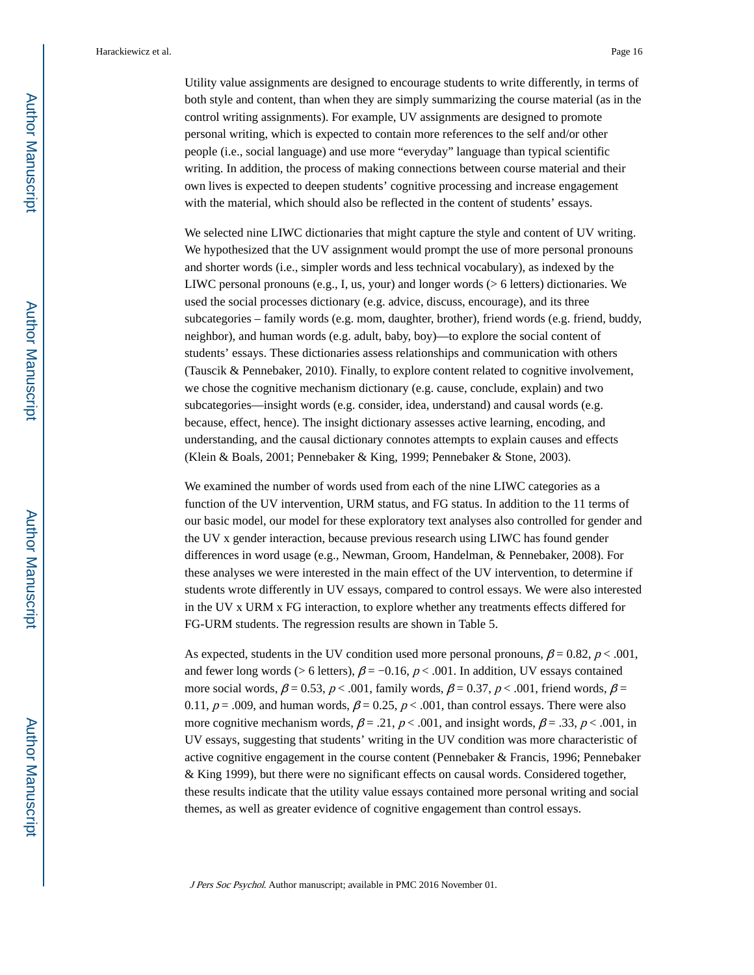Utility value assignments are designed to encourage students to write differently, in terms of both style and content, than when they are simply summarizing the course material (as in the control writing assignments). For example, UV assignments are designed to promote personal writing, which is expected to contain more references to the self and/or other people (i.e., social language) and use more "everyday" language than typical scientific writing. In addition, the process of making connections between course material and their own lives is expected to deepen students' cognitive processing and increase engagement with the material, which should also be reflected in the content of students' essays.

We selected nine LIWC dictionaries that might capture the style and content of UV writing. We hypothesized that the UV assignment would prompt the use of more personal pronouns and shorter words (i.e., simpler words and less technical vocabulary), as indexed by the LIWC personal pronouns (e.g., I, us, your) and longer words (> 6 letters) dictionaries. We used the social processes dictionary (e.g. advice, discuss, encourage), and its three subcategories – family words (e.g. mom, daughter, brother), friend words (e.g. friend, buddy, neighbor), and human words (e.g. adult, baby, boy)—to explore the social content of students' essays. These dictionaries assess relationships and communication with others (Tauscik & Pennebaker, 2010). Finally, to explore content related to cognitive involvement, we chose the cognitive mechanism dictionary (e.g. cause, conclude, explain) and two subcategories—insight words (e.g. consider, idea, understand) and causal words (e.g. because, effect, hence). The insight dictionary assesses active learning, encoding, and understanding, and the causal dictionary connotes attempts to explain causes and effects (Klein & Boals, 2001; Pennebaker & King, 1999; Pennebaker & Stone, 2003).

We examined the number of words used from each of the nine LIWC categories as a function of the UV intervention, URM status, and FG status. In addition to the 11 terms of our basic model, our model for these exploratory text analyses also controlled for gender and the UV x gender interaction, because previous research using LIWC has found gender differences in word usage (e.g., Newman, Groom, Handelman, & Pennebaker, 2008). For these analyses we were interested in the main effect of the UV intervention, to determine if students wrote differently in UV essays, compared to control essays. We were also interested in the UV x URM x FG interaction, to explore whether any treatments effects differed for FG-URM students. The regression results are shown in Table 5.

As expected, students in the UV condition used more personal pronouns,  $\beta = 0.82$ ,  $p < .001$ , and fewer long words (> 6 letters),  $\beta$  = -0.16, p < .001. In addition, UV essays contained more social words,  $\beta = 0.53$ ,  $p < .001$ , family words,  $\beta = 0.37$ ,  $p < .001$ , friend words,  $\beta =$ 0.11,  $p = .009$ , and human words,  $\beta = 0.25$ ,  $p < .001$ , than control essays. There were also more cognitive mechanism words,  $\beta = .21$ ,  $p < .001$ , and insight words,  $\beta = .33$ ,  $p < .001$ , in UV essays, suggesting that students' writing in the UV condition was more characteristic of active cognitive engagement in the course content (Pennebaker & Francis, 1996; Pennebaker & King 1999), but there were no significant effects on causal words. Considered together, these results indicate that the utility value essays contained more personal writing and social themes, as well as greater evidence of cognitive engagement than control essays.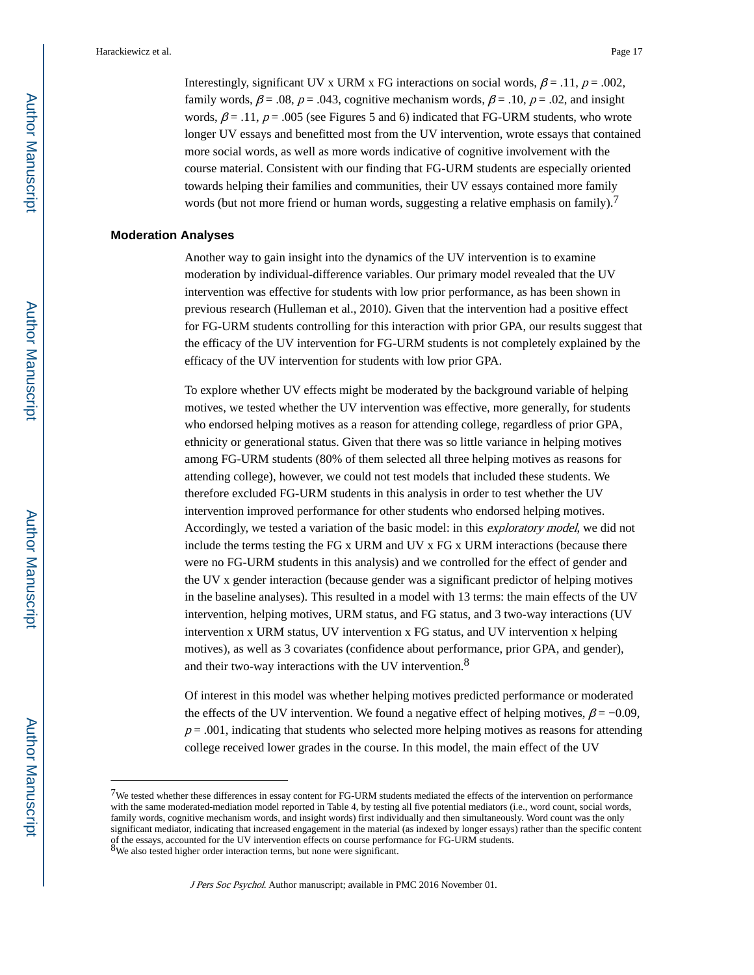Interestingly, significant UV x URM x FG interactions on social words,  $\beta = .11$ ,  $p = .002$ , family words,  $\beta = .08$ ,  $p = .043$ , cognitive mechanism words,  $\beta = .10$ ,  $p = .02$ , and insight words,  $\beta = .11$ ,  $p = .005$  (see Figures 5 and 6) indicated that FG-URM students, who wrote longer UV essays and benefitted most from the UV intervention, wrote essays that contained more social words, as well as more words indicative of cognitive involvement with the course material. Consistent with our finding that FG-URM students are especially oriented towards helping their families and communities, their UV essays contained more family words (but not more friend or human words, suggesting a relative emphasis on family).<sup>7</sup>

#### **Moderation Analyses**

Another way to gain insight into the dynamics of the UV intervention is to examine moderation by individual-difference variables. Our primary model revealed that the UV intervention was effective for students with low prior performance, as has been shown in previous research (Hulleman et al., 2010). Given that the intervention had a positive effect for FG-URM students controlling for this interaction with prior GPA, our results suggest that the efficacy of the UV intervention for FG-URM students is not completely explained by the efficacy of the UV intervention for students with low prior GPA.

To explore whether UV effects might be moderated by the background variable of helping motives, we tested whether the UV intervention was effective, more generally, for students who endorsed helping motives as a reason for attending college, regardless of prior GPA, ethnicity or generational status. Given that there was so little variance in helping motives among FG-URM students (80% of them selected all three helping motives as reasons for attending college), however, we could not test models that included these students. We therefore excluded FG-URM students in this analysis in order to test whether the UV intervention improved performance for other students who endorsed helping motives. Accordingly, we tested a variation of the basic model: in this exploratory model, we did not include the terms testing the FG x URM and UV x FG x URM interactions (because there were no FG-URM students in this analysis) and we controlled for the effect of gender and the UV x gender interaction (because gender was a significant predictor of helping motives in the baseline analyses). This resulted in a model with 13 terms: the main effects of the UV intervention, helping motives, URM status, and FG status, and 3 two-way interactions (UV intervention x URM status, UV intervention x FG status, and UV intervention x helping motives), as well as 3 covariates (confidence about performance, prior GPA, and gender), and their two-way interactions with the UV intervention.<sup>8</sup>

Of interest in this model was whether helping motives predicted performance or moderated the effects of the UV intervention. We found a negative effect of helping motives,  $\beta = -0.09$ ,  $p = .001$ , indicating that students who selected more helping motives as reasons for attending college received lower grades in the course. In this model, the main effect of the UV

<sup>7</sup>We tested whether these differences in essay content for FG-URM students mediated the effects of the intervention on performance with the same moderated-mediation model reported in Table 4, by testing all five potential mediators (i.e., word count, social words, family words, cognitive mechanism words, and insight words) first individually and then simultaneously. Word count was the only significant mediator, indicating that increased engagement in the material (as indexed by longer essays) rather than the specific content of the essays, accounted for the UV intervention effects on course performance for FG-URM students.<br><sup>8</sup>We also tested higher order interaction terms, but none were significant.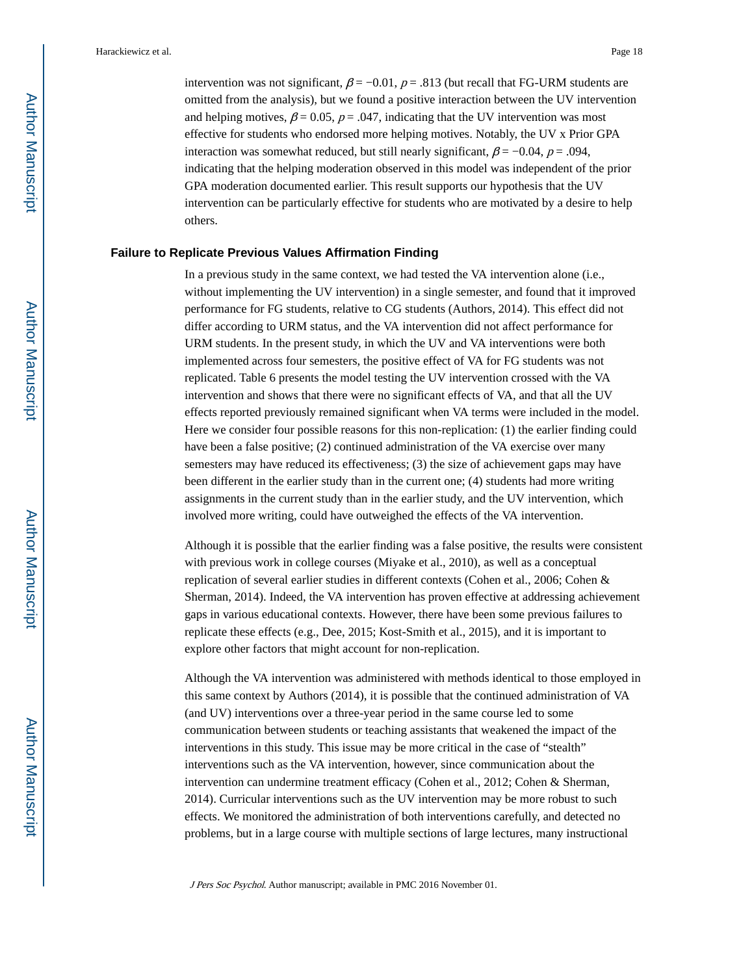intervention was not significant,  $\beta = -0.01$ ,  $p = .813$  (but recall that FG-URM students are omitted from the analysis), but we found a positive interaction between the UV intervention and helping motives,  $\beta = 0.05$ ,  $p = .047$ , indicating that the UV intervention was most effective for students who endorsed more helping motives. Notably, the UV x Prior GPA interaction was somewhat reduced, but still nearly significant,  $\beta = -0.04$ ,  $p = .094$ , indicating that the helping moderation observed in this model was independent of the prior GPA moderation documented earlier. This result supports our hypothesis that the UV intervention can be particularly effective for students who are motivated by a desire to help others.

#### **Failure to Replicate Previous Values Affirmation Finding**

In a previous study in the same context, we had tested the VA intervention alone (i.e., without implementing the UV intervention) in a single semester, and found that it improved performance for FG students, relative to CG students (Authors, 2014). This effect did not differ according to URM status, and the VA intervention did not affect performance for URM students. In the present study, in which the UV and VA interventions were both implemented across four semesters, the positive effect of VA for FG students was not replicated. Table 6 presents the model testing the UV intervention crossed with the VA intervention and shows that there were no significant effects of VA, and that all the UV effects reported previously remained significant when VA terms were included in the model. Here we consider four possible reasons for this non-replication: (1) the earlier finding could have been a false positive; (2) continued administration of the VA exercise over many semesters may have reduced its effectiveness; (3) the size of achievement gaps may have been different in the earlier study than in the current one; (4) students had more writing assignments in the current study than in the earlier study, and the UV intervention, which involved more writing, could have outweighed the effects of the VA intervention.

Although it is possible that the earlier finding was a false positive, the results were consistent with previous work in college courses (Miyake et al., 2010), as well as a conceptual replication of several earlier studies in different contexts (Cohen et al., 2006; Cohen & Sherman, 2014). Indeed, the VA intervention has proven effective at addressing achievement gaps in various educational contexts. However, there have been some previous failures to replicate these effects (e.g., Dee, 2015; Kost-Smith et al., 2015), and it is important to explore other factors that might account for non-replication.

Although the VA intervention was administered with methods identical to those employed in this same context by Authors (2014), it is possible that the continued administration of VA (and UV) interventions over a three-year period in the same course led to some communication between students or teaching assistants that weakened the impact of the interventions in this study. This issue may be more critical in the case of "stealth" interventions such as the VA intervention, however, since communication about the intervention can undermine treatment efficacy (Cohen et al., 2012; Cohen & Sherman, 2014). Curricular interventions such as the UV intervention may be more robust to such effects. We monitored the administration of both interventions carefully, and detected no problems, but in a large course with multiple sections of large lectures, many instructional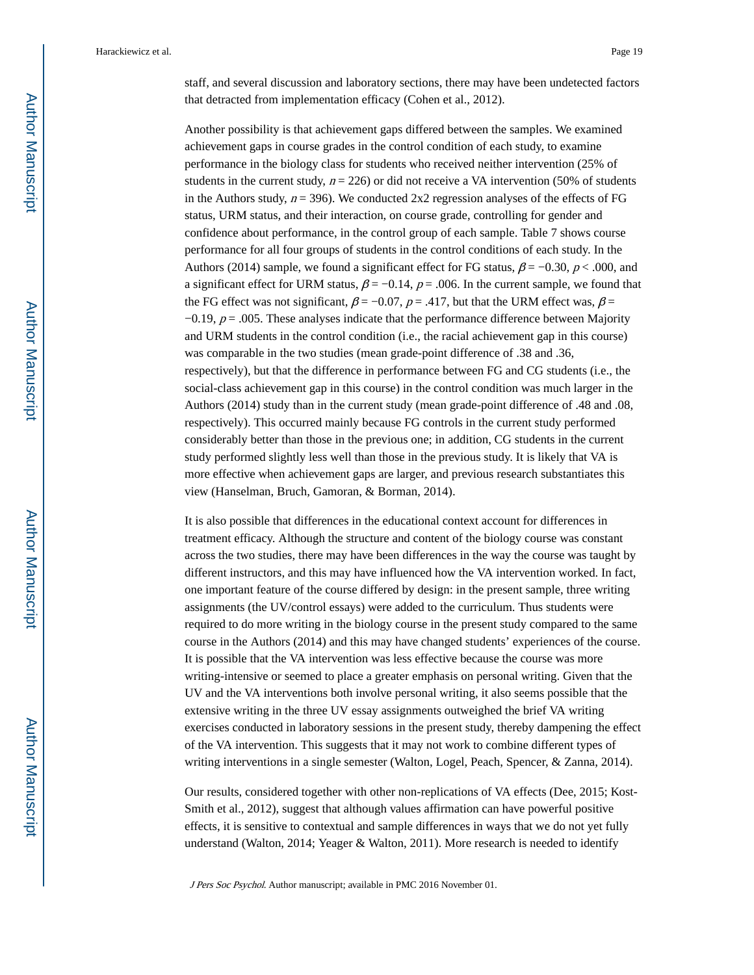staff, and several discussion and laboratory sections, there may have been undetected factors that detracted from implementation efficacy (Cohen et al., 2012).

Another possibility is that achievement gaps differed between the samples. We examined achievement gaps in course grades in the control condition of each study, to examine performance in the biology class for students who received neither intervention (25% of students in the current study,  $n = 226$ ) or did not receive a VA intervention (50% of students in the Authors study,  $n = 396$ ). We conducted 2x2 regression analyses of the effects of FG status, URM status, and their interaction, on course grade, controlling for gender and confidence about performance, in the control group of each sample. Table 7 shows course performance for all four groups of students in the control conditions of each study. In the Authors (2014) sample, we found a significant effect for FG status,  $\beta = -0.30$ ,  $p < .000$ , and a significant effect for URM status,  $\beta = -0.14$ ,  $p = .006$ . In the current sample, we found that the FG effect was not significant,  $\beta = -0.07$ ,  $p = .417$ , but that the URM effect was,  $\beta =$  $-0.19$ ,  $p = .005$ . These analyses indicate that the performance difference between Majority and URM students in the control condition (i.e., the racial achievement gap in this course) was comparable in the two studies (mean grade-point difference of .38 and .36, respectively), but that the difference in performance between FG and CG students (i.e., the social-class achievement gap in this course) in the control condition was much larger in the Authors (2014) study than in the current study (mean grade-point difference of .48 and .08, respectively). This occurred mainly because FG controls in the current study performed considerably better than those in the previous one; in addition, CG students in the current study performed slightly less well than those in the previous study. It is likely that VA is more effective when achievement gaps are larger, and previous research substantiates this view (Hanselman, Bruch, Gamoran, & Borman, 2014).

It is also possible that differences in the educational context account for differences in treatment efficacy. Although the structure and content of the biology course was constant across the two studies, there may have been differences in the way the course was taught by different instructors, and this may have influenced how the VA intervention worked. In fact, one important feature of the course differed by design: in the present sample, three writing assignments (the UV/control essays) were added to the curriculum. Thus students were required to do more writing in the biology course in the present study compared to the same course in the Authors (2014) and this may have changed students' experiences of the course. It is possible that the VA intervention was less effective because the course was more writing-intensive or seemed to place a greater emphasis on personal writing. Given that the UV and the VA interventions both involve personal writing, it also seems possible that the extensive writing in the three UV essay assignments outweighed the brief VA writing exercises conducted in laboratory sessions in the present study, thereby dampening the effect of the VA intervention. This suggests that it may not work to combine different types of writing interventions in a single semester (Walton, Logel, Peach, Spencer, & Zanna, 2014).

Our results, considered together with other non-replications of VA effects (Dee, 2015; Kost-Smith et al., 2012), suggest that although values affirmation can have powerful positive effects, it is sensitive to contextual and sample differences in ways that we do not yet fully understand (Walton, 2014; Yeager & Walton, 2011). More research is needed to identify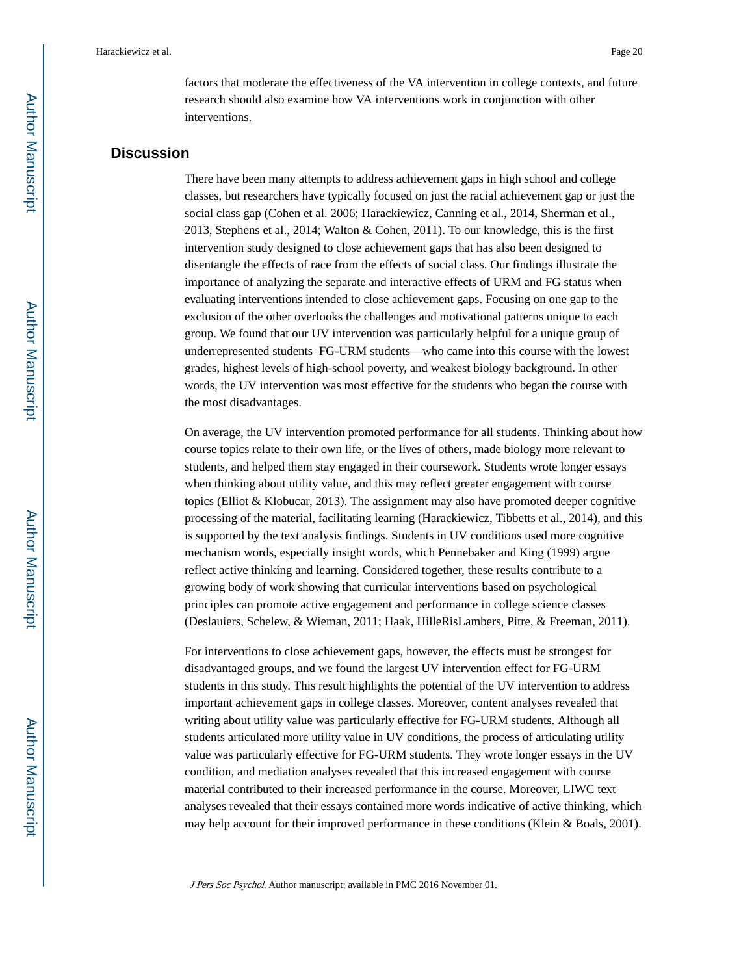factors that moderate the effectiveness of the VA intervention in college contexts, and future research should also examine how VA interventions work in conjunction with other interventions.

#### **Discussion**

There have been many attempts to address achievement gaps in high school and college classes, but researchers have typically focused on just the racial achievement gap or just the social class gap (Cohen et al. 2006; Harackiewicz, Canning et al., 2014, Sherman et al., 2013, Stephens et al., 2014; Walton & Cohen, 2011). To our knowledge, this is the first intervention study designed to close achievement gaps that has also been designed to disentangle the effects of race from the effects of social class. Our findings illustrate the importance of analyzing the separate and interactive effects of URM and FG status when evaluating interventions intended to close achievement gaps. Focusing on one gap to the exclusion of the other overlooks the challenges and motivational patterns unique to each group. We found that our UV intervention was particularly helpful for a unique group of underrepresented students–FG-URM students—who came into this course with the lowest grades, highest levels of high-school poverty, and weakest biology background. In other words, the UV intervention was most effective for the students who began the course with the most disadvantages.

On average, the UV intervention promoted performance for all students. Thinking about how course topics relate to their own life, or the lives of others, made biology more relevant to students, and helped them stay engaged in their coursework. Students wrote longer essays when thinking about utility value, and this may reflect greater engagement with course topics (Elliot & Klobucar, 2013). The assignment may also have promoted deeper cognitive processing of the material, facilitating learning (Harackiewicz, Tibbetts et al., 2014), and this is supported by the text analysis findings. Students in UV conditions used more cognitive mechanism words, especially insight words, which Pennebaker and King (1999) argue reflect active thinking and learning. Considered together, these results contribute to a growing body of work showing that curricular interventions based on psychological principles can promote active engagement and performance in college science classes (Deslauiers, Schelew, & Wieman, 2011; Haak, HilleRisLambers, Pitre, & Freeman, 2011).

For interventions to close achievement gaps, however, the effects must be strongest for disadvantaged groups, and we found the largest UV intervention effect for FG-URM students in this study. This result highlights the potential of the UV intervention to address important achievement gaps in college classes. Moreover, content analyses revealed that writing about utility value was particularly effective for FG-URM students. Although all students articulated more utility value in UV conditions, the process of articulating utility value was particularly effective for FG-URM students. They wrote longer essays in the UV condition, and mediation analyses revealed that this increased engagement with course material contributed to their increased performance in the course. Moreover, LIWC text analyses revealed that their essays contained more words indicative of active thinking, which may help account for their improved performance in these conditions (Klein & Boals, 2001).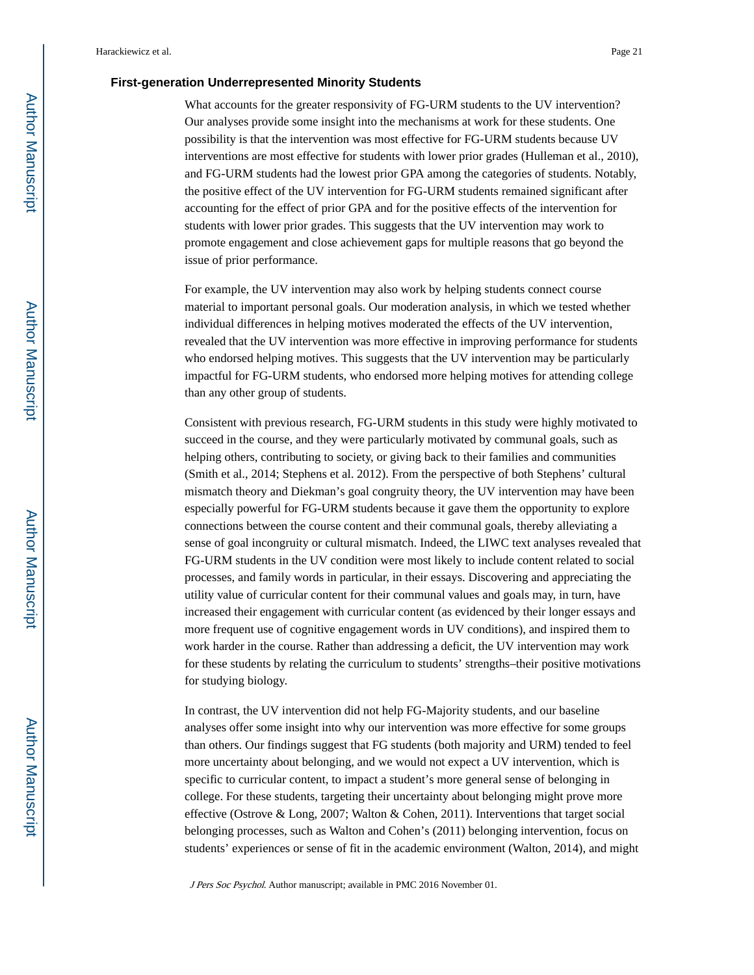#### **First-generation Underrepresented Minority Students**

What accounts for the greater responsivity of FG-URM students to the UV intervention? Our analyses provide some insight into the mechanisms at work for these students. One possibility is that the intervention was most effective for FG-URM students because UV interventions are most effective for students with lower prior grades (Hulleman et al., 2010), and FG-URM students had the lowest prior GPA among the categories of students. Notably, the positive effect of the UV intervention for FG-URM students remained significant after accounting for the effect of prior GPA and for the positive effects of the intervention for students with lower prior grades. This suggests that the UV intervention may work to promote engagement and close achievement gaps for multiple reasons that go beyond the issue of prior performance.

For example, the UV intervention may also work by helping students connect course material to important personal goals. Our moderation analysis, in which we tested whether individual differences in helping motives moderated the effects of the UV intervention, revealed that the UV intervention was more effective in improving performance for students who endorsed helping motives. This suggests that the UV intervention may be particularly impactful for FG-URM students, who endorsed more helping motives for attending college than any other group of students.

Consistent with previous research, FG-URM students in this study were highly motivated to succeed in the course, and they were particularly motivated by communal goals, such as helping others, contributing to society, or giving back to their families and communities (Smith et al., 2014; Stephens et al. 2012). From the perspective of both Stephens' cultural mismatch theory and Diekman's goal congruity theory, the UV intervention may have been especially powerful for FG-URM students because it gave them the opportunity to explore connections between the course content and their communal goals, thereby alleviating a sense of goal incongruity or cultural mismatch. Indeed, the LIWC text analyses revealed that FG-URM students in the UV condition were most likely to include content related to social processes, and family words in particular, in their essays. Discovering and appreciating the utility value of curricular content for their communal values and goals may, in turn, have increased their engagement with curricular content (as evidenced by their longer essays and more frequent use of cognitive engagement words in UV conditions), and inspired them to work harder in the course. Rather than addressing a deficit, the UV intervention may work for these students by relating the curriculum to students' strengths–their positive motivations for studying biology.

In contrast, the UV intervention did not help FG-Majority students, and our baseline analyses offer some insight into why our intervention was more effective for some groups than others. Our findings suggest that FG students (both majority and URM) tended to feel more uncertainty about belonging, and we would not expect a UV intervention, which is specific to curricular content, to impact a student's more general sense of belonging in college. For these students, targeting their uncertainty about belonging might prove more effective (Ostrove & Long, 2007; Walton & Cohen, 2011). Interventions that target social belonging processes, such as Walton and Cohen's (2011) belonging intervention, focus on students' experiences or sense of fit in the academic environment (Walton, 2014), and might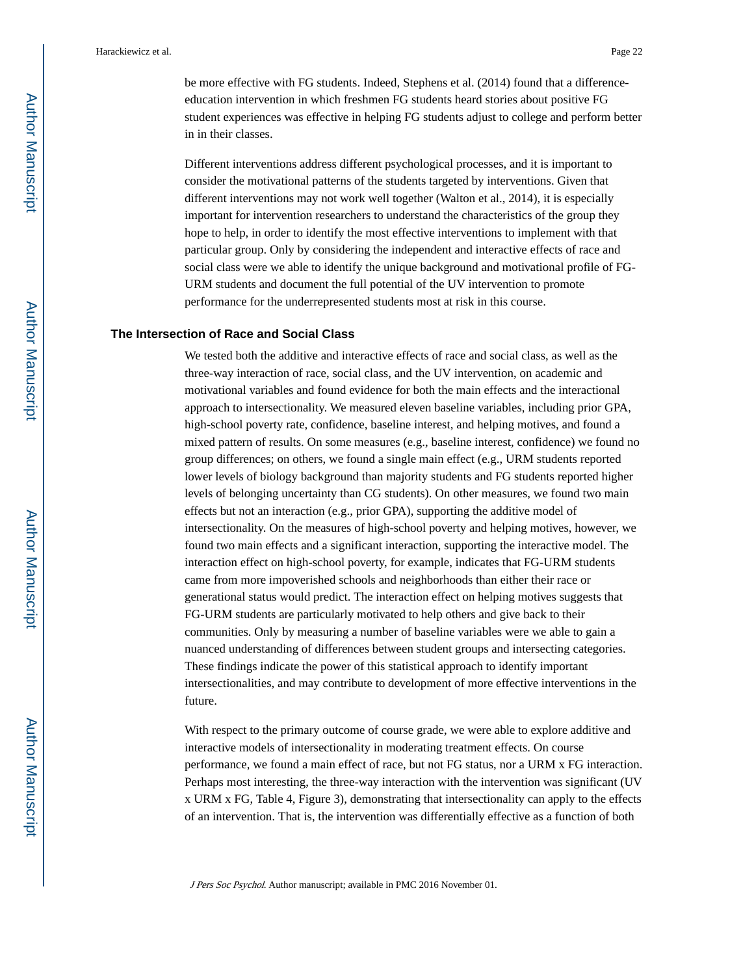be more effective with FG students. Indeed, Stephens et al. (2014) found that a differenceeducation intervention in which freshmen FG students heard stories about positive FG student experiences was effective in helping FG students adjust to college and perform better in in their classes.

Different interventions address different psychological processes, and it is important to consider the motivational patterns of the students targeted by interventions. Given that different interventions may not work well together (Walton et al., 2014), it is especially important for intervention researchers to understand the characteristics of the group they hope to help, in order to identify the most effective interventions to implement with that particular group. Only by considering the independent and interactive effects of race and social class were we able to identify the unique background and motivational profile of FG-URM students and document the full potential of the UV intervention to promote performance for the underrepresented students most at risk in this course.

#### **The Intersection of Race and Social Class**

We tested both the additive and interactive effects of race and social class, as well as the three-way interaction of race, social class, and the UV intervention, on academic and motivational variables and found evidence for both the main effects and the interactional approach to intersectionality. We measured eleven baseline variables, including prior GPA, high-school poverty rate, confidence, baseline interest, and helping motives, and found a mixed pattern of results. On some measures (e.g., baseline interest, confidence) we found no group differences; on others, we found a single main effect (e.g., URM students reported lower levels of biology background than majority students and FG students reported higher levels of belonging uncertainty than CG students). On other measures, we found two main effects but not an interaction (e.g., prior GPA), supporting the additive model of intersectionality. On the measures of high-school poverty and helping motives, however, we found two main effects and a significant interaction, supporting the interactive model. The interaction effect on high-school poverty, for example, indicates that FG-URM students came from more impoverished schools and neighborhoods than either their race or generational status would predict. The interaction effect on helping motives suggests that FG-URM students are particularly motivated to help others and give back to their communities. Only by measuring a number of baseline variables were we able to gain a nuanced understanding of differences between student groups and intersecting categories. These findings indicate the power of this statistical approach to identify important intersectionalities, and may contribute to development of more effective interventions in the future.

With respect to the primary outcome of course grade, we were able to explore additive and interactive models of intersectionality in moderating treatment effects. On course performance, we found a main effect of race, but not FG status, nor a URM x FG interaction. Perhaps most interesting, the three-way interaction with the intervention was significant (UV x URM x FG, Table 4, Figure 3), demonstrating that intersectionality can apply to the effects of an intervention. That is, the intervention was differentially effective as a function of both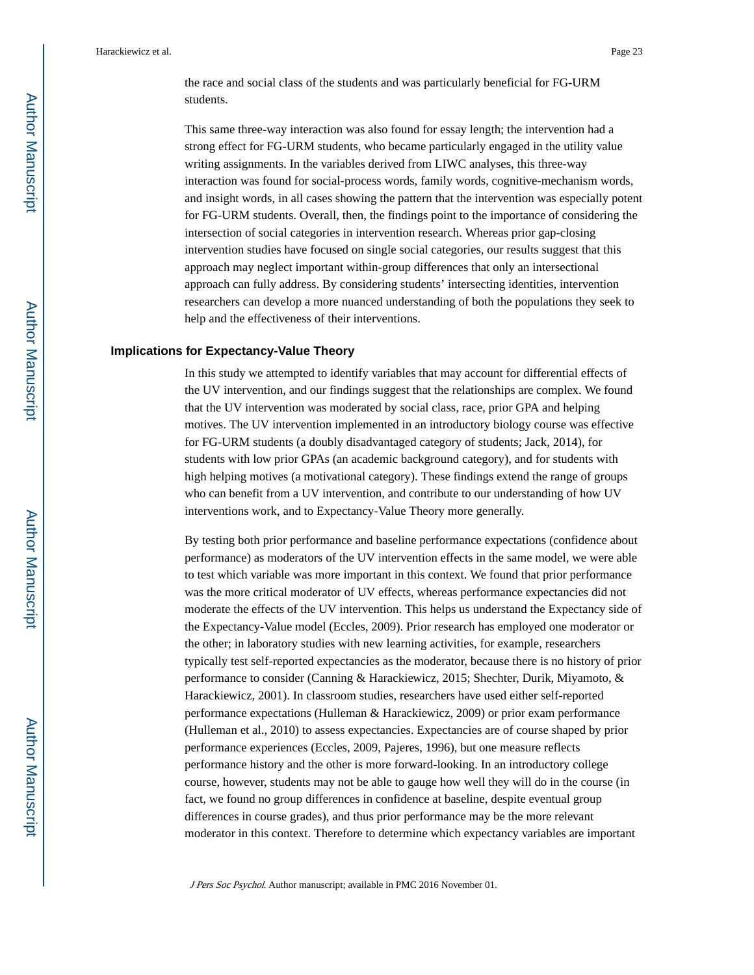the race and social class of the students and was particularly beneficial for FG-URM students.

This same three-way interaction was also found for essay length; the intervention had a strong effect for FG-URM students, who became particularly engaged in the utility value writing assignments. In the variables derived from LIWC analyses, this three-way interaction was found for social-process words, family words, cognitive-mechanism words, and insight words, in all cases showing the pattern that the intervention was especially potent for FG-URM students. Overall, then, the findings point to the importance of considering the intersection of social categories in intervention research. Whereas prior gap-closing intervention studies have focused on single social categories, our results suggest that this approach may neglect important within-group differences that only an intersectional approach can fully address. By considering students' intersecting identities, intervention researchers can develop a more nuanced understanding of both the populations they seek to help and the effectiveness of their interventions.

#### **Implications for Expectancy-Value Theory**

In this study we attempted to identify variables that may account for differential effects of the UV intervention, and our findings suggest that the relationships are complex. We found that the UV intervention was moderated by social class, race, prior GPA and helping motives. The UV intervention implemented in an introductory biology course was effective for FG-URM students (a doubly disadvantaged category of students; Jack, 2014), for students with low prior GPAs (an academic background category), and for students with high helping motives (a motivational category). These findings extend the range of groups who can benefit from a UV intervention, and contribute to our understanding of how UV interventions work, and to Expectancy-Value Theory more generally.

By testing both prior performance and baseline performance expectations (confidence about performance) as moderators of the UV intervention effects in the same model, we were able to test which variable was more important in this context. We found that prior performance was the more critical moderator of UV effects, whereas performance expectancies did not moderate the effects of the UV intervention. This helps us understand the Expectancy side of the Expectancy-Value model (Eccles, 2009). Prior research has employed one moderator or the other; in laboratory studies with new learning activities, for example, researchers typically test self-reported expectancies as the moderator, because there is no history of prior performance to consider (Canning & Harackiewicz, 2015; Shechter, Durik, Miyamoto, & Harackiewicz, 2001). In classroom studies, researchers have used either self-reported performance expectations (Hulleman & Harackiewicz, 2009) or prior exam performance (Hulleman et al., 2010) to assess expectancies. Expectancies are of course shaped by prior performance experiences (Eccles, 2009, Pajeres, 1996), but one measure reflects performance history and the other is more forward-looking. In an introductory college course, however, students may not be able to gauge how well they will do in the course (in fact, we found no group differences in confidence at baseline, despite eventual group differences in course grades), and thus prior performance may be the more relevant moderator in this context. Therefore to determine which expectancy variables are important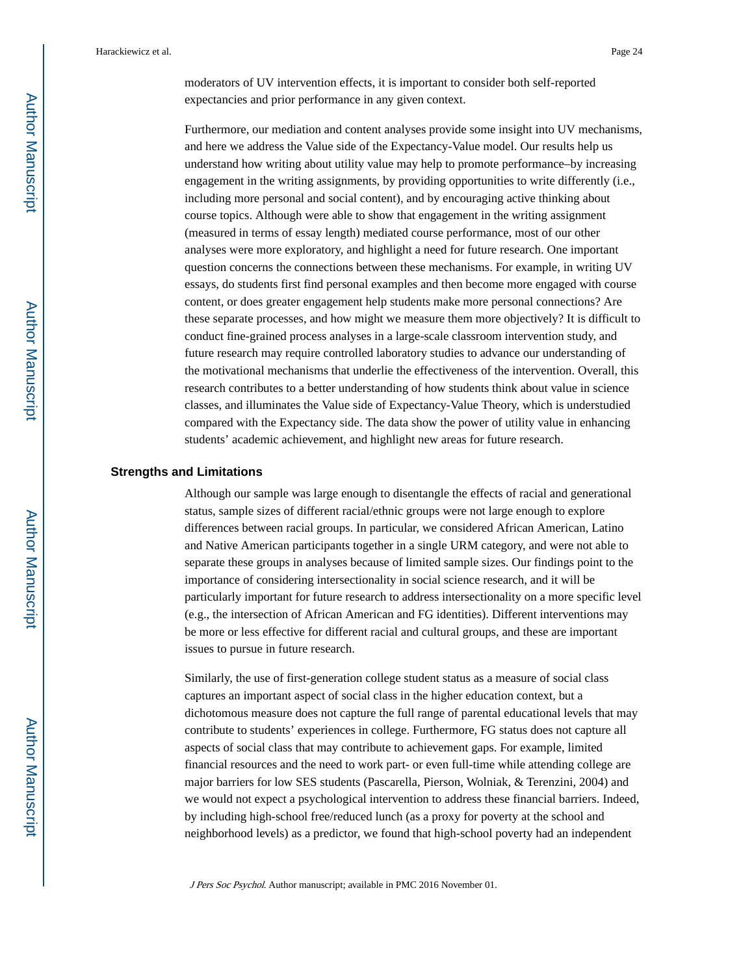moderators of UV intervention effects, it is important to consider both self-reported expectancies and prior performance in any given context.

Furthermore, our mediation and content analyses provide some insight into UV mechanisms, and here we address the Value side of the Expectancy-Value model. Our results help us understand how writing about utility value may help to promote performance–by increasing engagement in the writing assignments, by providing opportunities to write differently (i.e., including more personal and social content), and by encouraging active thinking about course topics. Although were able to show that engagement in the writing assignment (measured in terms of essay length) mediated course performance, most of our other analyses were more exploratory, and highlight a need for future research. One important question concerns the connections between these mechanisms. For example, in writing UV essays, do students first find personal examples and then become more engaged with course content, or does greater engagement help students make more personal connections? Are these separate processes, and how might we measure them more objectively? It is difficult to conduct fine-grained process analyses in a large-scale classroom intervention study, and future research may require controlled laboratory studies to advance our understanding of the motivational mechanisms that underlie the effectiveness of the intervention. Overall, this research contributes to a better understanding of how students think about value in science classes, and illuminates the Value side of Expectancy-Value Theory, which is understudied compared with the Expectancy side. The data show the power of utility value in enhancing students' academic achievement, and highlight new areas for future research.

#### **Strengths and Limitations**

Although our sample was large enough to disentangle the effects of racial and generational status, sample sizes of different racial/ethnic groups were not large enough to explore differences between racial groups. In particular, we considered African American, Latino and Native American participants together in a single URM category, and were not able to separate these groups in analyses because of limited sample sizes. Our findings point to the importance of considering intersectionality in social science research, and it will be particularly important for future research to address intersectionality on a more specific level (e.g., the intersection of African American and FG identities). Different interventions may be more or less effective for different racial and cultural groups, and these are important issues to pursue in future research.

Similarly, the use of first-generation college student status as a measure of social class captures an important aspect of social class in the higher education context, but a dichotomous measure does not capture the full range of parental educational levels that may contribute to students' experiences in college. Furthermore, FG status does not capture all aspects of social class that may contribute to achievement gaps. For example, limited financial resources and the need to work part- or even full-time while attending college are major barriers for low SES students (Pascarella, Pierson, Wolniak, & Terenzini, 2004) and we would not expect a psychological intervention to address these financial barriers. Indeed, by including high-school free/reduced lunch (as a proxy for poverty at the school and neighborhood levels) as a predictor, we found that high-school poverty had an independent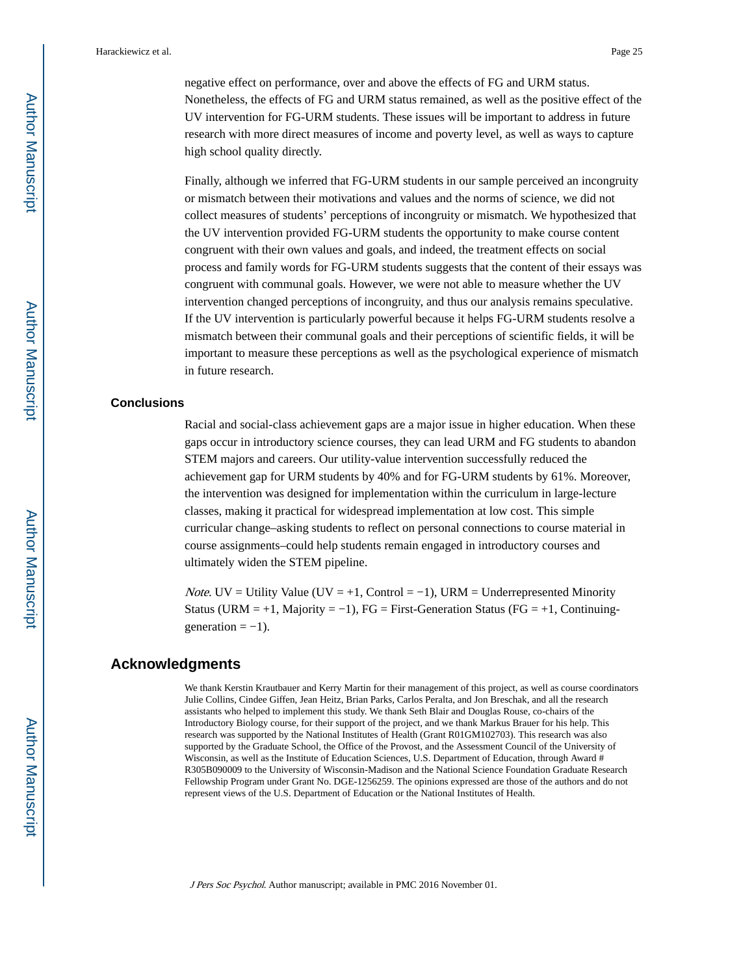negative effect on performance, over and above the effects of FG and URM status. Nonetheless, the effects of FG and URM status remained, as well as the positive effect of the UV intervention for FG-URM students. These issues will be important to address in future research with more direct measures of income and poverty level, as well as ways to capture high school quality directly.

Finally, although we inferred that FG-URM students in our sample perceived an incongruity or mismatch between their motivations and values and the norms of science, we did not collect measures of students' perceptions of incongruity or mismatch. We hypothesized that the UV intervention provided FG-URM students the opportunity to make course content congruent with their own values and goals, and indeed, the treatment effects on social process and family words for FG-URM students suggests that the content of their essays was congruent with communal goals. However, we were not able to measure whether the UV intervention changed perceptions of incongruity, and thus our analysis remains speculative. If the UV intervention is particularly powerful because it helps FG-URM students resolve a mismatch between their communal goals and their perceptions of scientific fields, it will be important to measure these perceptions as well as the psychological experience of mismatch in future research.

#### **Conclusions**

Racial and social-class achievement gaps are a major issue in higher education. When these gaps occur in introductory science courses, they can lead URM and FG students to abandon STEM majors and careers. Our utility-value intervention successfully reduced the achievement gap for URM students by 40% and for FG-URM students by 61%. Moreover, the intervention was designed for implementation within the curriculum in large-lecture classes, making it practical for widespread implementation at low cost. This simple curricular change–asking students to reflect on personal connections to course material in course assignments–could help students remain engaged in introductory courses and ultimately widen the STEM pipeline.

*Note.* UV = Utility Value (UV = +1, Control = -1), URM = Underrepresented Minority Status (URM = +1, Majority = -1), FG = First-Generation Status (FG = +1, Continuing $generation = -1$ ).

#### **Acknowledgments**

We thank Kerstin Krautbauer and Kerry Martin for their management of this project, as well as course coordinators Julie Collins, Cindee Giffen, Jean Heitz, Brian Parks, Carlos Peralta, and Jon Breschak, and all the research assistants who helped to implement this study. We thank Seth Blair and Douglas Rouse, co-chairs of the Introductory Biology course, for their support of the project, and we thank Markus Brauer for his help. This research was supported by the National Institutes of Health (Grant R01GM102703). This research was also supported by the Graduate School, the Office of the Provost, and the Assessment Council of the University of Wisconsin, as well as the Institute of Education Sciences, U.S. Department of Education, through Award # R305B090009 to the University of Wisconsin-Madison and the National Science Foundation Graduate Research Fellowship Program under Grant No. DGE-1256259. The opinions expressed are those of the authors and do not represent views of the U.S. Department of Education or the National Institutes of Health.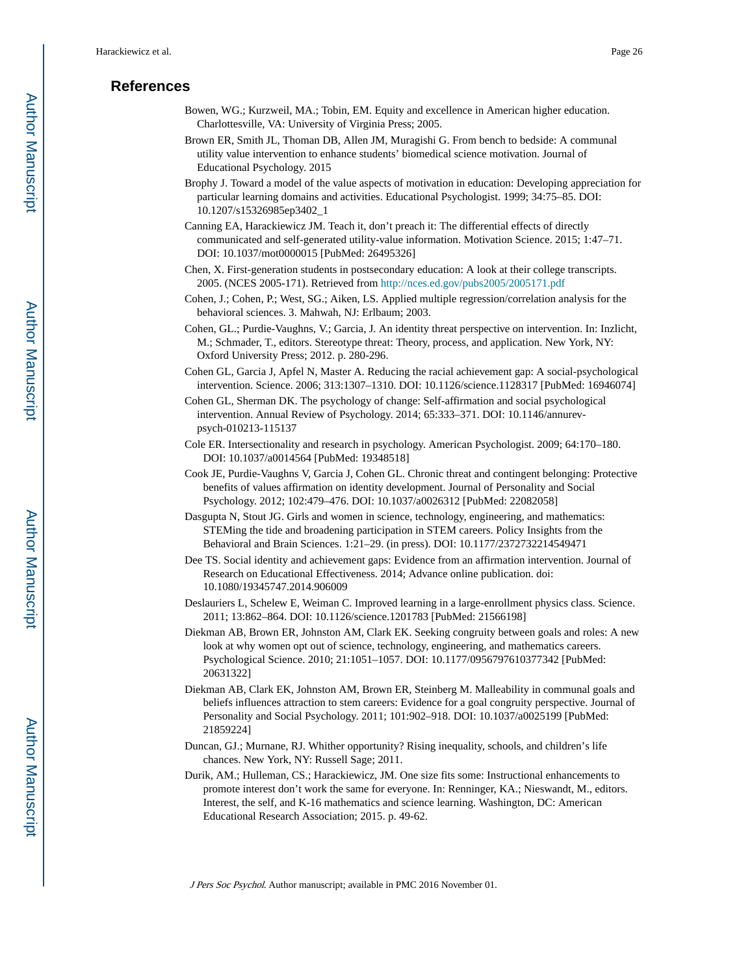#### **References**

- Bowen, WG.; Kurzweil, MA.; Tobin, EM. Equity and excellence in American higher education. Charlottesville, VA: University of Virginia Press; 2005.
- Brown ER, Smith JL, Thoman DB, Allen JM, Muragishi G. From bench to bedside: A communal utility value intervention to enhance students' biomedical science motivation. Journal of Educational Psychology. 2015
- Brophy J. Toward a model of the value aspects of motivation in education: Developing appreciation for particular learning domains and activities. Educational Psychologist. 1999; 34:75–85. DOI: 10.1207/s15326985ep3402\_1
- Canning EA, Harackiewicz JM. Teach it, don't preach it: The differential effects of directly communicated and self-generated utility-value information. Motivation Science. 2015; 1:47–71. DOI: 10.1037/mot0000015 [PubMed: 26495326]
- Chen, X. First-generation students in postsecondary education: A look at their college transcripts. 2005. (NCES 2005-171). Retrieved from<http://nces.ed.gov/pubs2005/2005171.pdf>
- Cohen, J.; Cohen, P.; West, SG.; Aiken, LS. Applied multiple regression/correlation analysis for the behavioral sciences. 3. Mahwah, NJ: Erlbaum; 2003.
- Cohen, GL.; Purdie-Vaughns, V.; Garcia, J. An identity threat perspective on intervention. In: Inzlicht, M.; Schmader, T., editors. Stereotype threat: Theory, process, and application. New York, NY: Oxford University Press; 2012. p. 280-296.
- Cohen GL, Garcia J, Apfel N, Master A. Reducing the racial achievement gap: A social-psychological intervention. Science. 2006; 313:1307–1310. DOI: 10.1126/science.1128317 [PubMed: 16946074]
- Cohen GL, Sherman DK. The psychology of change: Self-affirmation and social psychological intervention. Annual Review of Psychology. 2014; 65:333–371. DOI: 10.1146/annurevpsych-010213-115137
- Cole ER. Intersectionality and research in psychology. American Psychologist. 2009; 64:170–180. DOI: 10.1037/a0014564 [PubMed: 19348518]
- Cook JE, Purdie-Vaughns V, Garcia J, Cohen GL. Chronic threat and contingent belonging: Protective benefits of values affirmation on identity development. Journal of Personality and Social Psychology. 2012; 102:479–476. DOI: 10.1037/a0026312 [PubMed: 22082058]
- Dasgupta N, Stout JG. Girls and women in science, technology, engineering, and mathematics: STEMing the tide and broadening participation in STEM careers. Policy Insights from the Behavioral and Brain Sciences. 1:21–29. (in press). DOI: 10.1177/2372732214549471
- Dee TS. Social identity and achievement gaps: Evidence from an affirmation intervention. Journal of Research on Educational Effectiveness. 2014; Advance online publication. doi: 10.1080/19345747.2014.906009
- Deslauriers L, Schelew E, Weiman C. Improved learning in a large-enrollment physics class. Science. 2011; 13:862–864. DOI: 10.1126/science.1201783 [PubMed: 21566198]
- Diekman AB, Brown ER, Johnston AM, Clark EK. Seeking congruity between goals and roles: A new look at why women opt out of science, technology, engineering, and mathematics careers. Psychological Science. 2010; 21:1051–1057. DOI: 10.1177/0956797610377342 [PubMed: 20631322]
- Diekman AB, Clark EK, Johnston AM, Brown ER, Steinberg M. Malleability in communal goals and beliefs influences attraction to stem careers: Evidence for a goal congruity perspective. Journal of Personality and Social Psychology. 2011; 101:902–918. DOI: 10.1037/a0025199 [PubMed: 21859224]
- Duncan, GJ.; Murnane, RJ. Whither opportunity? Rising inequality, schools, and children's life chances. New York, NY: Russell Sage; 2011.
- Durik, AM.; Hulleman, CS.; Harackiewicz, JM. One size fits some: Instructional enhancements to promote interest don't work the same for everyone. In: Renninger, KA.; Nieswandt, M., editors. Interest, the self, and K-16 mathematics and science learning. Washington, DC: American Educational Research Association; 2015. p. 49-62.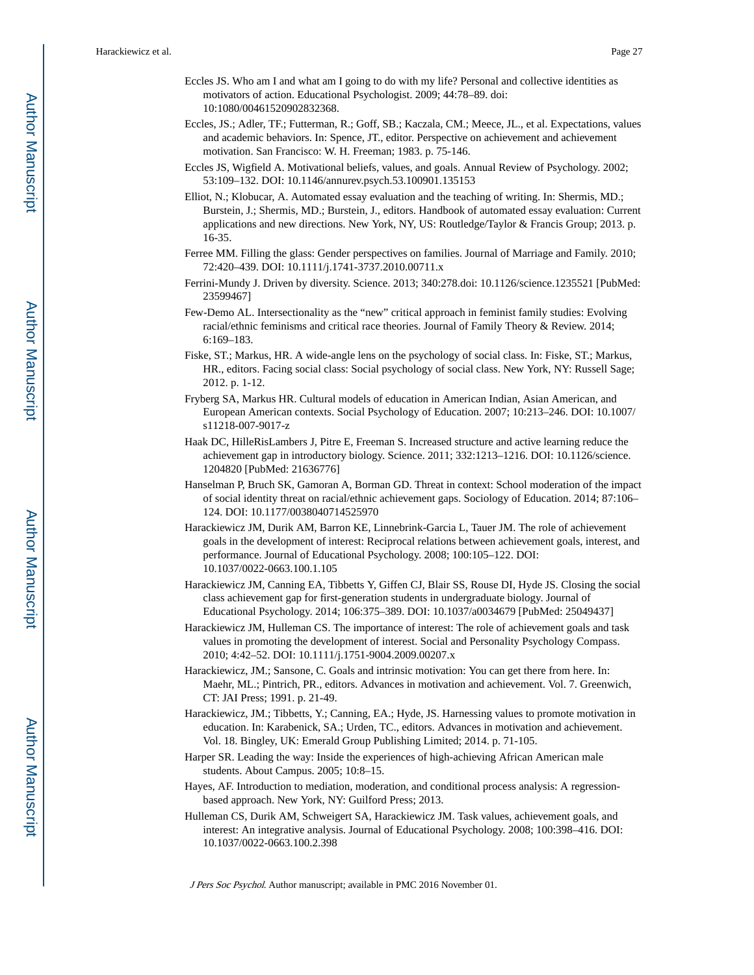- Eccles JS. Who am I and what am I going to do with my life? Personal and collective identities as motivators of action. Educational Psychologist. 2009; 44:78–89. doi: 10:1080/00461520902832368.
- Eccles, JS.; Adler, TF.; Futterman, R.; Goff, SB.; Kaczala, CM.; Meece, JL., et al. Expectations, values and academic behaviors. In: Spence, JT., editor. Perspective on achievement and achievement motivation. San Francisco: W. H. Freeman; 1983. p. 75-146.
- Eccles JS, Wigfield A. Motivational beliefs, values, and goals. Annual Review of Psychology. 2002; 53:109–132. DOI: 10.1146/annurev.psych.53.100901.135153
- Elliot, N.; Klobucar, A. Automated essay evaluation and the teaching of writing. In: Shermis, MD.; Burstein, J.; Shermis, MD.; Burstein, J., editors. Handbook of automated essay evaluation: Current applications and new directions. New York, NY, US: Routledge/Taylor & Francis Group; 2013. p. 16-35.
- Ferree MM. Filling the glass: Gender perspectives on families. Journal of Marriage and Family. 2010; 72:420–439. DOI: 10.1111/j.1741-3737.2010.00711.x
- Ferrini-Mundy J. Driven by diversity. Science. 2013; 340:278.doi: 10.1126/science.1235521 [PubMed: 23599467]
- Few-Demo AL. Intersectionality as the "new" critical approach in feminist family studies: Evolving racial/ethnic feminisms and critical race theories. Journal of Family Theory & Review. 2014; 6:169–183.
- Fiske, ST.; Markus, HR. A wide-angle lens on the psychology of social class. In: Fiske, ST.; Markus, HR., editors. Facing social class: Social psychology of social class. New York, NY: Russell Sage; 2012. p. 1-12.
- Fryberg SA, Markus HR. Cultural models of education in American Indian, Asian American, and European American contexts. Social Psychology of Education. 2007; 10:213–246. DOI: 10.1007/ s11218-007-9017-z
- Haak DC, HilleRisLambers J, Pitre E, Freeman S. Increased structure and active learning reduce the achievement gap in introductory biology. Science. 2011; 332:1213–1216. DOI: 10.1126/science. 1204820 [PubMed: 21636776]
- Hanselman P, Bruch SK, Gamoran A, Borman GD. Threat in context: School moderation of the impact of social identity threat on racial/ethnic achievement gaps. Sociology of Education. 2014; 87:106– 124. DOI: 10.1177/0038040714525970
- Harackiewicz JM, Durik AM, Barron KE, Linnebrink-Garcia L, Tauer JM. The role of achievement goals in the development of interest: Reciprocal relations between achievement goals, interest, and performance. Journal of Educational Psychology. 2008; 100:105–122. DOI: 10.1037/0022-0663.100.1.105
- Harackiewicz JM, Canning EA, Tibbetts Y, Giffen CJ, Blair SS, Rouse DI, Hyde JS. Closing the social class achievement gap for first-generation students in undergraduate biology. Journal of Educational Psychology. 2014; 106:375–389. DOI: 10.1037/a0034679 [PubMed: 25049437]
- Harackiewicz JM, Hulleman CS. The importance of interest: The role of achievement goals and task values in promoting the development of interest. Social and Personality Psychology Compass. 2010; 4:42–52. DOI: 10.1111/j.1751-9004.2009.00207.x
- Harackiewicz, JM.; Sansone, C. Goals and intrinsic motivation: You can get there from here. In: Maehr, ML.; Pintrich, PR., editors. Advances in motivation and achievement. Vol. 7. Greenwich, CT: JAI Press; 1991. p. 21-49.
- Harackiewicz, JM.; Tibbetts, Y.; Canning, EA.; Hyde, JS. Harnessing values to promote motivation in education. In: Karabenick, SA.; Urden, TC., editors. Advances in motivation and achievement. Vol. 18. Bingley, UK: Emerald Group Publishing Limited; 2014. p. 71-105.
- Harper SR. Leading the way: Inside the experiences of high-achieving African American male students. About Campus. 2005; 10:8–15.
- Hayes, AF. Introduction to mediation, moderation, and conditional process analysis: A regressionbased approach. New York, NY: Guilford Press; 2013.
- Hulleman CS, Durik AM, Schweigert SA, Harackiewicz JM. Task values, achievement goals, and interest: An integrative analysis. Journal of Educational Psychology. 2008; 100:398–416. DOI: 10.1037/0022-0663.100.2.398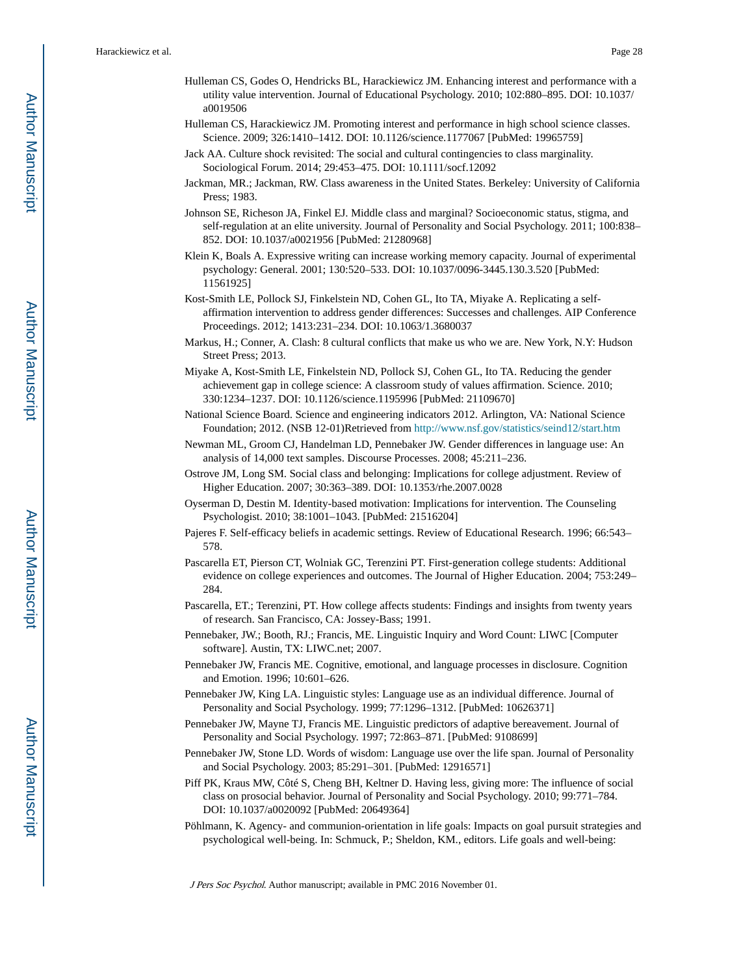- Hulleman CS, Godes O, Hendricks BL, Harackiewicz JM. Enhancing interest and performance with a utility value intervention. Journal of Educational Psychology. 2010; 102:880–895. DOI: 10.1037/ a0019506
- Hulleman CS, Harackiewicz JM. Promoting interest and performance in high school science classes. Science. 2009; 326:1410–1412. DOI: 10.1126/science.1177067 [PubMed: 19965759]
- Jack AA. Culture shock revisited: The social and cultural contingencies to class marginality. Sociological Forum. 2014; 29:453–475. DOI: 10.1111/socf.12092
- Jackman, MR.; Jackman, RW. Class awareness in the United States. Berkeley: University of California Press; 1983.
- Johnson SE, Richeson JA, Finkel EJ. Middle class and marginal? Socioeconomic status, stigma, and self-regulation at an elite university. Journal of Personality and Social Psychology. 2011; 100:838– 852. DOI: 10.1037/a0021956 [PubMed: 21280968]
- Klein K, Boals A. Expressive writing can increase working memory capacity. Journal of experimental psychology: General. 2001; 130:520–533. DOI: 10.1037/0096-3445.130.3.520 [PubMed: 11561925]
- Kost-Smith LE, Pollock SJ, Finkelstein ND, Cohen GL, Ito TA, Miyake A. Replicating a selfaffirmation intervention to address gender differences: Successes and challenges. AIP Conference Proceedings. 2012; 1413:231–234. DOI: 10.1063/1.3680037
- Markus, H.; Conner, A. Clash: 8 cultural conflicts that make us who we are. New York, N.Y: Hudson Street Press; 2013.
- Miyake A, Kost-Smith LE, Finkelstein ND, Pollock SJ, Cohen GL, Ito TA. Reducing the gender achievement gap in college science: A classroom study of values affirmation. Science. 2010; 330:1234–1237. DOI: 10.1126/science.1195996 [PubMed: 21109670]
- National Science Board. Science and engineering indicators 2012. Arlington, VA: National Science Foundation; 2012. (NSB 12-01)Retrieved from<http://www.nsf.gov/statistics/seind12/start.htm>
- Newman ML, Groom CJ, Handelman LD, Pennebaker JW. Gender differences in language use: An analysis of 14,000 text samples. Discourse Processes. 2008; 45:211–236.
- Ostrove JM, Long SM. Social class and belonging: Implications for college adjustment. Review of Higher Education. 2007; 30:363–389. DOI: 10.1353/rhe.2007.0028
- Oyserman D, Destin M. Identity-based motivation: Implications for intervention. The Counseling Psychologist. 2010; 38:1001–1043. [PubMed: 21516204]
- Pajeres F. Self-efficacy beliefs in academic settings. Review of Educational Research. 1996; 66:543– 578.
- Pascarella ET, Pierson CT, Wolniak GC, Terenzini PT. First-generation college students: Additional evidence on college experiences and outcomes. The Journal of Higher Education. 2004; 753:249– 284.
- Pascarella, ET.; Terenzini, PT. How college affects students: Findings and insights from twenty years of research. San Francisco, CA: Jossey-Bass; 1991.
- Pennebaker, JW.; Booth, RJ.; Francis, ME. Linguistic Inquiry and Word Count: LIWC [Computer software]. Austin, TX: LIWC.net; 2007.
- Pennebaker JW, Francis ME. Cognitive, emotional, and language processes in disclosure. Cognition and Emotion. 1996; 10:601–626.
- Pennebaker JW, King LA. Linguistic styles: Language use as an individual difference. Journal of Personality and Social Psychology. 1999; 77:1296–1312. [PubMed: 10626371]
- Pennebaker JW, Mayne TJ, Francis ME. Linguistic predictors of adaptive bereavement. Journal of Personality and Social Psychology. 1997; 72:863–871. [PubMed: 9108699]
- Pennebaker JW, Stone LD. Words of wisdom: Language use over the life span. Journal of Personality and Social Psychology. 2003; 85:291–301. [PubMed: 12916571]
- Piff PK, Kraus MW, Côté S, Cheng BH, Keltner D. Having less, giving more: The influence of social class on prosocial behavior. Journal of Personality and Social Psychology. 2010; 99:771–784. DOI: 10.1037/a0020092 [PubMed: 20649364]
- Pöhlmann, K. Agency- and communion-orientation in life goals: Impacts on goal pursuit strategies and psychological well-being. In: Schmuck, P.; Sheldon, KM., editors. Life goals and well-being: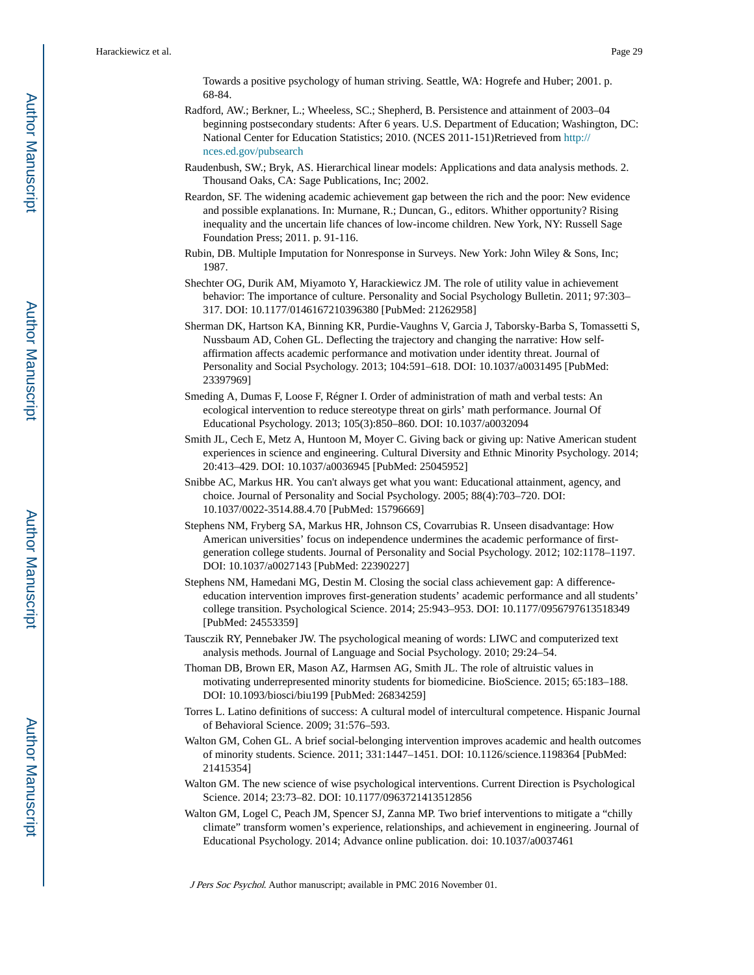Towards a positive psychology of human striving. Seattle, WA: Hogrefe and Huber; 2001. p. 68-84.

- Radford, AW.; Berkner, L.; Wheeless, SC.; Shepherd, B. Persistence and attainment of 2003–04 beginning postsecondary students: After 6 years. U.S. Department of Education; Washington, DC: National Center for Education Statistics; 2010. (NCES 2011-151)Retrieved from [http://](http://nces.ed.gov/pubsearch) [nces.ed.gov/pubsearch](http://nces.ed.gov/pubsearch)
- Raudenbush, SW.; Bryk, AS. Hierarchical linear models: Applications and data analysis methods. 2. Thousand Oaks, CA: Sage Publications, Inc; 2002.
- Reardon, SF. The widening academic achievement gap between the rich and the poor: New evidence and possible explanations. In: Murnane, R.; Duncan, G., editors. Whither opportunity? Rising inequality and the uncertain life chances of low-income children. New York, NY: Russell Sage Foundation Press; 2011. p. 91-116.
- Rubin, DB. Multiple Imputation for Nonresponse in Surveys. New York: John Wiley & Sons, Inc; 1987.
- Shechter OG, Durik AM, Miyamoto Y, Harackiewicz JM. The role of utility value in achievement behavior: The importance of culture. Personality and Social Psychology Bulletin. 2011; 97:303– 317. DOI: 10.1177/0146167210396380 [PubMed: 21262958]
- Sherman DK, Hartson KA, Binning KR, Purdie-Vaughns V, Garcia J, Taborsky-Barba S, Tomassetti S, Nussbaum AD, Cohen GL. Deflecting the trajectory and changing the narrative: How selfaffirmation affects academic performance and motivation under identity threat. Journal of Personality and Social Psychology. 2013; 104:591–618. DOI: 10.1037/a0031495 [PubMed: 23397969]
- Smeding A, Dumas F, Loose F, Régner I. Order of administration of math and verbal tests: An ecological intervention to reduce stereotype threat on girls' math performance. Journal Of Educational Psychology. 2013; 105(3):850–860. DOI: 10.1037/a0032094
- Smith JL, Cech E, Metz A, Huntoon M, Moyer C. Giving back or giving up: Native American student experiences in science and engineering. Cultural Diversity and Ethnic Minority Psychology. 2014; 20:413–429. DOI: 10.1037/a0036945 [PubMed: 25045952]
- Snibbe AC, Markus HR. You can't always get what you want: Educational attainment, agency, and choice. Journal of Personality and Social Psychology. 2005; 88(4):703–720. DOI: 10.1037/0022-3514.88.4.70 [PubMed: 15796669]
- Stephens NM, Fryberg SA, Markus HR, Johnson CS, Covarrubias R. Unseen disadvantage: How American universities' focus on independence undermines the academic performance of firstgeneration college students. Journal of Personality and Social Psychology. 2012; 102:1178–1197. DOI: 10.1037/a0027143 [PubMed: 22390227]
- Stephens NM, Hamedani MG, Destin M. Closing the social class achievement gap: A differenceeducation intervention improves first-generation students' academic performance and all students' college transition. Psychological Science. 2014; 25:943–953. DOI: 10.1177/0956797613518349 [PubMed: 24553359]
- Tausczik RY, Pennebaker JW. The psychological meaning of words: LIWC and computerized text analysis methods. Journal of Language and Social Psychology. 2010; 29:24–54.
- Thoman DB, Brown ER, Mason AZ, Harmsen AG, Smith JL. The role of altruistic values in motivating underrepresented minority students for biomedicine. BioScience. 2015; 65:183–188. DOI: 10.1093/biosci/biu199 [PubMed: 26834259]
- Torres L. Latino definitions of success: A cultural model of intercultural competence. Hispanic Journal of Behavioral Science. 2009; 31:576–593.
- Walton GM, Cohen GL. A brief social-belonging intervention improves academic and health outcomes of minority students. Science. 2011; 331:1447–1451. DOI: 10.1126/science.1198364 [PubMed: 21415354]
- Walton GM. The new science of wise psychological interventions. Current Direction is Psychological Science. 2014; 23:73–82. DOI: 10.1177/0963721413512856
- Walton GM, Logel C, Peach JM, Spencer SJ, Zanna MP. Two brief interventions to mitigate a "chilly climate" transform women's experience, relationships, and achievement in engineering. Journal of Educational Psychology. 2014; Advance online publication. doi: 10.1037/a0037461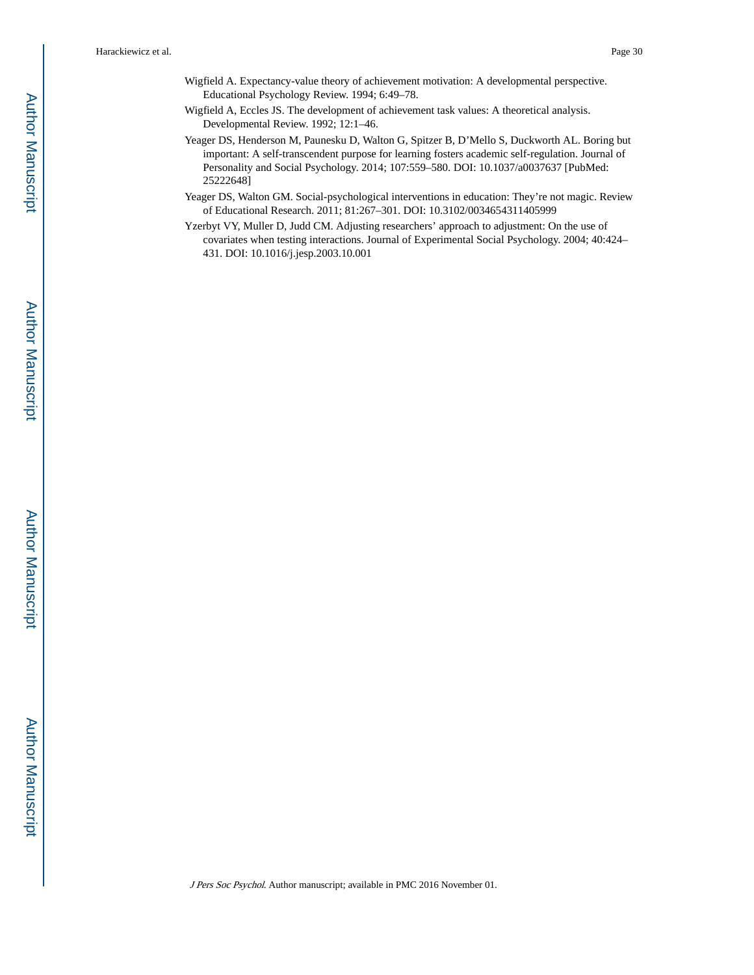- Wigfield A. Expectancy-value theory of achievement motivation: A developmental perspective. Educational Psychology Review. 1994; 6:49–78.
- Wigfield A, Eccles JS. The development of achievement task values: A theoretical analysis. Developmental Review. 1992; 12:1–46.
- Yeager DS, Henderson M, Paunesku D, Walton G, Spitzer B, D'Mello S, Duckworth AL. Boring but important: A self-transcendent purpose for learning fosters academic self-regulation. Journal of Personality and Social Psychology. 2014; 107:559–580. DOI: 10.1037/a0037637 [PubMed: 25222648]
- Yeager DS, Walton GM. Social-psychological interventions in education: They're not magic. Review of Educational Research. 2011; 81:267–301. DOI: 10.3102/0034654311405999
- Yzerbyt VY, Muller D, Judd CM. Adjusting researchers' approach to adjustment: On the use of covariates when testing interactions. Journal of Experimental Social Psychology. 2004; 40:424– 431. DOI: 10.1016/j.jesp.2003.10.001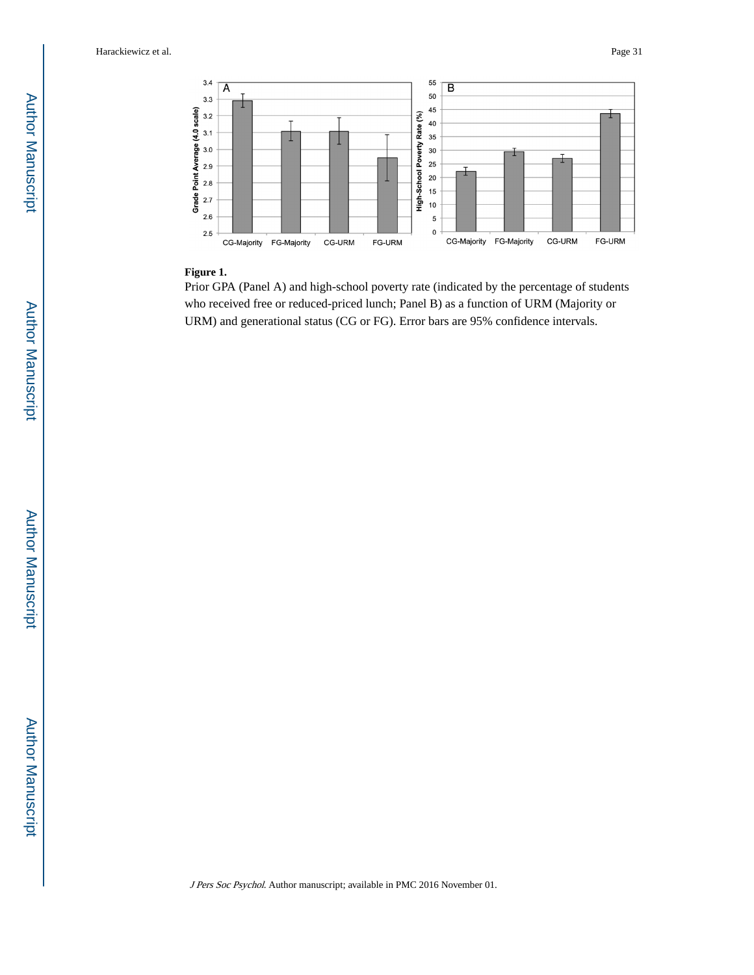

#### **Figure 1.**

Prior GPA (Panel A) and high-school poverty rate (indicated by the percentage of students who received free or reduced-priced lunch; Panel B) as a function of URM (Majority or URM) and generational status (CG or FG). Error bars are 95% confidence intervals.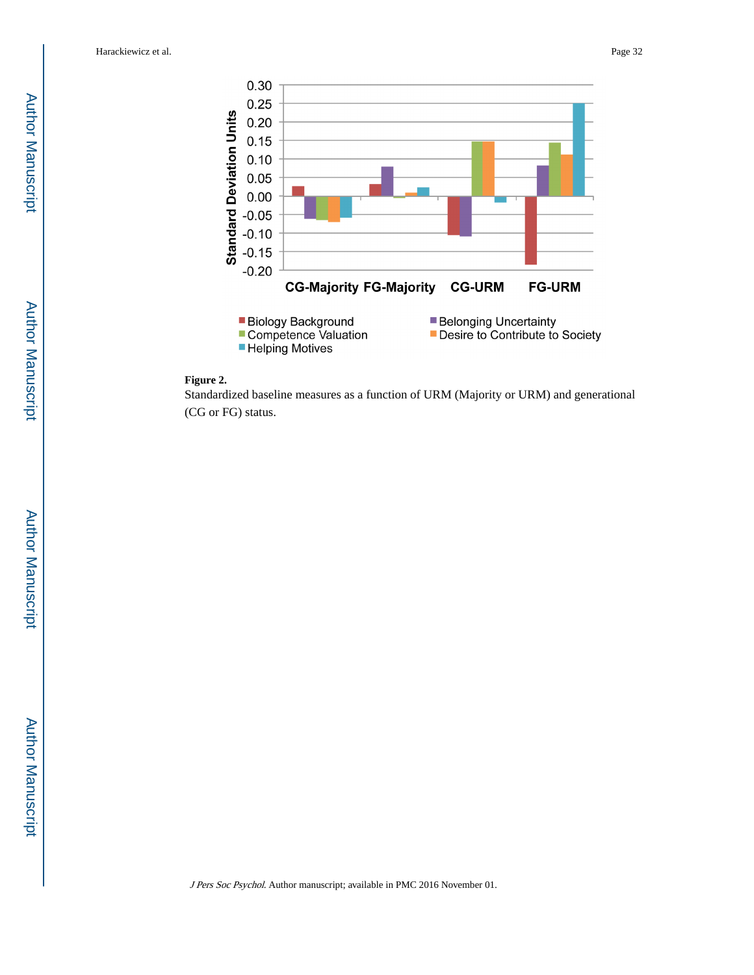

#### **Figure 2.**

Standardized baseline measures as a function of URM (Majority or URM) and generational (CG or FG) status.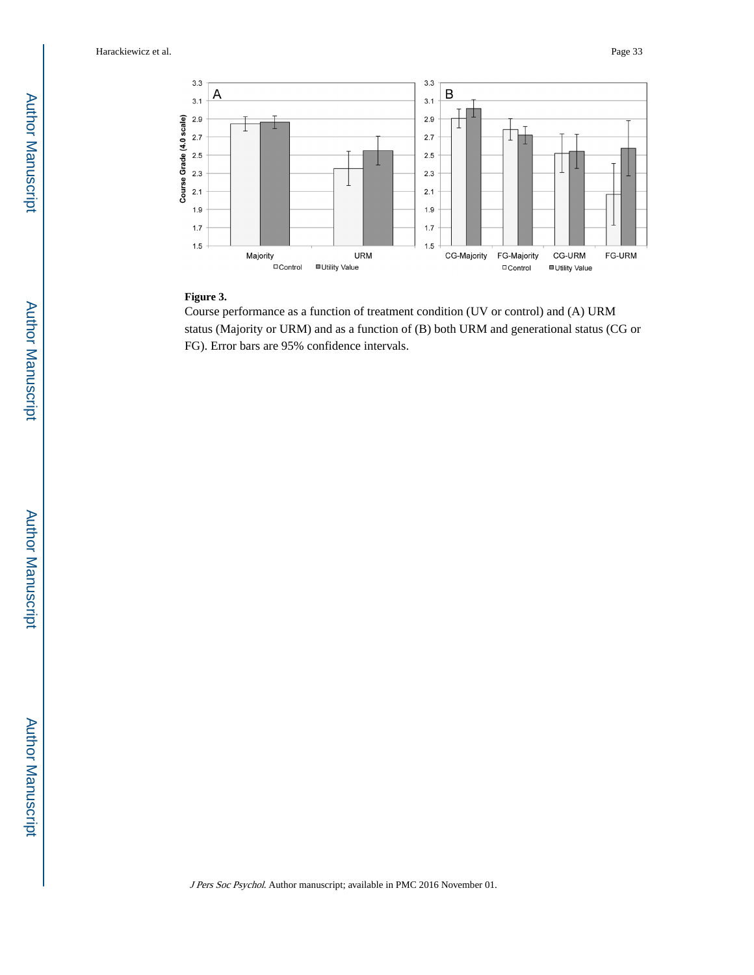

#### **Figure 3.**

Course performance as a function of treatment condition (UV or control) and (A) URM status (Majority or URM) and as a function of (B) both URM and generational status (CG or FG). Error bars are 95% confidence intervals.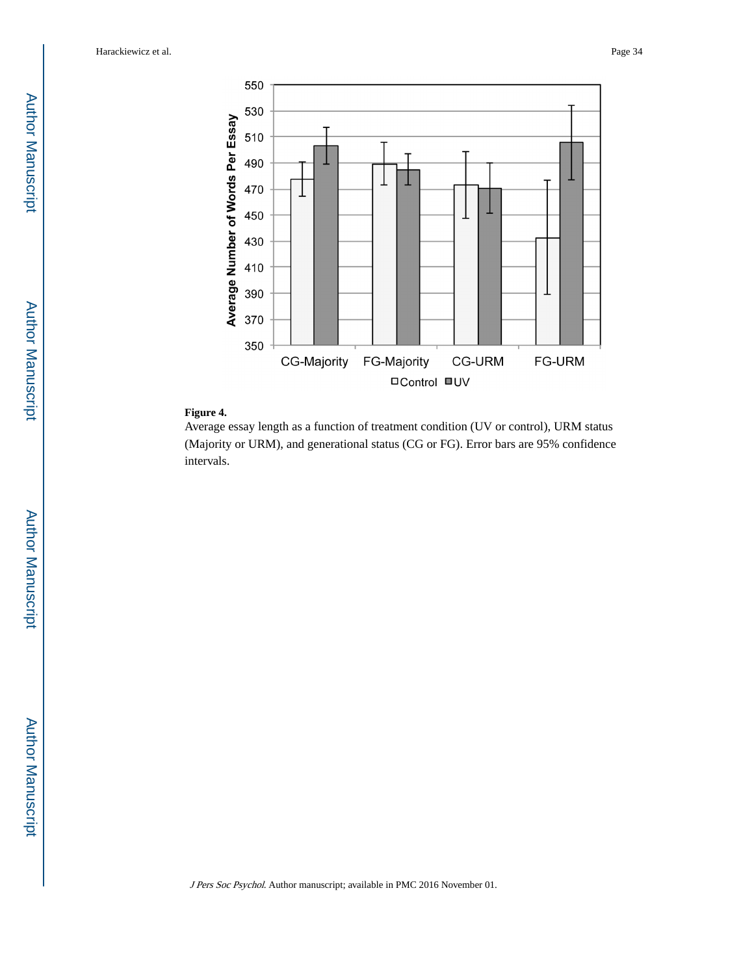

#### **Figure 4.**

Average essay length as a function of treatment condition (UV or control), URM status (Majority or URM), and generational status (CG or FG). Error bars are 95% confidence intervals.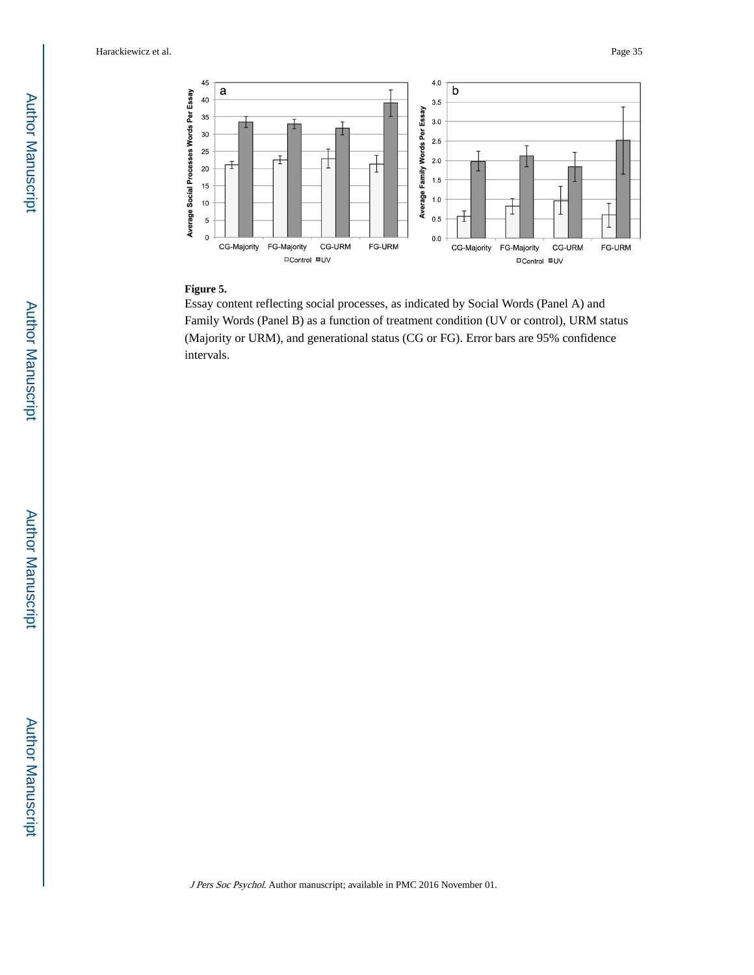

#### **Figure 5.**

Essay content reflecting social processes, as indicated by Social Words (Panel A) and Family Words (Panel B) as a function of treatment condition (UV or control), URM status (Majority or URM), and generational status (CG or FG). Error bars are 95% confidence intervals.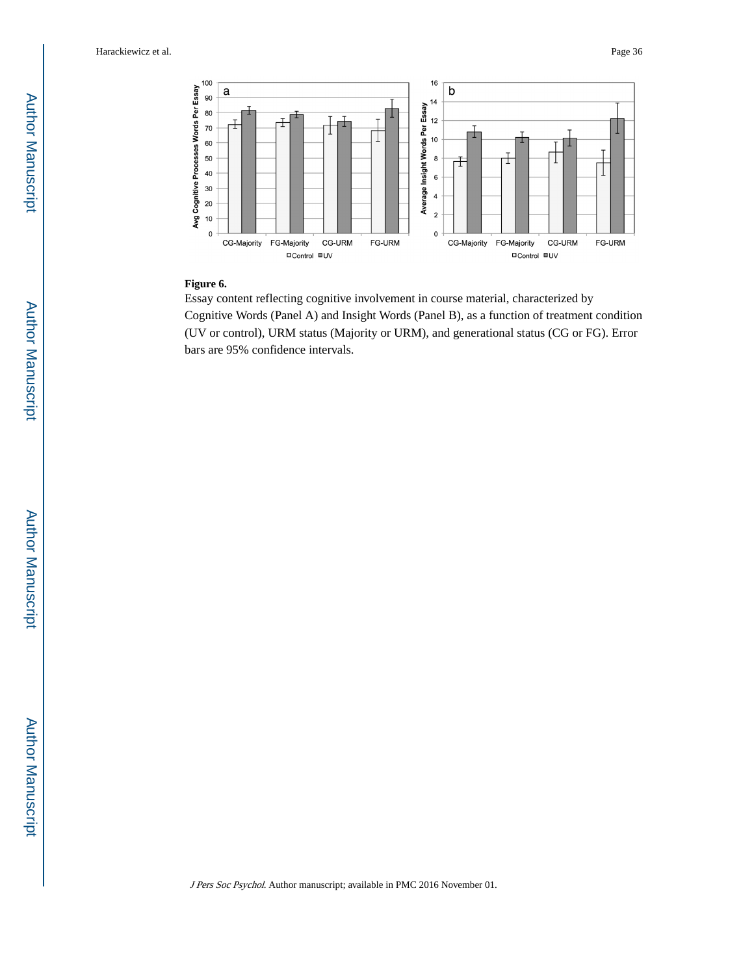

#### **Figure 6.**

Essay content reflecting cognitive involvement in course material, characterized by Cognitive Words (Panel A) and Insight Words (Panel B), as a function of treatment condition (UV or control), URM status (Majority or URM), and generational status (CG or FG). Error bars are 95% confidence intervals.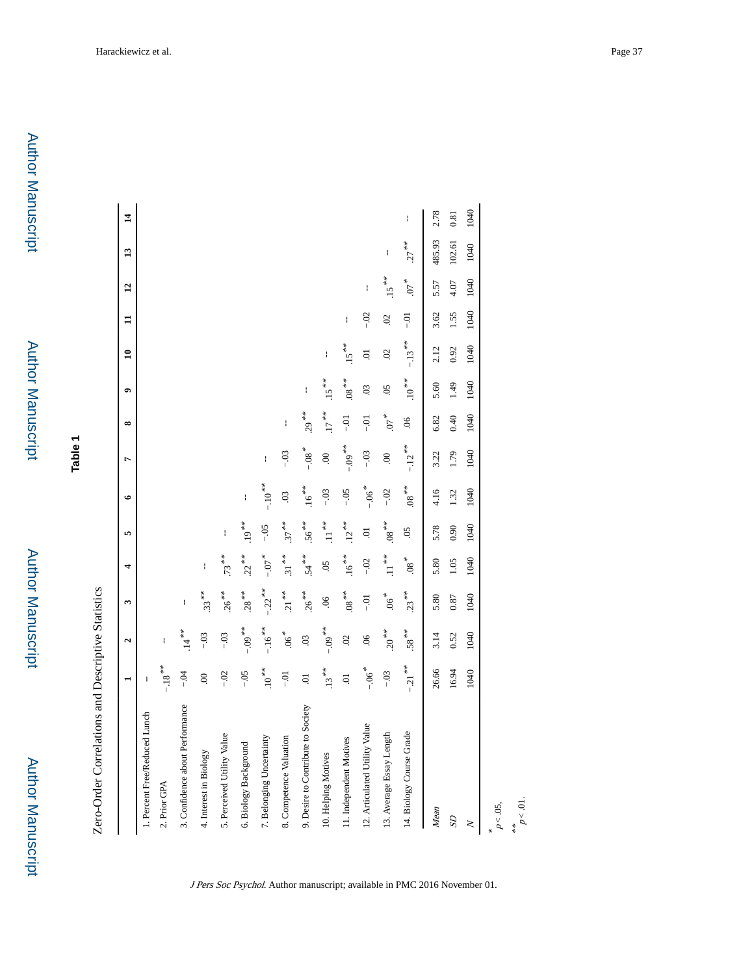**Table 1**

|                                    | $\overline{\phantom{0}}$ | $\mathbf{a}$       | 3                   | 4                   | in.               | $\bullet$           | $\overline{ }$   | $\infty$           | $\bullet$        | $\mathbf{a}$   | $\mathbf{H}$   | $\overline{1}$ | $\mathbf{13}$ | $\overline{1}$ |
|------------------------------------|--------------------------|--------------------|---------------------|---------------------|-------------------|---------------------|------------------|--------------------|------------------|----------------|----------------|----------------|---------------|----------------|
| 1. Percent Free/Reduced Lunch      | ł                        |                    |                     |                     |                   |                     |                  |                    |                  |                |                |                |               |                |
| 2. Prior GPA                       | $-18$ $^{\ast\ast}$      |                    |                     |                     |                   |                     |                  |                    |                  |                |                |                |               |                |
| 3. Confidence about Performance    | $-0.4$                   | $14**$             | ł                   |                     |                   |                     |                  |                    |                  |                |                |                |               |                |
| 4. Interest in Biology             | $\odot$                  | $-0.3$             | $.33***$            | ł                   |                   |                     |                  |                    |                  |                |                |                |               |                |
| 5. Perceived Utility Value         | $-02$                    | $-0.3$             | $.26***$            | $.73***$            | ł                 |                     |                  |                    |                  |                |                |                |               |                |
| 6. Biology Background              | $-0.5$                   | $-0.09$ **         | $.28***$            | $22^{**}$           | $19^{**}$         | ł                   |                  |                    |                  |                |                |                |               |                |
| 7. Belonging Uncertainty           | $\cdot 10^{**}$          | $-.16$ **          | $-22$ <sup>**</sup> | $*$ $L0-$           | $-0.5$            | $-10^{***}$         | ł                |                    |                  |                |                |                |               |                |
| 8. Competence Valuation            | $-0.1$                   | $.06*$             | $21$ <sup>**</sup>  | $.31$ <sup>**</sup> | $.37***$          | $\overline{0}$      | $-03$            | $\mathsf I$        |                  |                |                |                |               |                |
| 9. Desire to Contribute to Society | 5.                       | $\overline{0}$     | $.26***$            | $.54***$            | $.56***$          | $.16***$            | $-0.8$ $^{\ast}$ | $.29***$           | ł                |                |                |                |               |                |
| 10. Helping Motives                | $.13***$                 | $-0.09$            | $\overline{6}$      | $\overline{5}$      | $\cdot$ 11.       | $-0.3$              | $\odot$          | $17$ $^{\ast\ast}$ | $.15***$         | ł              |                |                |               |                |
| 11. Independent Motives            | ō.                       | $\overline{c}$     | $\cdot^{**}$ 80.    | $.16***$            | $.12***$          | $-0.5$              | $-0.09$ **       | $-5$               | $^{***}$ 80.     | $.15***$       | ł              |                |               |                |
| 12. Articulated Utility Value      | $-.06$ <sup>*</sup>      | $\overline{6}$     | $-0.1$              | $-0.2$              | S.                | $-.06$ <sup>*</sup> | $-03$            | $-0.1$             | $\ddot{\circ}$   | $\ddot{\circ}$ | $-02$          | ł              |               |                |
| 13. Average Essay Length           | $-0.03$                  | $\cdot 20^{***}$   | $.06*$              | $\cdot 11^{***}$    | $\sqrt[k]{8}$ .08 | $-02$               | $\mathbf{S}$     | $\sim 10$ .        | $\overline{5}$   | $\overline{0}$ | $\overline{0}$ | $.15***$       | ł             |                |
| 14. Biology Course Grade           | $-.21$ **                | $58$ <sup>**</sup> | $.23***$            | $\cdot^{*}$ 80.     | $\overline{50}$   | $\sqrt[k]{8}$ .08   | $-12**$          | $\frac{6}{2}$      | $\cdot 10^{***}$ | $-.13***$      | $-0.1$         | $.07*$         | $27***$       | ł              |
| Mean                               | 26.66                    | 3.14               | 5.80                | 5.80                | 5.78              | 4.16                | 3.22             | 6.82               | 5.60             | 2.12           | 3.62           | 5.57           | 485.93        | 2.78           |
| S                                  | 16.94                    | 0.52               | $0.87\,$            | 1.05                | 0.90              | 1.32                | 1.79             | 0.40               | 1.49             | 0.92           | 1.55           | 4.07           | 102.61        | 0.81           |
| $\geq$                             | 1040                     | 1040               | 1040                | 1040                | 1040              | 1040                | 1040             | 1040               | 1040             | 1040           | 1040           | 1040           | 1040          | 1040           |
| $p < .05$ ,<br>**<br>÷,            |                          |                    |                     |                     |                   |                     |                  |                    |                  |                |                |                |               |                |
| $p<.01$ .                          |                          |                    |                     |                     |                   |                     |                  |                    |                  |                |                |                |               |                |

Harackiewicz et al. Page 37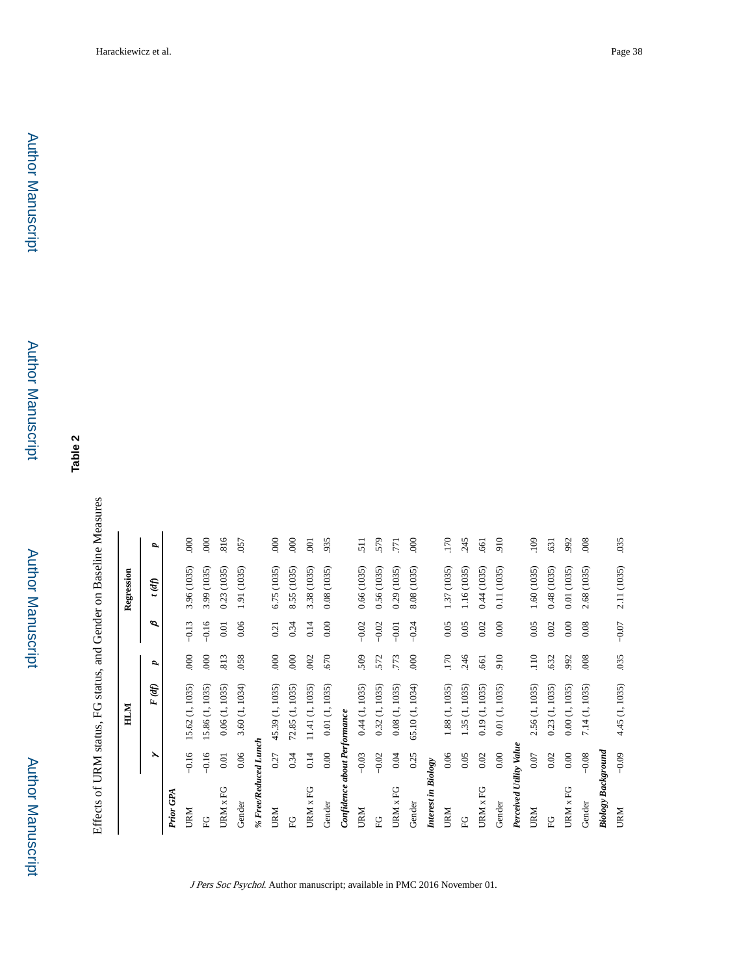**Table 2**

Effects of URM status, FG status, and Gender on Baseline Measures Effects of URM status, FG status, and Gender on Baseline Measures

|                              |          | HLM             |               |          | Regression     |                  |
|------------------------------|----------|-----------------|---------------|----------|----------------|------------------|
|                              | ≻        | F (df)          | P,            | ø        | t (df)         | d                |
| Prior GPA                    |          |                 |               |          |                |                  |
| URM                          | $-0.16$  | 5.62 (1, 1035)  | $\frac{8}{1}$ | $-0.13$  | 3.96 (1035)    | $\frac{8}{1}$    |
| P <sub>E</sub>               | $-0.16$  | 15.86 (1, 1035) | 000           | $-0.16$  | 3.99 (1035)    | 000              |
| URM x FG                     | 0.01     | 0.06(1, 1035)   | .813          | 0.01     | 0.23 (1035)    | 816              |
| Gender                       | 0.06     | 3.60 (1, 1034)  | .058          | 0.06     | 1.91 (1035)    | .057             |
| % Free/Reduced Lunch         |          |                 |               |          |                |                  |
| URM                          | 0.27     | 45.39 (1, 1035) | 000           | 0.21     | 6.75 (1035)    | 000              |
| C <sub>L</sub>               | 0.34     | 72.85 (1, 1035) | 000           | 0.34     | 8.55 (1035)    | $\overline{000}$ |
| URM x FG                     | 0.14     | 11.41 (1, 1035) | .002          | 0.14     | 3.38 (1035)    | $\overline{0}$   |
| Gender                       | 0.00     | 0.01(1, 1035)   | .670          | 0.00     | 0.08(1035)     | 935              |
| Confidence about Performance |          |                 |               |          |                |                  |
| URM                          | $-0.03$  | 0.44(1, 1035)   | 509           | $-0.02$  | 0.66 (1035)    | 511              |
| P <sub>E</sub>               | $-0.02$  | 0.32 (1, 1035)  | 572           | $-0.02$  | 0.56 (1035)    | 579              |
| URM x FG                     | 0.04     | 0.08(1, 1035)   | .773          | $-0.01$  | 0.29 (1035)    | .771             |
| Gender                       | 0.25     | 65.10 (1, 1034) | 000           | $-0.24$  | 8.08 (1035)    | 000              |
| Interest in Biology          |          |                 |               |          |                |                  |
| URM                          | 0.06     | 1.88 (1, 1035)  | .170          | 0.05     | 1.37 (1035)    | 170              |
| C<br>E                       | 0.05     | 1.35 (1, 1035)  | 246           | 0.05     | 1.16 (1035)    | 245              |
| URM x FG                     | $0.02\,$ | 0.19(1, 1035)   | .661          | $0.02\,$ | 0.44 (1035)    | 661              |
| Gender                       | 0.00     | 0.01 (1, 1035)  | 910           | 0.00     | 0.11 (1035)    | 910              |
| Perceived Utility Value      |          |                 |               |          |                |                  |
| URM                          | 0.07     | 2.56 (1, 1035)  | 110           | 0.05     | 1.60 (1035)    | .109             |
| 운도                           | 0.02     | 0.23 (1, 1035)  | .632          | 0.02     | 0.48 (1035)    | .631             |
| URM x FG                     | 0.00     | 0.00(1, 1035)   | 992           | $0.00\,$ | 0.01 (1035)    | .992             |
| Gender                       | $-0.08$  | 7.14 (1, 1035)  | .008          | 0.08     | (1035)<br>2.68 | .008             |
| <b>Biology Background</b>    |          |                 |               |          |                |                  |
| <b>URM</b>                   | $-0.09$  | 4.45 (1, 1035)  | 035           | $-0.07$  | 2.11 (1035)    | .035             |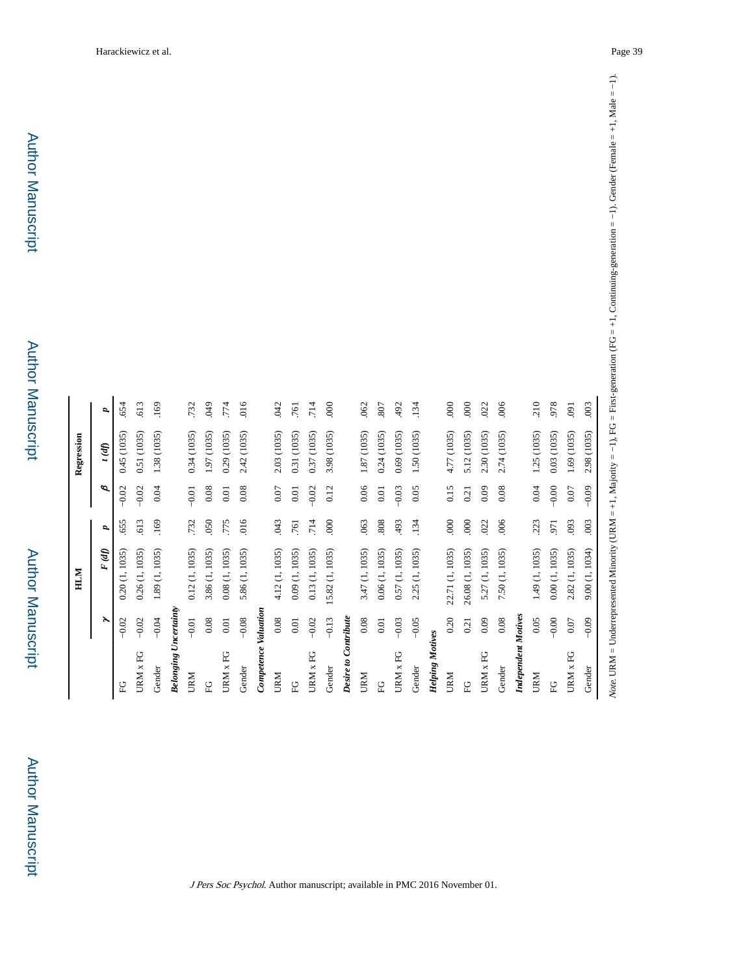| URM x FG<br>EG               | ř        | F(d)            | P,   | ø        | (f)         | d    |
|------------------------------|----------|-----------------|------|----------|-------------|------|
|                              | $-0.02$  | 0.20(1, 1035)   | .655 | $-0.02$  | 0.45 (1035) | .654 |
|                              | $-0.02$  | 0.26(1, 1035)   | 613  | $-0.02$  | 0.51 (1035) | 613  |
| Gender                       | $-0.04$  | 1.89 (1, 1035)  | .169 | 0.04     | 1.38 (1035) | .169 |
| <b>Belonging Uncertainty</b> |          |                 |      |          |             |      |
| URM                          | $-0.01$  | 0.12(1, 1035)   | .732 | $-0.01$  | 0.34(1035)  | .732 |
| $\frac{C}{L}$                | $0.08\,$ | 3.86 (1, 1035)  | 050  | $0.08\,$ | 1.97 (1035) | 640. |
| URM x FG                     | $0.01\,$ | 0.08(1, 1035)   | .775 | $0.01\,$ | 0.29(1035)  | .774 |
| Gender                       | $-0.08$  | 5.86 (1, 1035)  | 016  | 0.08     | 2.42 (1035) | 016  |
| Competence Valuation         |          |                 |      |          |             |      |
| URM                          | $0.08\,$ | 4.12 (1, 1035)  | 043  | $0.07\,$ | 2.03 (1035) | .042 |
| $\frac{C}{L}$                | $0.01\,$ | 0.09(1, 1035)   | .761 | $0.01\,$ | 0.31 (1035) | .761 |
| URM x FG                     | $-0.02$  | 0.13(1, 1035)   | .714 | $-0.02$  | 0.37 (1035) | .714 |
| Gender                       | $-0.13$  | 15.82 (1, 1035) | 000  | 0.12     | 3.98 (1035) | 000  |
| Desire to Contribute         |          |                 |      |          |             |      |
| URM                          | 0.08     | 3.47 (1, 1035)  | .063 | 0.06     | 1.87 (1035) | .062 |
| C)                           | $0.01\,$ | 0.06(1, 1035)   | 808  | $0.01\,$ | 0.24(1035)  | .807 |
| URM x FG                     | $-0.03$  | 0.57(1, 1035)   | 493  | $-0.03$  | 0.69(1035)  | 492  |
| Gender                       | $-0.05$  | 2.25 (1, 1035)  | .134 | 0.05     | 1.50 (1035) | .134 |
| <b>Helping Motives</b>       |          |                 |      |          |             |      |
| URM                          | 0.20     | 22.71 (1, 1035) | 000  | 0.15     | 4.77 (1035) | 000  |
| $\frac{C}{L}$                | 0.21     | 26.08 (1, 1035) | 000  | 0.21     | 5.12 (1035) | .000 |
| URM x FG                     | 0.09     | 5.27 (1, 1035)  | .022 | 0.09     | 2.30 (1035) | .022 |
| Gender                       | $0.08\,$ | 7.50 (1, 1035)  | .006 | 0.08     | 2.74 (1035) | .006 |
| <b>Independent Motives</b>   |          |                 |      |          |             |      |
| URM                          | 0.05     | 1.49 (1, 1035)  | 223  | 0.04     | 1.25 (1035) | 210  |
| C<br>E                       | $-0.00$  | 0.00(1, 1035)   | .971 | $-0.00$  | 0.03 (1035) | 978  |
| URM x FG                     | $0.07\,$ | 2.82 (1, 1035)  | .093 | $0.07\,$ | 1.69 (1035) | .091 |
| Gender                       | $-0.09$  | 9.00 (1, 1034)  | .003 | $-0.09$  | 2.98 (1035) | .003 |

Author Manuscript

Author Manuscript

Author Manuscript

Author Manuscript

Author Manuscript

**Author Manuscript** 

|                              |         | HLM             |                  |         | Regression  |
|------------------------------|---------|-----------------|------------------|---------|-------------|
|                              | ≻       | F (df)          | P,               | ø       | t (df)      |
| 엎                            | $-0.02$ | 0.20(1, 1035)   | 655              | $-0.02$ | 0.45 (1035  |
| URM x FG                     | $-0.02$ | 0.26(1, 1035)   | .613             | $-0.02$ | 0.51 (1035) |
| Gender                       | $-0.04$ | 1.89 (1, 1035)  | .169             | 0.04    | 1.38 (1035  |
| <b>Belonging Uncertainty</b> |         |                 |                  |         |             |
| URM                          | $-0.01$ | 0.12(1, 1035)   | .732             | $-0.01$ | 0.34 (1035  |
| C<br>E                       | 0.08    | 3.86 (1, 1035)  | 050              | 0.08    | 1.97 (1035  |
| URM x FG                     | 0.01    | 0.08(1, 1035)   | .775             | 0.01    | 0.29 (1035  |
| Gender                       | $-0.08$ | 5.86 (1, 1035)  | .016             | 0.08    | 2.42 (1035) |
| Competence Valuation         |         |                 |                  |         |             |
| <b>URM</b>                   | 0.08    | 4.12 (1, 1035)  | <b>043</b>       | 0.07    | 2.03 (1035  |
| С)<br>Н                      | 0.01    | 0.09 (1, 1035)  | .761             | 0.01    | 0.31 (1035) |
| URM x FG                     | $-0.02$ | 0.13(1, 1035)   | .714             | $-0.02$ | 0.37 (1035  |
| Gender                       | $-0.13$ | 15.82 (1, 1035) | $\overline{000}$ | 0.12    | 3.98 (1035  |
| Desire to Contribute         |         |                 |                  |         |             |
| <b>URM</b>                   | 0.08    | 3.47 (1, 1035)  | .063             | 0.06    | 1.87 (1035  |
|                              |         |                 |                  |         |             |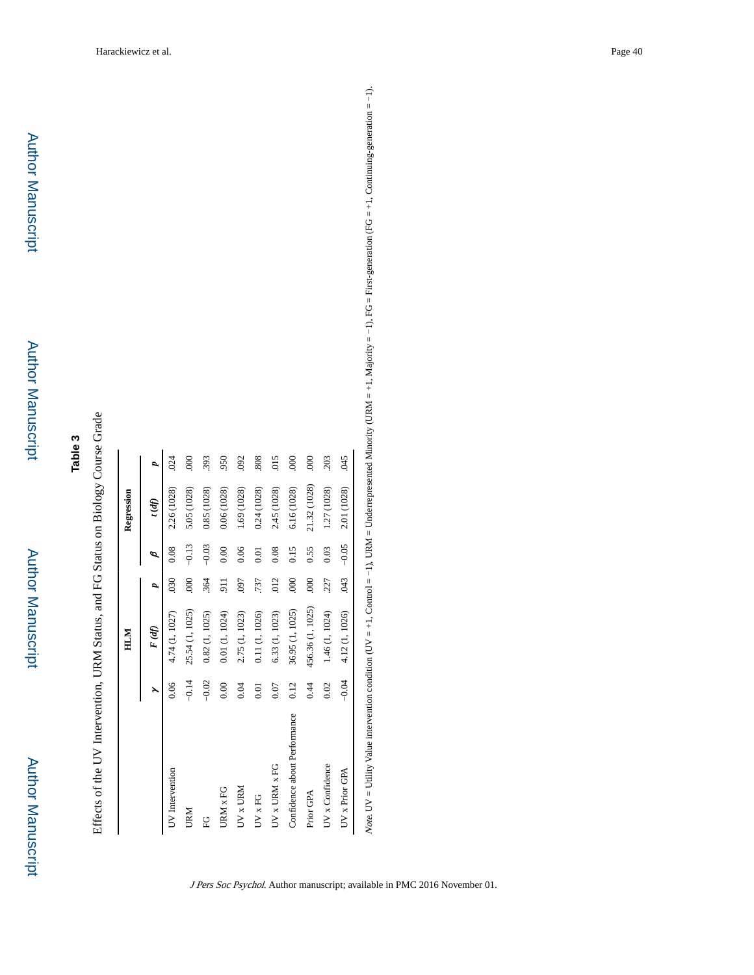| $\ddot{\phantom{0}}$<br>₹        |
|----------------------------------|
| j<br>$T \cap C$ Ctatus on Biolog |
|                                  |
|                                  |
|                                  |
| $\frac{1}{2}$                    |
| くりげし                             |
|                                  |
|                                  |
|                                  |
| ا<br>ا<br>؟<br>۲                 |

|                              |         | HLM              |                  |         | Regression   |               |
|------------------------------|---------|------------------|------------------|---------|--------------|---------------|
|                              |         | F (df)           | p                | Φ       | (fp)         | d             |
| UV Intervention              | 0.06    | 4.74 (1, 1027)   | 030              | 0.08    | 2.26 (1028)  | 024           |
| <b>URM</b>                   | $-0.14$ | 25.54 (1, 1025)  | 000              | $-0.13$ | 5.05 (1028)  | $\frac{8}{1}$ |
| 9<br>F                       | $-0.02$ | 0.82(1, 1025)    | 364              | $-0.03$ | 0.85 (1028)  | 393           |
| URM x FG                     | 0.00    | 0.01(1, 1024)    | $\overline{5}$   | 0.00    | 0.06 (1028)  | 950           |
| UV x URM                     | 0.04    | 2.75 (1, 1023)   | <b>L60</b>       | 0.06    | 1.69 (1028)  | 092           |
| UV x FG                      | 0.01    | 0.11 (1, 1026)   | 737              | 0.01    | 0.24 (1028)  | 808           |
| UV x URM x FG                | 0.07    | 6.33 (1, 1023)   | 012              | 0.08    | 2.45 (1028)  | 015           |
| Confidence about Performance | 0.12    | 36.95 (1, 1025)  | $\overline{000}$ | 0.15    | 6.16 (1028)  | 600           |
| Prior GPA                    | 0.44    | 456.36 (1, 1025) | 000              | 0.55    | 21.32 (1028) | $\frac{8}{2}$ |
| UV x Confidence              | 0.02    | 1.46 (1, 1024)   | 227              | 0.03    | 1.27 (1028)  | 203           |
| UV x Prior GPA               | $-0.04$ | 4.12 (1, 1026)   | .043             | $-0.05$ | 2.01 (1028)  | 045           |

Note: UV = Utility Value intervention condition (UV = +1, Control = -1), URM = Underrepresented Minority (URM = +1, Majority = -1), RG = First-generation (FG = +1, Continuing-generation = -1). Note. UV = UVility Value intervention condition condition condition condition = −1, URM = Underrepresented Minority (URM = +1, Majority = −1), FG = First-generation (FG = +1, Continuing-generation = −1).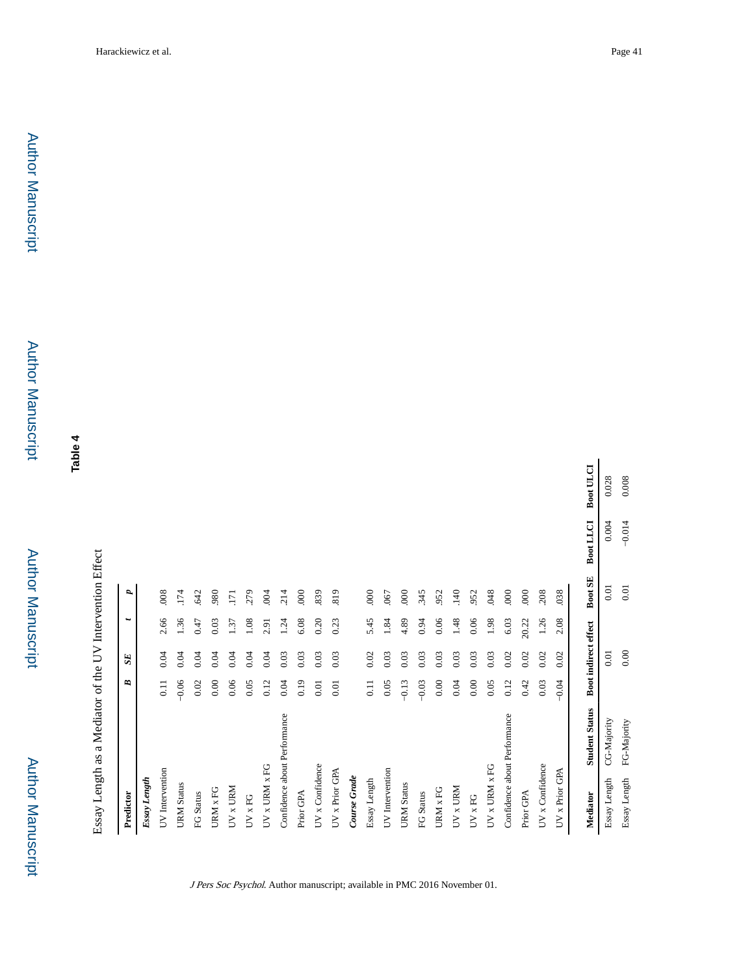Author Manuscript Author Manuscript

 Author Manuscript**Author Manuscript** 

Author Manuscript

Author Manuscript

**Table 4**

| Predictor                 |                              | B        | SE                   | $\ddot{}$ | ₽       |                  |                  |
|---------------------------|------------------------------|----------|----------------------|-----------|---------|------------------|------------------|
| Essay Length              |                              |          |                      |           |         |                  |                  |
| UV Intervention           |                              | 0.11     | 0.04                 | 2.66      | 008     |                  |                  |
| <b>URM</b> Status         |                              | $-0.06$  | 0.04                 | 1.36      | .174    |                  |                  |
| FG Status                 |                              | 0.02     | 0.04                 | 0.47      | .642    |                  |                  |
| URM x FG                  |                              | 0.00     | 0.04                 | 0.03      | 980     |                  |                  |
| UV x URM                  |                              | 0.06     | 0.04                 | 1.37      | 171     |                  |                  |
| $UV \times FG$            |                              | 0.05     | 0.04                 | 1.08      | 279     |                  |                  |
| $UV \times URM \times FG$ |                              | 0.12     | 0.04                 | 2.91      | .004    |                  |                  |
|                           | Confidence about Performance | 0.04     | 0.03                 | 1.24      | 214     |                  |                  |
| Prior GPA                 |                              | 0.19     | 0.03                 | 6.08      | 000     |                  |                  |
| UV x Confidence           |                              | $0.01\,$ | 0.03                 | 0.20      | .839    |                  |                  |
| UV x Prior GPA            |                              | 0.01     | 0.03                 | 0.23      | 819     |                  |                  |
| Course Grade              |                              |          |                      |           |         |                  |                  |
| Essay Length              |                              | $0.11$   | 0.02                 | 5.45      | 000     |                  |                  |
| UV Intervention           |                              | 0.05     | 0.03                 | 1.84      | .067    |                  |                  |
| <b>URM</b> Status         |                              | $-0.13$  | 0.03                 | 4.89      | 000     |                  |                  |
| FG Status                 |                              | $-0.03$  | 0.03                 | 0.94      | 345     |                  |                  |
| URM x FG                  |                              | 0.00     | 0.03                 | 0.06      | 952     |                  |                  |
| UV x URM                  |                              | 0.04     | 0.03                 | 1.48      | 140     |                  |                  |
| $UV \times FG$            |                              | $0.00\,$ | 0.03                 | 0.06      | 952     |                  |                  |
| UV x URM x FG             |                              | 0.05     | 0.03                 | 1.98      | .048    |                  |                  |
|                           | Confidence about Performance | 0.12     | 0.02                 | 6.03      | 000     |                  |                  |
| Prior GPA                 |                              | 0.42     | 0.02                 | 20.22     | 000     |                  |                  |
| UV x Confidence           |                              | 0.03     | 0.02                 | 1.26      | 208     |                  |                  |
| UV x Prior GPA            |                              | $-0.04$  | 0.02                 | 2.08      | .038    |                  |                  |
| Mediator                  | <b>Student Status</b>        |          | Boot indirect effect |           | Boot SE | <b>Boot LLCI</b> | <b>Boot ULCI</b> |
| Essay Length              | CG-Majority                  |          | 0.01                 |           | 0.01    | 0.004            | 0.028            |
| Essay Length              | FG-Majority                  |          | $0.00\,$             |           | $0.01$  | $-0.014$         | 0.008            |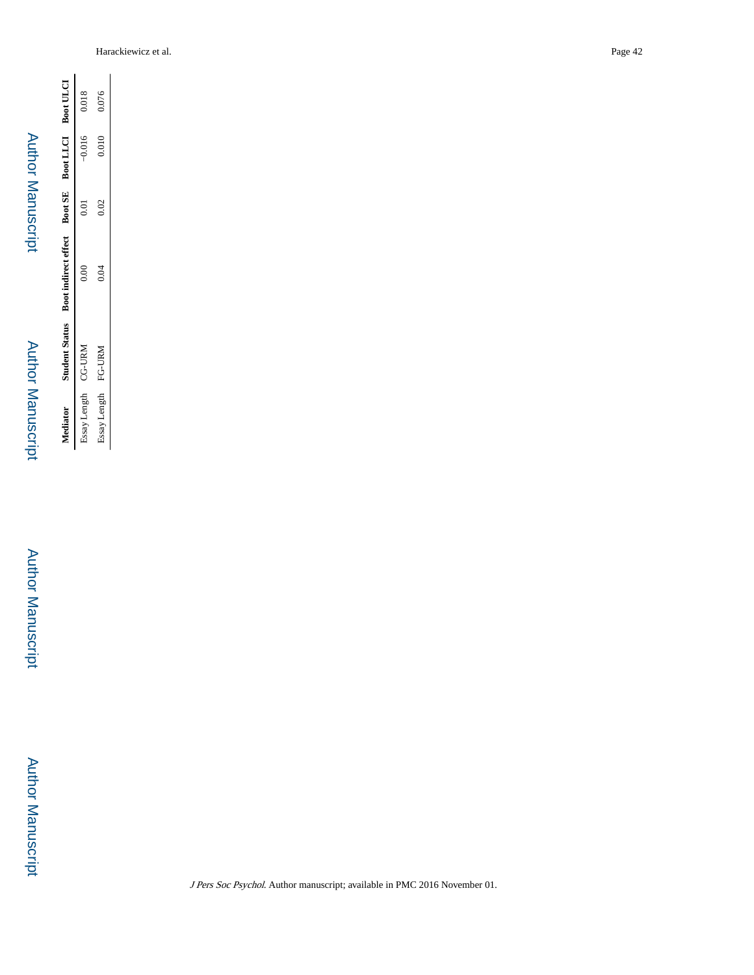| i |
|---|
| l |
| ı |
| I |
|   |
| I |

Author Manuscript

**Author Manuscript** 

Author Manuscript Author Manuscript

Student Status Boot indirect effect Boot SE Boot LLCI Boot ULCI **Mediator Student Status Boot indirect effect Boot SE Boot LLCI Boot ULCI** 0.018 0.076 Essay Length CG-URM 0.000 0.000 0.01 −0.01 0.016 0.0101 0.018 Essay Length FG-URM  $0.04$   $0.02$   $0.010$   $0.076$  $-0.016$  $0.010\,$  $0.01\,$  $0.02$  $0.000$ Essay Length CG-URM FG-URM Essay Length Mediator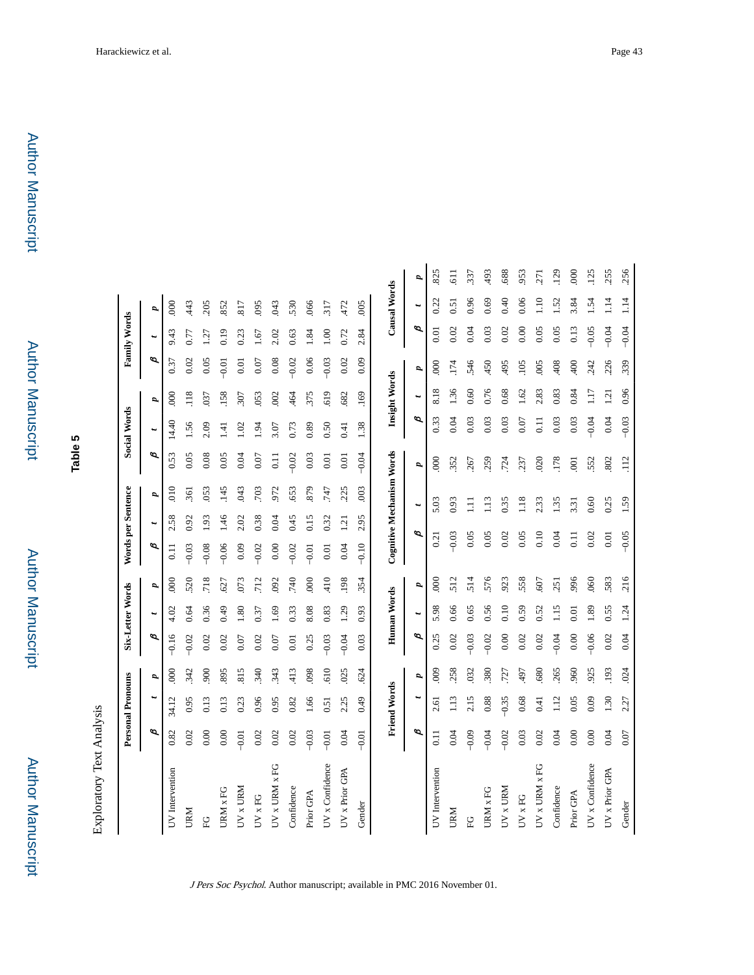**Table 5**

Exploratory Text Analysis Exploratory Text Analysis

|                 |         | <b>Personal Pronouns</b> |            |         | Six-Letter Words   |                  | Words per Sentence |           |                           |                  | <b>Social Words</b> |                 |                  | <b>Family Words</b> |                |                |
|-----------------|---------|--------------------------|------------|---------|--------------------|------------------|--------------------|-----------|---------------------------|------------------|---------------------|-----------------|------------------|---------------------|----------------|----------------|
|                 | ø       |                          | P,         | đ       | t                  | P,               | ø                  | $\ddot{}$ | p,                        | ø                | ы                   | P,              | ø                | t                   | P,             |                |
| UV Intervention | 0.82    | 34.12                    | <b>800</b> | $-0.16$ | 4.02               | <b>800</b>       | $\overline{0}$ .   | 2.58      | 010                       | 0.53             | 14.40               | $\overline{0}0$ | 0.37             | 9.43                | 000            |                |
| URM             | 0.02    | 0.95                     | 342        | $-0.02$ | 0.64               | 520              | $-0.03$            | 0.92      | 361                       | 0.05             | 1.56                | 118             | 0.02             | 0.77                | 443            |                |
| р<br>Е          | 0.00    | 0.13                     | 900        | 0.02    | 0.36               | 718              | $-0.08$            | 1.93      | .053                      | 0.08             | 2.09                | 037             | 0.05             | Ü.                  | 205            |                |
| URM x FG        | 0.00    | 0.13                     | 895        | 0.02    | 64.0               | 627              | $-0.06$            | 146       | 145                       | 0.05             | 코                   | .158            | $-0.01$          | 0.19                | 852            |                |
| $UV \times URM$ | $-0.01$ | 0.23                     | 815        | 0.07    | 1.80               | 073              | 0.09               | 2.02      | 043                       | 0.04             | 1.02                | 307             | 0.01             | 0.23                | 817            |                |
| UV x FG         | 0.02    | 0.96                     | 340        | 0.02    | 0.37               | 712              | $-0.02$            | 0.38      | 703                       | 0.07             | $-94$               | 053             | 0.07             | .67                 | 095            |                |
| UV x URM x FG   | 0.02    | 0.95                     | 343        | 0.07    | .69                | 092              | 0.00               | 0.04      | 972                       | $\overline{0}$ . | 3.07                | 002             | 0.08             | 2.02                | 043            |                |
| Confidence      | 0.02    | 0.82                     | 413        | 0.01    | 0.33               | 740              | $-0.02$            | 0.45      | 653                       | $-0.02$          | 0.73                | 464             | $-0.02$          | 0.63                | 530            |                |
| Prior GPA       | $-0.03$ | 1.66                     | 098        | 0.25    | 8.08               | 000              | $-0.01$            | 0.15      | 879                       | 0.03             | 0.89                | 375             | 0.06             | 1.84                | .066           |                |
| UV x Confidence | $-0.01$ | 0.51                     | 610        | $-0.03$ | 0.83               | 410              | 0.01               | 0.32      | 747                       | 0.01             | 0.50                | 619             | $-0.03$          | 00.1                | 317            |                |
| UV x Prior GPA  | 0.04    | 2.25                     | .025       | $-0.04$ | 1.29               | 198              | 0.04               | 1.21      | .225                      | $0.01\,$         | 0.41                | .682            | 0.02             | 0.72                | 472            |                |
| Gender          | $-0.01$ | 64.0                     | 624        | 0.03    | 0.93               | .354             | $-0.10$            | 2.95      | .003                      | $-0.04$          | 1.38                | .169            | 0.09             | 2.84                | .005           |                |
|                 |         | <b>Friend Words</b>      |            |         | <b>Human Words</b> |                  |                    |           | Cognitive Mechanism Words |                  |                     | Insight Words   |                  |                     | Causal Words   |                |
|                 | ø       |                          | p          | ø       | t                  | p                |                    | ø         | $\ddot{}$                 | P,               | p                   | $\ddot{}$       | P,               | Þ                   | ٠              | p              |
| UV Intervention | 0.11    | 2.61                     | 009        | 0.25    | 5.98               | $\overline{000}$ | 0.21               |           | 5.03                      | $\overline{000}$ | 0.33                | 8.18            | $\overline{000}$ | 0.01                | 0.22           | 825            |
| URM             | 0.04    | $\frac{13}{2}$           | 258        | 0.02    | 0.66               | 512              | $-0.03$            |           | 0.93                      | 352              | 0.04                | 1.36            | 174              | 0.02                | 51             | $\overline{5}$ |
| ុ្រ             | $-0.09$ | 2.15                     | 032        | $-0.03$ | 0.65               | 514              | 0.05               |           | Ξ                         | 267              | 0.03                | 0.60            | 546              | 0.04                | 0.96           | .337           |
| URM x FG        | $-0.04$ | 0.88                     | 380        | $-0.02$ | 0.56               | 576              | 0.05               |           | 1.13                      | 259              | 0.03                | 0.76            | 450              | 0.03                | 0.69           | 493            |
| UV x URM        | $-0.02$ | $-0.35$                  | .727       | 0.00    | 0.10               | 923              | 0.02               |           | 0.35                      | .724             | 0.03                | 0.68            | 495              | 0.02                | 0.40           | 688            |
| $UV \times FG$  | 0.03    | 0.68                     | 497        | 0.02    | 0.59               | 558              | 0.05               |           | 1.18                      | 237              | 0.07                | .62             | 105              | 0.00                | 0.06           | 953            |
| UV x URM x FG   | 0.02    | 0.41                     | 680        | 0.02    | 0.52               | .607             | 0.10               |           | 2.33                      | 020              | Ξ                   | 2.83            | 005              | 0.05                | $\frac{10}{2}$ | .271           |
| Confidence      | 0.04    | 112                      | 265        | $-0.04$ | 1.15               | .251             | 0.04               |           | 1.35                      | 178              | 0.03                | 0.83            | 408              | 0.05                | 1.52           | .129           |
| Prior GPA       | 0.00    | 0.05                     | 960        | 0.00    | 0.01               | 996              | 0.11               |           | 3.31                      | $\overline{0}0$  | 0.03                | 0.84            | 400              | 0.13                | 3.84           | 600            |
| UV x Confidence | 0.00    | 0.09                     | 925        | $-0.06$ | 1.89               | .060             | 0.02               |           | 0.60                      | 552              | $-0.04$             | ГŢ.             | 242              | $-0.05$             | $\ddot{5}$     | .125           |
| UV x Prior GPA  | 0.04    | 1.30                     | .193       | 0.02    | 0.55               | 583              | 0.01               |           | 0.25                      | 802              | 0.04                | 1.21            | .226             | $-0.04$             | 114            | 255            |
| Gender          | 0.07    | 2.27                     | 024        | 0.04    | 1.24               | 216              | $-0.05$            |           | 1.59                      | 112              | $-0.03$             | 0.96            | .339             | $-0.04$             | 1.14           | .256           |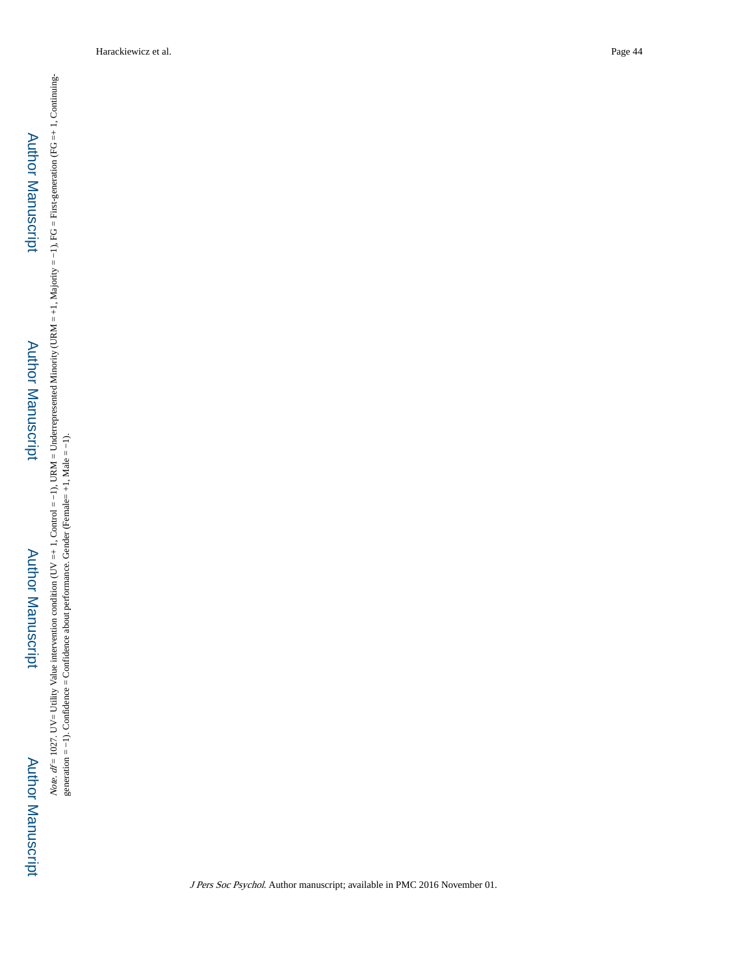# Author Manuscript**Author Manuscript**

# Author Manuscript**Author Manuscript**

*Note.*  $df = 1027$ . UV= Utility Value intervention condition (UV =+ 1, Control =-1), URM = Underrepresented Minority (URM =+1, Majority =-1), FG = First-generation (FG =+ 1, Continuing-generation =-1). Confidence = Confide Note. df = 1027. UV= Utility Value intervention condition condition condition (UVM = Underrepresented Minority (URM = +1, Majority = −1), FG = First-generation (FG =+ 1, Continuinggeneration = −1). Confidence = Confidence about performance. Gender (Female= +1, Male = −1).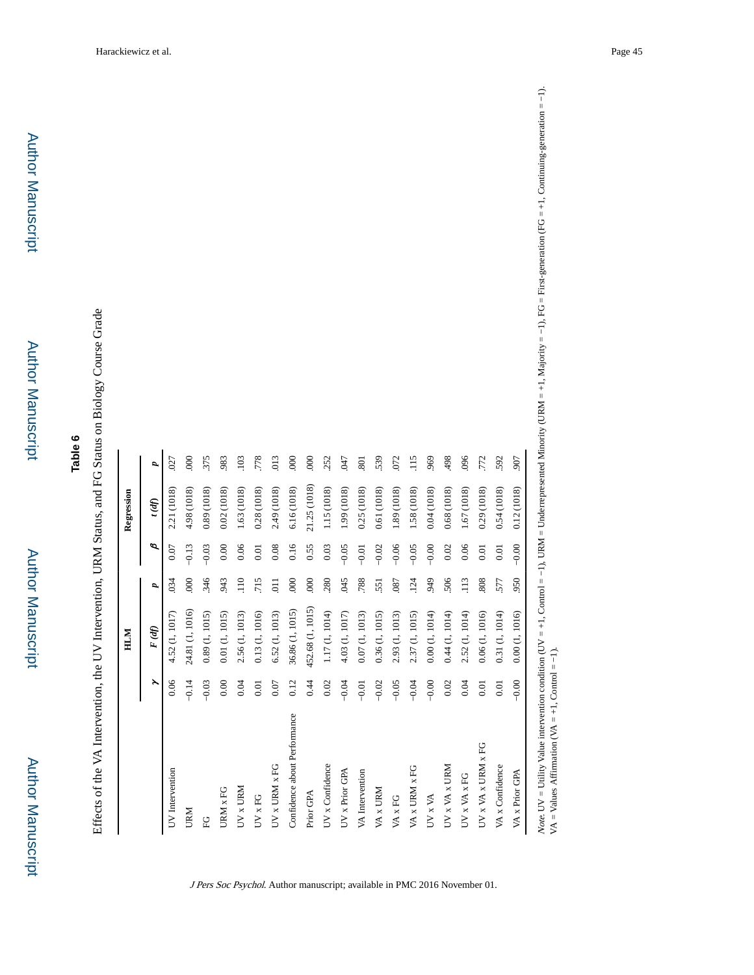## **Table 6**

Effects of the VA Intervention, the UV Intervention, URM Status, and FG Status on Biology Course Grade Effects of the VA Intervention, the UV Intervention, URM Status, and FG Status on Biology Course Grade

|                                      |         | HLM              |                  |         |              |                  |
|--------------------------------------|---------|------------------|------------------|---------|--------------|------------------|
|                                      | ř       | F(d)             | P,               | ø       | $t$ (df)     | d                |
| UV Intervention                      | 0.06    | 4.52 (1, 1017)   | 034              | 0.07    | 2.21 (1018)  | 027              |
| <b>URM</b>                           | $-0.14$ | 24.81 (1, 1016)  | 000              | $-0.13$ | 4.98 (1018)  | $\overline{000}$ |
| C <sub>L</sub>                       | $-0.03$ | 0.89(1, 1015)    | 346              | $-0.03$ | 0.89 (1018)  | 375              |
| URM x FG                             | 0.00    | 0.01(1, 1015)    | 943              | 0.00    | 0.02(1018)   | 983              |
| $UV \times URM$                      | 0.04    | 2.56 (1, 1013)   | $\overline{110}$ | 0.06    | 1.63 (1018)  | .103             |
| UV x FG                              | 0.01    | 0.13(1, 1016)    | 715              | 0.01    | 0.28(1018)   | .778             |
| $UV \times URM \times FG$            | 0.07    | 6.52 (1, 1013)   | $\overline{0}$   | 0.08    | 2.49 (1018)  | 013              |
| Confidence about Performance         | 0.12    | 36.86 (1, 1015)  | $\overline{000}$ | 0.16    | 6.16 (1018)  | $\overline{000}$ |
| Prior GPA                            | 0.44    | 452.68 (1, 1015) | 000              | 0.55    | 21.25 (1018) | 000              |
| UV x Confidence                      | 0.02    | 1.17(1, 1014)    | 280              | 0.03    | 1.15 (1018)  | 252              |
| UV x Prior GPA                       | $-0.04$ | 4.03 (1, 1017)   | 045              | $-0.05$ | 1.99 (1018)  | C <sub>7</sub>   |
| VA Intervention                      | $-0.01$ | 0.07(1, 1013)    | 788              | $-0.01$ | 0.25(1018)   | 801              |
| VA x URM                             | $-0.02$ | 0.36(1, 1015)    | 551              | $-0.02$ | 0.61 (1018)  | 539              |
| $\ensuremath{\text{VA}}\xspace$ x FG | $-0.05$ | 2.93 (1, 1013)   | .087             | $-0.06$ | 1.89 (1018)  | 072              |
| VA x URM x FG                        | $-0.04$ | 1015)<br>2.37(1, | .124             | $-0.05$ | 1.58 (1018)  | 115              |
| UV x VA                              | $-0.00$ | 0.00(1, 1014)    | 949              | $-0.00$ | 0.04(1018)   | 969              |
| UV x VA x URM                        | 0.02    | 0.44(1, 1014)    | 506              | 0.02    | 0.68 (1018)  | 498              |
| UV x VA x FG                         | 0.04    | 2.52 (1, 1014)   | $\overline{113}$ | 0.06    | 1.67 (1018)  | 096              |
| UV x VA x URM x FG                   | $0.01$  | 0.06(1, 1016)    | 808              | 0.01    | 0.29(1018)   | .772             |
| VA x Confidence                      | 0.01    | 0.31(1, 1014)    | 577              | 0.01    | 0.54(1018)   | 592              |
| VA x Prior GPA                       | $-0.00$ | 0.00(1, 1016)    | 950              | $-0.00$ | 0.12(1018)   | 907              |

J Pers Soc Psychol. Author manuscript; available in PMC 2016 November 01.